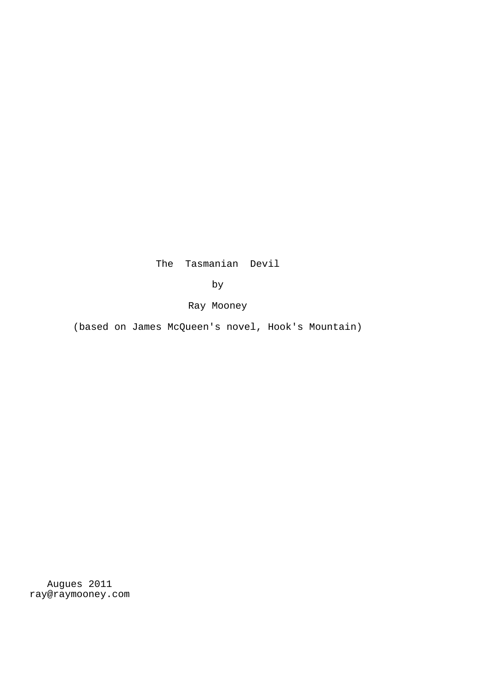## The Tasmanian Devil

by

Ray Mooney

(based on James McQueen's novel, Hook's Mountain)

Augues 2011 ray@raymooney.com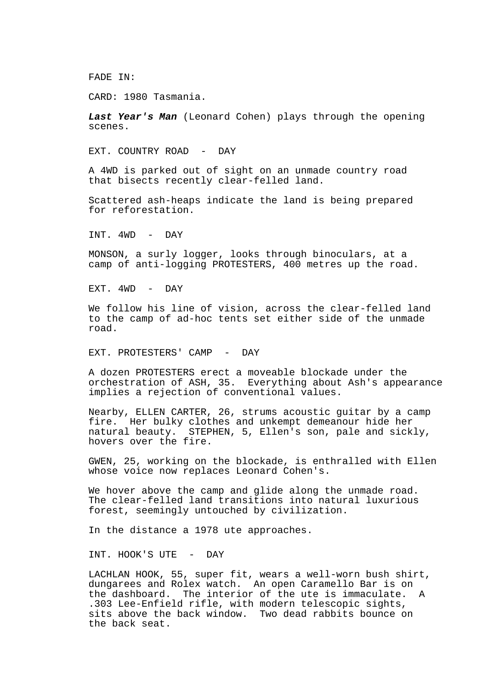FADE IN:

CARD: 1980 Tasmania.

**Last Year's Man** (Leonard Cohen) plays through the opening scenes.

EXT. COUNTRY ROAD - DAY

A 4WD is parked out of sight on an unmade country road that bisects recently clear-felled land.

Scattered ash-heaps indicate the land is being prepared for reforestation.

INT. 4WD - DAY

MONSON, a surly logger, looks through binoculars, at a camp of anti-logging PROTESTERS, 400 metres up the road.

EXT. 4WD - DAY

We follow his line of vision, across the clear-felled land to the camp of ad-hoc tents set either side of the unmade road.

EXT. PROTESTERS' CAMP - DAY

A dozen PROTESTERS erect a moveable blockade under the orchestration of ASH, 35. Everything about Ash's appearance implies a rejection of conventional values.

Nearby, ELLEN CARTER, 26, strums acoustic guitar by a camp fire. Her bulky clothes and unkempt demeanour hide her natural beauty. STEPHEN, 5, Ellen's son, pale and sickly, hovers over the fire.

GWEN, 25, working on the blockade, is enthralled with Ellen whose voice now replaces Leonard Cohen's.

We hover above the camp and glide along the unmade road. The clear-felled land transitions into natural luxurious forest, seemingly untouched by civilization.

In the distance a 1978 ute approaches.

INT. HOOK'S UTE - DAY

LACHLAN HOOK, 55, super fit, wears a well-worn bush shirt, dungarees and Rolex watch. An open Caramello Bar is on the dashboard. The interior of the ute is immaculate. A .303 Lee-Enfield rifle, with modern telescopic sights, sits above the back window. Two dead rabbits bounce on the back seat.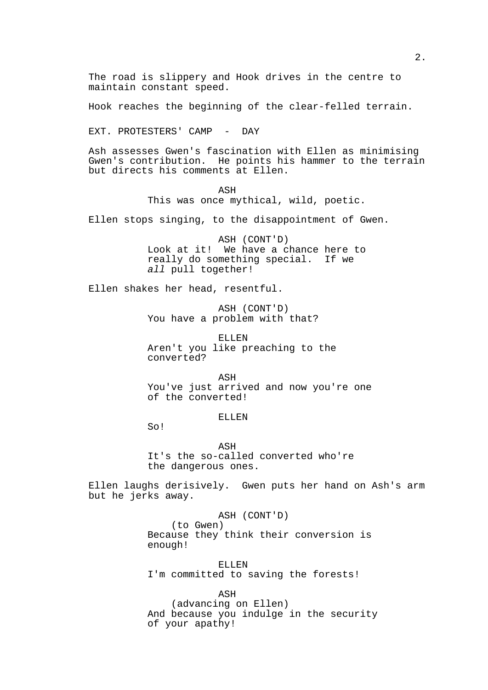The road is slippery and Hook drives in the centre to maintain constant speed. Hook reaches the beginning of the clear-felled terrain. EXT. PROTESTERS' CAMP - DAY Ash assesses Gwen's fascination with Ellen as minimising Gwen's contribution. He points his hammer to the terrain but directs his comments at Ellen. ASH This was once mythical, wild, poetic. Ellen stops singing, to the disappointment of Gwen. ASH (CONT'D) Look at it! We have a chance here to really do something special. If we all pull together! Ellen shakes her head, resentful. ASH (CONT'D) You have a problem with that? ELLEN Aren't you like preaching to the converted? ASH You've just arrived and now you're one of the converted! ELLEN So! ASH It's the so-called converted who're the dangerous ones. Ellen laughs derisively. Gwen puts her hand on Ash's arm but he jerks away. ASH (CONT'D) (to Gwen) Because they think their conversion is enough! ELLEN I'm committed to saving the forests! ASH

(advancing on Ellen) And because you indulge in the security of your apathy!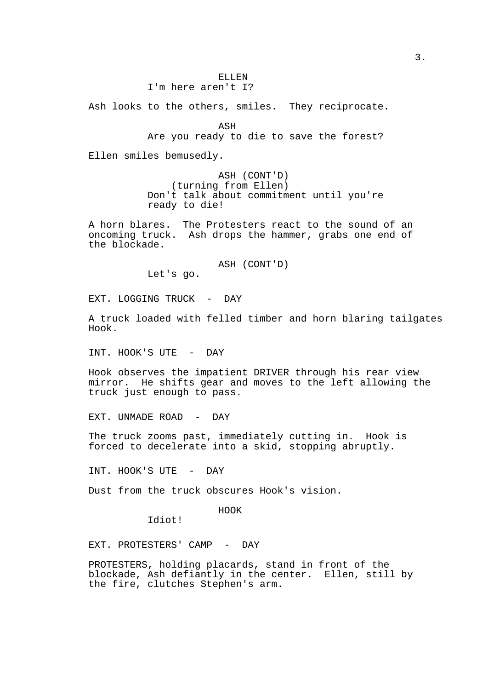## ELLEN I'm here aren't I?

Ash looks to the others, smiles. They reciprocate.

ASH Are you ready to die to save the forest?

Ellen smiles bemusedly.

ASH (CONT'D) (turning from Ellen) Don't talk about commitment until you're ready to die!

A horn blares. The Protesters react to the sound of an oncoming truck. Ash drops the hammer, grabs one end of the blockade.

ASH (CONT'D)

Let's go.

EXT. LOGGING TRUCK - DAY

A truck loaded with felled timber and horn blaring tailgates Hook.

INT. HOOK'S UTE - DAY

Hook observes the impatient DRIVER through his rear view mirror. He shifts gear and moves to the left allowing the truck just enough to pass.

EXT. UNMADE ROAD - DAY

The truck zooms past, immediately cutting in. Hook is forced to decelerate into a skid, stopping abruptly.

INT. HOOK'S UTE - DAY

Dust from the truck obscures Hook's vision.

HOOK

Idiot!

EXT. PROTESTERS' CAMP - DAY

PROTESTERS, holding placards, stand in front of the blockade, Ash defiantly in the center. Ellen, still by the fire, clutches Stephen's arm.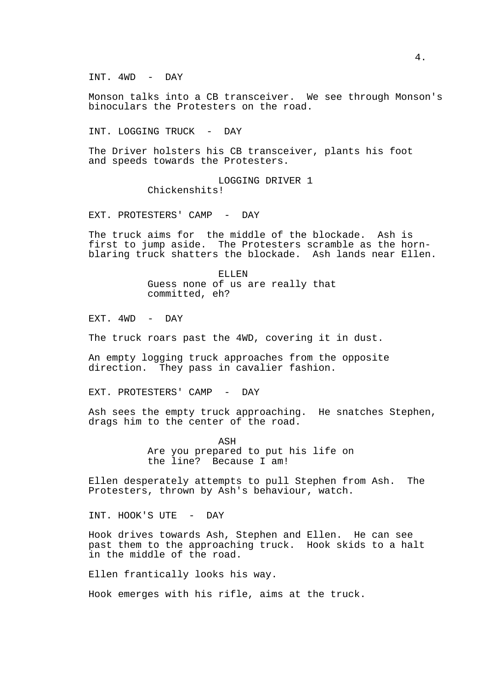INT. 4WD - DAY

Monson talks into a CB transceiver. We see through Monson's binoculars the Protesters on the road.

INT. LOGGING TRUCK - DAY

The Driver holsters his CB transceiver, plants his foot and speeds towards the Protesters.

> LOGGING DRIVER 1 Chickenshits!

EXT. PROTESTERS' CAMP - DAY

The truck aims for the middle of the blockade. Ash is first to jump aside. The Protesters scramble as the hornblaring truck shatters the blockade. Ash lands near Ellen.

> ELLEN Guess none of us are really that committed, eh?

EXT. 4WD - DAY

The truck roars past the 4WD, covering it in dust.

An empty logging truck approaches from the opposite direction. They pass in cavalier fashion.

EXT. PROTESTERS' CAMP - DAY

Ash sees the empty truck approaching. He snatches Stephen, drags him to the center of the road.

> ASH Are you prepared to put his life on the line? Because I am!

Ellen desperately attempts to pull Stephen from Ash. The Protesters, thrown by Ash's behaviour, watch.

INT. HOOK'S UTE - DAY

Hook drives towards Ash, Stephen and Ellen. He can see past them to the approaching truck. Hook skids to a halt in the middle of the road.

Ellen frantically looks his way.

Hook emerges with his rifle, aims at the truck.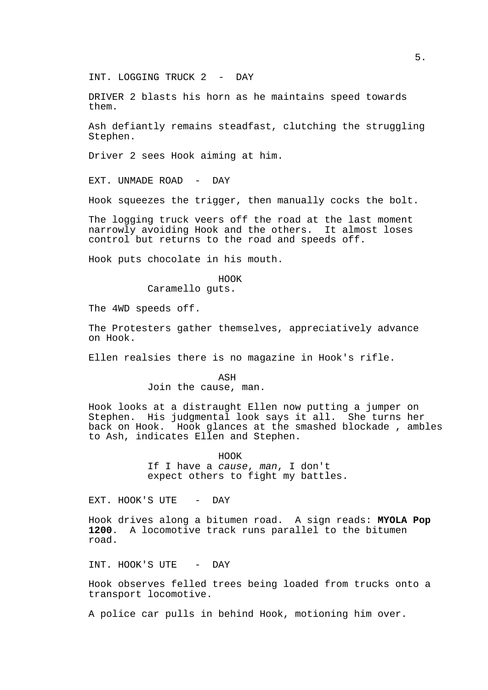INT. LOGGING TRUCK 2 - DAY

DRIVER 2 blasts his horn as he maintains speed towards them.

Ash defiantly remains steadfast, clutching the struggling Stephen.

Driver 2 sees Hook aiming at him.

EXT. UNMADE ROAD - DAY

Hook squeezes the trigger, then manually cocks the bolt.

The logging truck veers off the road at the last moment narrowly avoiding Hook and the others. It almost loses control but returns to the road and speeds off.

Hook puts chocolate in his mouth.

HOOK

Caramello guts.

The 4WD speeds off.

The Protesters gather themselves, appreciatively advance on Hook.

Ellen realsies there is no magazine in Hook's rifle.

ASH

Join the cause, man.

Hook looks at a distraught Ellen now putting a jumper on Stephen. His judgmental look says it all. She turns her back on Hook. Hook glances at the smashed blockade , ambles to Ash, indicates Ellen and Stephen.

> HOOK If I have a *cause*, man, I don't expect others to fight my battles.

EXT. HOOK'S UTE - DAY

Hook drives along a bitumen road. A sign reads: **MYOLA Pop 1200**. A locomotive track runs parallel to the bitumen road.

INT. HOOK'S UTE - DAY

Hook observes felled trees being loaded from trucks onto a transport locomotive.

A police car pulls in behind Hook, motioning him over.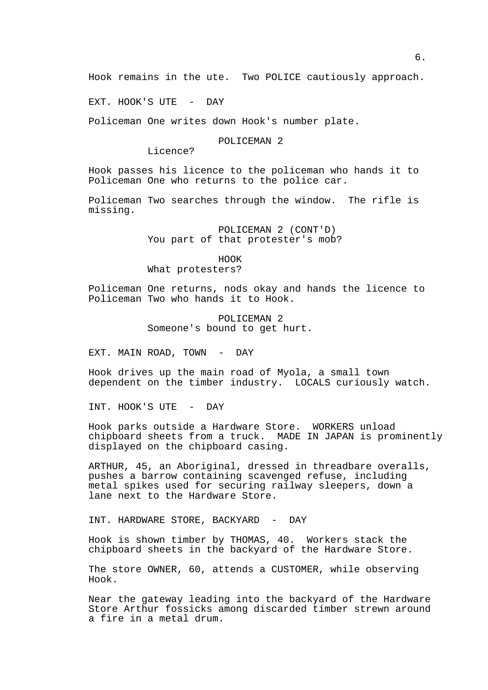Hook remains in the ute. Two POLICE cautiously approach.

EXT. HOOK'S UTE - DAY

Policeman One writes down Hook's number plate.

## POLICEMAN 2

Licence?

Hook passes his licence to the policeman who hands it to Policeman One who returns to the police car.

Policeman Two searches through the window. The rifle is missing.

> POLICEMAN 2 (CONT'D) You part of that protester's mob?

HOOK What protesters?

Policeman One returns, nods okay and hands the licence to Policeman Two who hands it to Hook.

> POLICEMAN 2 Someone's bound to get hurt.

EXT. MAIN ROAD, TOWN - DAY

Hook drives up the main road of Myola, a small town dependent on the timber industry. LOCALS curiously watch.

INT. HOOK'S UTE - DAY

Hook parks outside a Hardware Store. WORKERS unload chipboard sheets from a truck. MADE IN JAPAN is prominently displayed on the chipboard casing.

ARTHUR, 45, an Aboriginal, dressed in threadbare overalls, pushes a barrow containing scavenged refuse, including metal spikes used for securing railway sleepers, down a lane next to the Hardware Store.

INT. HARDWARE STORE, BACKYARD - DAY

Hook is shown timber by THOMAS, 40. Workers stack the chipboard sheets in the backyard of the Hardware Store.

The store OWNER, 60, attends a CUSTOMER, while observing Hook.

Near the gateway leading into the backyard of the Hardware Store Arthur fossicks among discarded timber strewn around a fire in a metal drum.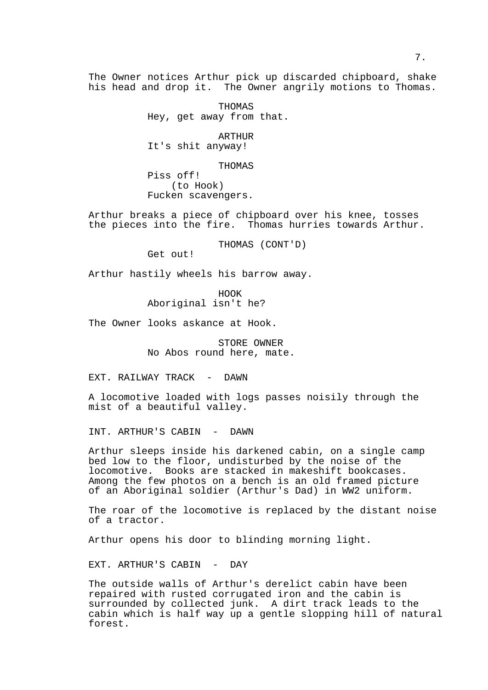The Owner notices Arthur pick up discarded chipboard, shake his head and drop it. The Owner angrily motions to Thomas.

> THOMAS Hey, get away from that.

ARTHUR It's shit anyway!

**THOMAS** 

Piss off! (to Hook) Fucken scavengers.

Arthur breaks a piece of chipboard over his knee, tosses the pieces into the fire. Thomas hurries towards Arthur.

THOMAS (CONT'D)

Get out!

Arthur hastily wheels his barrow away.

HOOK Aboriginal isn't he?

The Owner looks askance at Hook.

STORE OWNER No Abos round here, mate.

EXT. RAILWAY TRACK - DAWN

A locomotive loaded with logs passes noisily through the mist of a beautiful valley.

INT. ARTHUR'S CABIN - DAWN

Arthur sleeps inside his darkened cabin, on a single camp bed low to the floor, undisturbed by the noise of the locomotive. Books are stacked in makeshift bookcases. Among the few photos on a bench is an old framed picture of an Aboriginal soldier (Arthur's Dad) in WW2 uniform.

The roar of the locomotive is replaced by the distant noise of a tractor.

Arthur opens his door to blinding morning light.

EXT. ARTHUR'S CABIN - DAY

The outside walls of Arthur's derelict cabin have been repaired with rusted corrugated iron and the cabin is surrounded by collected junk. A dirt track leads to the cabin which is half way up a gentle slopping hill of natural forest.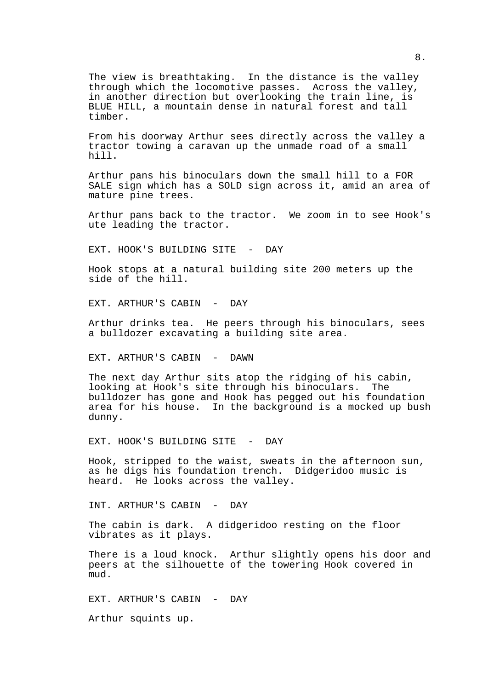The view is breathtaking. In the distance is the valley through which the locomotive passes. Across the valley, in another direction but overlooking the train line, is BLUE HILL, a mountain dense in natural forest and tall timber.

From his doorway Arthur sees directly across the valley a tractor towing a caravan up the unmade road of a small hill.

Arthur pans his binoculars down the small hill to a FOR SALE sign which has a SOLD sign across it, amid an area of mature pine trees.

Arthur pans back to the tractor. We zoom in to see Hook's ute leading the tractor.

EXT. HOOK'S BUILDING SITE - DAY

Hook stops at a natural building site 200 meters up the side of the hill.

EXT. ARTHUR'S CABIN - DAY

Arthur drinks tea. He peers through his binoculars, sees a bulldozer excavating a building site area.

EXT. ARTHUR'S CABIN - DAWN

The next day Arthur sits atop the ridging of his cabin, looking at Hook's site through his binoculars. The bulldozer has gone and Hook has pegged out his foundation area for his house. In the background is a mocked up bush dunny.

EXT. HOOK'S BUILDING SITE - DAY

Hook, stripped to the waist, sweats in the afternoon sun, as he digs his foundation trench. Didgeridoo music is heard. He looks across the valley.

INT. ARTHUR'S CABIN - DAY

The cabin is dark. A didgeridoo resting on the floor vibrates as it plays.

There is a loud knock. Arthur slightly opens his door and peers at the silhouette of the towering Hook covered in mud.

EXT. ARTHUR'S CABIN - DAY

Arthur squints up.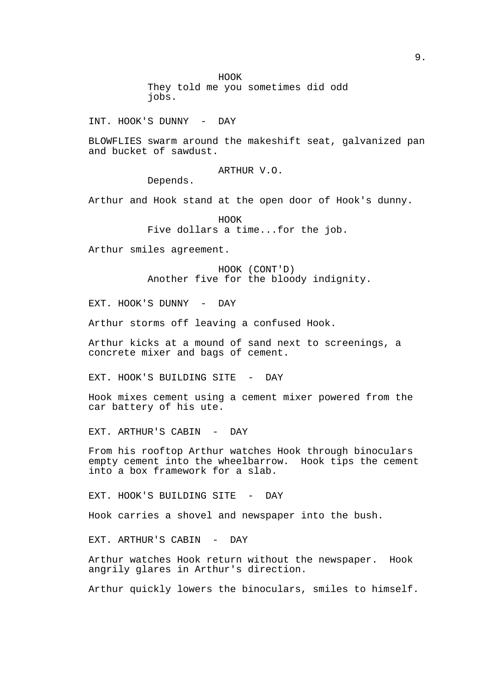INT. HOOK'S DUNNY - DAY

BLOWFLIES swarm around the makeshift seat, galvanized pan and bucket of sawdust.

ARTHUR V.O.

Depends.

Arthur and Hook stand at the open door of Hook's dunny.

HOOK Five dollars a time...for the job.

Arthur smiles agreement.

HOOK (CONT'D) Another five for the bloody indignity.

EXT. HOOK'S DUNNY - DAY

Arthur storms off leaving a confused Hook.

Arthur kicks at a mound of sand next to screenings, a concrete mixer and bags of cement.

EXT. HOOK'S BUILDING SITE - DAY

Hook mixes cement using a cement mixer powered from the car battery of his ute.

EXT. ARTHUR'S CABIN - DAY

From his rooftop Arthur watches Hook through binoculars empty cement into the wheelbarrow. Hook tips the cement into a box framework for a slab.

EXT. HOOK'S BUILDING SITE - DAY

Hook carries a shovel and newspaper into the bush.

EXT. ARTHUR'S CABIN - DAY

Arthur watches Hook return without the newspaper. Hook angrily glares in Arthur's direction.

Arthur quickly lowers the binoculars, smiles to himself.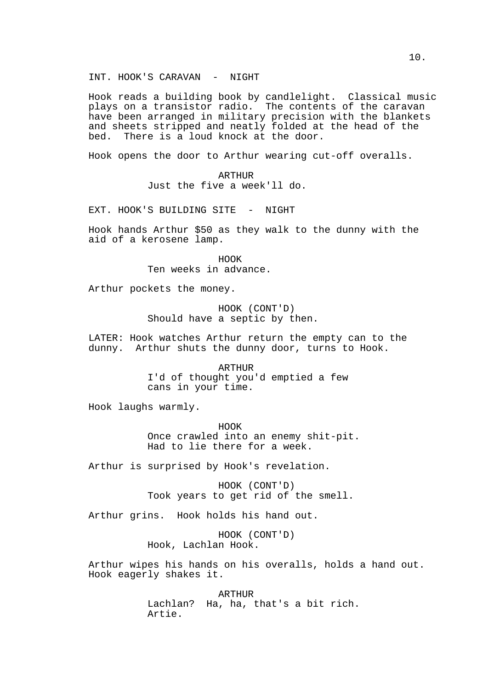INT. HOOK'S CARAVAN - NIGHT

Hook reads a building book by candlelight. Classical music plays on a transistor radio. The contents of the caravan have been arranged in military precision with the blankets and sheets stripped and neatly folded at the head of the bed. There is a loud knock at the door. There is a loud knock at the door.

Hook opens the door to Arthur wearing cut-off overalls.

ARTHUR Just the five a week'll do.

EXT. HOOK'S BUILDING SITE - NIGHT

Hook hands Arthur \$50 as they walk to the dunny with the aid of a kerosene lamp.

> HOOK Ten weeks in advance.

Arthur pockets the money.

HOOK (CONT'D) Should have a septic by then.

LATER: Hook watches Arthur return the empty can to the dunny. Arthur shuts the dunny door, turns to Hook.

> ARTHUR I'd of thought you'd emptied a few cans in your time.

Hook laughs warmly.

HOOK Once crawled into an enemy shit-pit. Had to lie there for a week.

Arthur is surprised by Hook's revelation.

HOOK (CONT'D) Took years to get rid of the smell.

Arthur grins. Hook holds his hand out.

HOOK (CONT'D) Hook, Lachlan Hook.

Arthur wipes his hands on his overalls, holds a hand out. Hook eagerly shakes it.

> ARTHUR Lachlan? Ha, ha, that's a bit rich. Artie.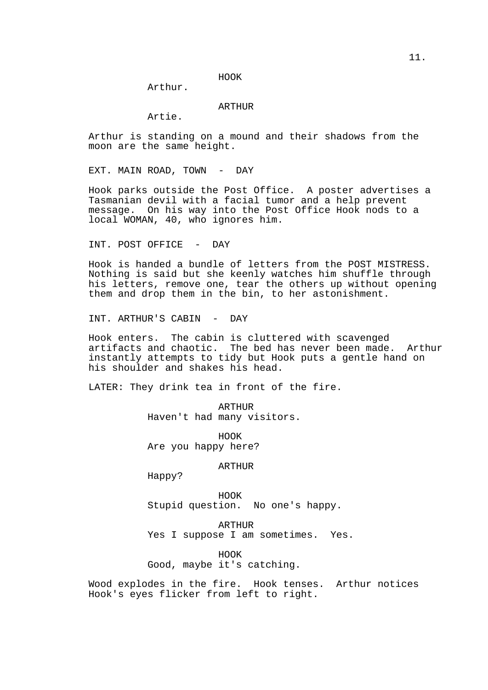Arthur.

#### ARTHUR

Artie.

Arthur is standing on a mound and their shadows from the moon are the same height.

EXT. MAIN ROAD, TOWN - DAY

Hook parks outside the Post Office. A poster advertises a Tasmanian devil with a facial tumor and a help prevent message. On his way into the Post Office Hook nods to a local WOMAN, 40, who ignores him.

INT. POST OFFICE - DAY

Hook is handed a bundle of letters from the POST MISTRESS. Nothing is said but she keenly watches him shuffle through his letters, remove one, tear the others up without opening them and drop them in the bin, to her astonishment.

INT. ARTHUR'S CABIN - DAY

Hook enters. The cabin is cluttered with scavenged artifacts and chaotic. The bed has never been made. Arthur instantly attempts to tidy but Hook puts a gentle hand on his shoulder and shakes his head.

LATER: They drink tea in front of the fire.

ARTHUR Haven't had many visitors.

HOOK Are you happy here?

ARTHUR

Happy?

HOOK Stupid question. No one's happy.

ARTHUR Yes I suppose I am sometimes. Yes.

HOOK Good, maybe it's catching.

Wood explodes in the fire. Hook tenses. Arthur notices Hook's eyes flicker from left to right.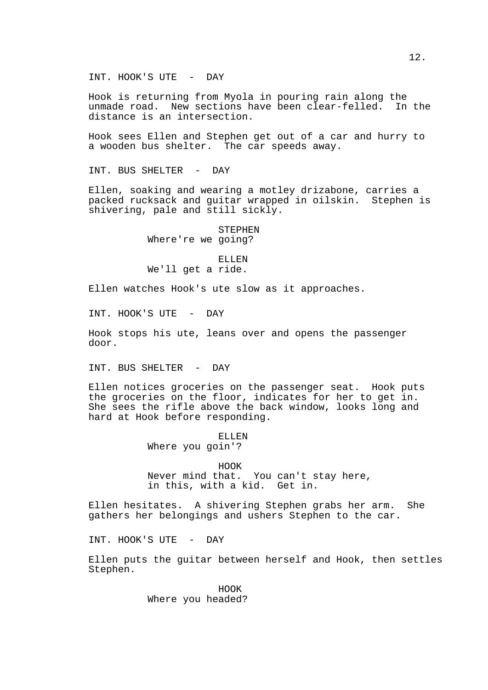## INT. HOOK'S UTE - DAY

Hook is returning from Myola in pouring rain along the unmade road. New sections have been clear-felled. In the distance is an intersection.

Hook sees Ellen and Stephen get out of a car and hurry to a wooden bus shelter. The car speeds away.

INT. BUS SHELTER - DAY

Ellen, soaking and wearing a motley drizabone, carries a packed rucksack and guitar wrapped in oilskin. Stephen is shivering, pale and still sickly.

> STEPHEN Where're we going?

ELLEN We'll get a ride.

Ellen watches Hook's ute slow as it approaches.

INT. HOOK'S UTE - DAY

Hook stops his ute, leans over and opens the passenger door.

INT. BUS SHELTER - DAY

Ellen notices groceries on the passenger seat. Hook puts the groceries on the floor, indicates for her to get in. She sees the rifle above the back window, looks long and hard at Hook before responding.

> ELLEN Where you goin'?

HOOK Never mind that. You can't stay here, in this, with a kid. Get in.

Ellen hesitates. A shivering Stephen grabs her arm. She gathers her belongings and ushers Stephen to the car.

INT. HOOK'S UTE - DAY

Ellen puts the guitar between herself and Hook, then settles Stephen.

> HOOK Where you headed?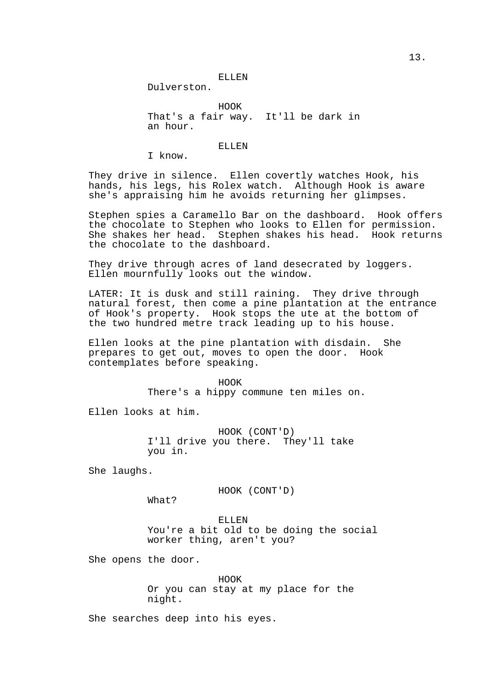ELLEN

Dulverston.

HOOK That's a fair way. It'll be dark in an hour.

#### ELLEN

I know.

They drive in silence. Ellen covertly watches Hook, his hands, his legs, his Rolex watch. Although Hook is aware she's appraising him he avoids returning her glimpses.

Stephen spies a Caramello Bar on the dashboard. Hook offers the chocolate to Stephen who looks to Ellen for permission. She shakes her head. Stephen shakes his head. Hook returns the chocolate to the dashboard.

They drive through acres of land desecrated by loggers. Ellen mournfully looks out the window.

LATER: It is dusk and still raining. They drive through natural forest, then come a pine plantation at the entrance of Hook's property. Hook stops the ute at the bottom of the two hundred metre track leading up to his house.

Ellen looks at the pine plantation with disdain. She prepares to get out, moves to open the door. Hook contemplates before speaking.

> HOOK There's a hippy commune ten miles on.

Ellen looks at him.

HOOK (CONT'D) I'll drive you there. They'll take you in.

She laughs.

HOOK (CONT'D)

What?

ELLEN You're a bit old to be doing the social worker thing, aren't you?

She opens the door.

HOOK Or you can stay at my place for the night.

She searches deep into his eyes.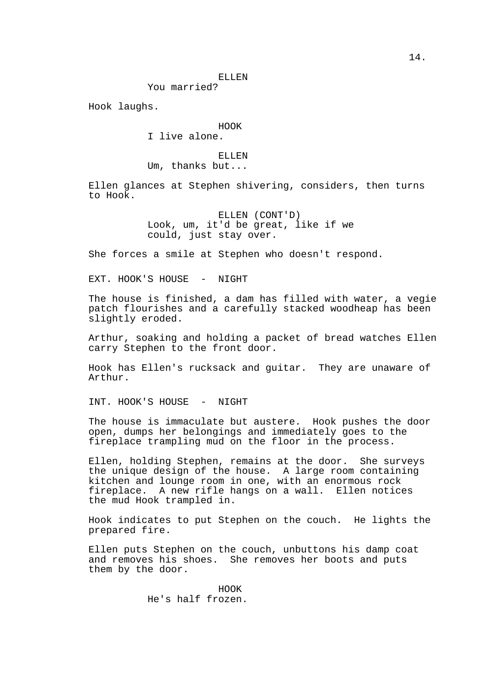#### ELLEN

You married?

Hook laughs.

#### HOOK

I live alone.

ELLEN Um, thanks but...

Ellen glances at Stephen shivering, considers, then turns to Hook.

> ELLEN (CONT'D) Look, um, it'd be great, like if we could, just stay over.

She forces a smile at Stephen who doesn't respond.

EXT. HOOK'S HOUSE - NIGHT

The house is finished, a dam has filled with water, a vegie patch flourishes and a carefully stacked woodheap has been slightly eroded.

Arthur, soaking and holding a packet of bread watches Ellen carry Stephen to the front door.

Hook has Ellen's rucksack and guitar. They are unaware of Arthur.

INT. HOOK'S HOUSE - NIGHT

The house is immaculate but austere. Hook pushes the door open, dumps her belongings and immediately goes to the fireplace trampling mud on the floor in the process.

Ellen, holding Stephen, remains at the door. She surveys the unique design of the house. A large room containing kitchen and lounge room in one, with an enormous rock fireplace. A new rifle hangs on a wall. Ellen notices the mud Hook trampled in.

Hook indicates to put Stephen on the couch. He lights the prepared fire.

Ellen puts Stephen on the couch, unbuttons his damp coat and removes his shoes. She removes her boots and puts them by the door.

> HOOK He's half frozen.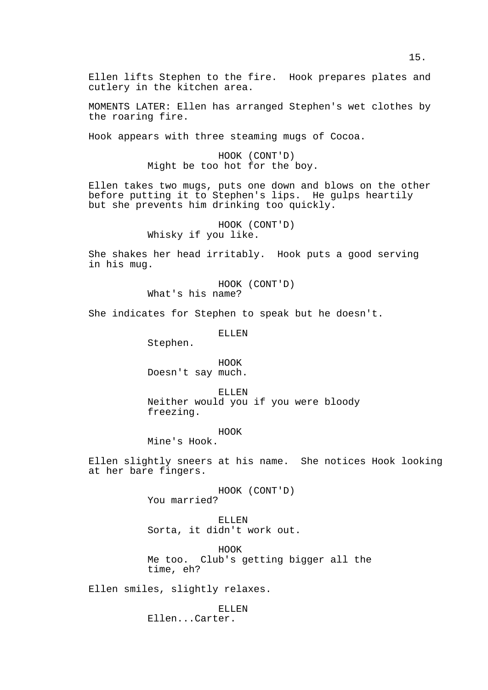Ellen lifts Stephen to the fire. Hook prepares plates and cutlery in the kitchen area.

MOMENTS LATER: Ellen has arranged Stephen's wet clothes by the roaring fire.

Hook appears with three steaming mugs of Cocoa.

HOOK (CONT'D) Might be too hot for the boy.

Ellen takes two mugs, puts one down and blows on the other before putting it to Stephen's lips. He gulps heartily but she prevents him drinking too quickly.

> HOOK (CONT'D) Whisky if you like.

She shakes her head irritably. Hook puts a good serving in his mug.

> HOOK (CONT'D) What's his name?

She indicates for Stephen to speak but he doesn't.

ELLEN

Stephen.

HOOK Doesn't say much.

ELLEN Neither would you if you were bloody freezing.

HOOK

Mine's Hook.

Ellen slightly sneers at his name. She notices Hook looking at her bare fingers.

> HOOK (CONT'D) You married?

ELLEN Sorta, it didn't work out.

HOOK Me too. Club's getting bigger all the time, eh?

Ellen smiles, slightly relaxes.

ELLEN Ellen...Carter.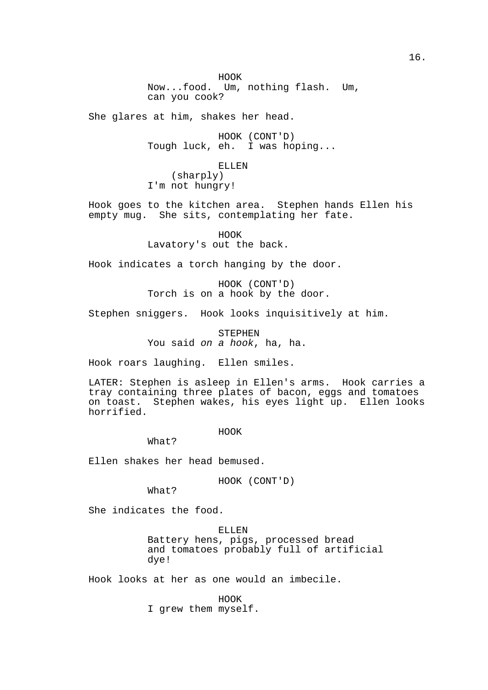HOOK Now...food. Um, nothing flash. Um, can you cook?

She glares at him, shakes her head.

HOOK (CONT'D) Tough luck, eh. I was hoping...

ELLEN

(sharply) I'm not hungry!

Hook goes to the kitchen area. Stephen hands Ellen his empty mug. She sits, contemplating her fate.

> HOOK Lavatory's out the back.

Hook indicates a torch hanging by the door.

HOOK (CONT'D) Torch is on a hook by the door.

Stephen sniggers. Hook looks inquisitively at him.

STEPHEN You said on a hook, ha, ha.

Hook roars laughing. Ellen smiles.

LATER: Stephen is asleep in Ellen's arms. Hook carries a tray containing three plates of bacon, eggs and tomatoes on toast. Stephen wakes, his eyes light up. Ellen looks horrified.

HOOK

What?

Ellen shakes her head bemused.

HOOK (CONT'D)

What?

She indicates the food.

ELLEN Battery hens, pigs, processed bread and tomatoes probably full of artificial dye!

Hook looks at her as one would an imbecile.

HOOK I grew them myself.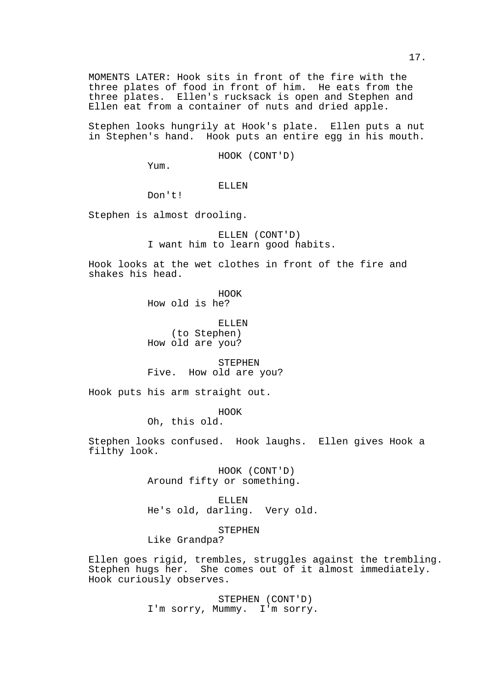MOMENTS LATER: Hook sits in front of the fire with the three plates of food in front of him. He eats from the three plates. Ellen's rucksack is open and Stephen and Ellen eat from a container of nuts and dried apple.

Stephen looks hungrily at Hook's plate. Ellen puts a nut in Stephen's hand. Hook puts an entire egg in his mouth.

HOOK (CONT'D)

Yum.

ELLEN

Don't!

Stephen is almost drooling.

ELLEN (CONT'D) I want him to learn good habits.

Hook looks at the wet clothes in front of the fire and shakes his head.

> HOOK How old is he?

ELLEN (to Stephen) How old are you?

STEPHEN Five. How old are you?

Hook puts his arm straight out.

HOOK

Oh, this old.

Stephen looks confused. Hook laughs. Ellen gives Hook a filthy look.

> HOOK (CONT'D) Around fifty or something.

ELLEN He's old, darling. Very old.

STEPHEN

Like Grandpa?

Ellen goes rigid, trembles, struggles against the trembling. Stephen hugs her. She comes out of it almost immediately. Hook curiously observes.

> STEPHEN (CONT'D) I'm sorry, Mummy. I'm sorry.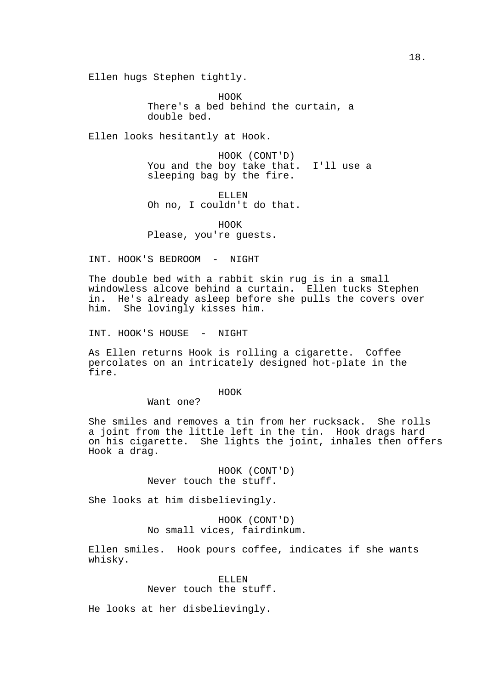Ellen hugs Stephen tightly.

HOOK There's a bed behind the curtain, a double bed.

Ellen looks hesitantly at Hook.

HOOK (CONT'D) You and the boy take that. I'll use a sleeping bag by the fire.

ELLEN Oh no, I couldn't do that.

HOOK Please, you're guests.

INT. HOOK'S BEDROOM - NIGHT

The double bed with a rabbit skin rug is in a small windowless alcove behind a curtain. Ellen tucks Stephen in. He's already asleep before she pulls the covers over him. She lovingly kisses him.

INT. HOOK'S HOUSE - NIGHT

As Ellen returns Hook is rolling a cigarette. Coffee percolates on an intricately designed hot-plate in the fire.

HOOK

Want one?

She smiles and removes a tin from her rucksack. She rolls a joint from the little left in the tin. Hook drags hard on his cigarette. She lights the joint, inhales then offers Hook a drag.

> HOOK (CONT'D) Never touch the stuff.

She looks at him disbelievingly.

HOOK (CONT'D) No small vices, fairdinkum.

Ellen smiles. Hook pours coffee, indicates if she wants whisky.

#### ELLEN

Never touch the stuff.

He looks at her disbelievingly.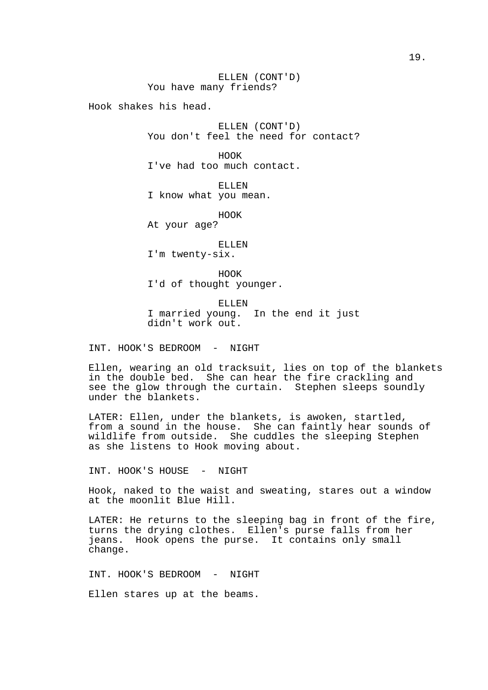ELLEN (CONT'D) You have many friends?

Hook shakes his head.

ELLEN (CONT'D) You don't feel the need for contact?

HOOK I've had too much contact.

ELLEN I know what you mean.

HOOK At your age?

ELLEN I'm twenty-six.

HOOK I'd of thought younger.

ELLEN I married young. In the end it just didn't work out.

INT. HOOK'S BEDROOM - NIGHT

Ellen, wearing an old tracksuit, lies on top of the blankets in the double bed. She can hear the fire crackling and see the glow through the curtain. Stephen sleeps soundly under the blankets.

LATER: Ellen, under the blankets, is awoken, startled, from a sound in the house. She can faintly hear sounds of wildlife from outside. She cuddles the sleeping Stephen as she listens to Hook moving about.

INT. HOOK'S HOUSE - NIGHT

Hook, naked to the waist and sweating, stares out a window at the moonlit Blue Hill.

LATER: He returns to the sleeping bag in front of the fire, turns the drying clothes. Ellen's purse falls from her jeans. Hook opens the purse. It contains only small change.

INT. HOOK'S BEDROOM - NIGHT

Ellen stares up at the beams.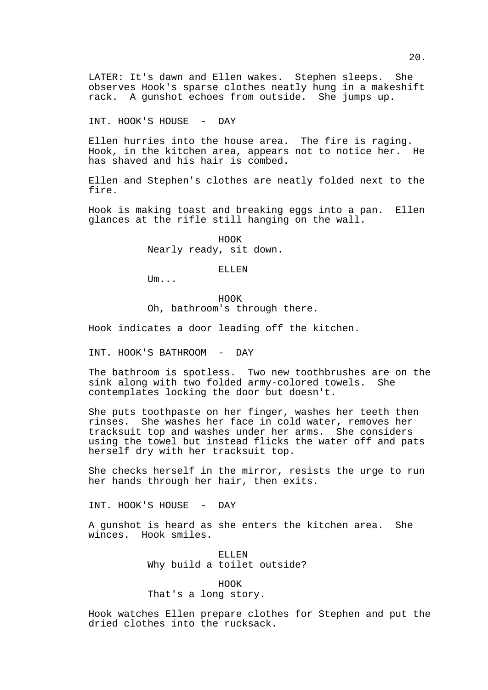LATER: It's dawn and Ellen wakes. Stephen sleeps. She observes Hook's sparse clothes neatly hung in a makeshift rack. A gunshot echoes from outside. She jumps up.

INT. HOOK'S HOUSE - DAY

Ellen hurries into the house area. The fire is raging. Hook, in the kitchen area, appears not to notice her. He has shaved and his hair is combed.

Ellen and Stephen's clothes are neatly folded next to the fire.

Hook is making toast and breaking eggs into a pan. Ellen glances at the rifle still hanging on the wall.

> HOOK Nearly ready, sit down.

#### ELLEN

Um...

HOOK Oh, bathroom's through there.

Hook indicates a door leading off the kitchen.

INT. HOOK'S BATHROOM - DAY

The bathroom is spotless. Two new toothbrushes are on the sink along with two folded army-colored towels. She contemplates locking the door but doesn't.

She puts toothpaste on her finger, washes her teeth then rinses. She washes her face in cold water, removes her tracksuit top and washes under her arms. She considers using the towel but instead flicks the water off and pats herself dry with her tracksuit top.

She checks herself in the mirror, resists the urge to run her hands through her hair, then exits.

INT. HOOK'S HOUSE - DAY

A gunshot is heard as she enters the kitchen area. She winces. Hook smiles.

> ELLEN Why build a toilet outside?

> > HOOK

That's a long story.

Hook watches Ellen prepare clothes for Stephen and put the dried clothes into the rucksack.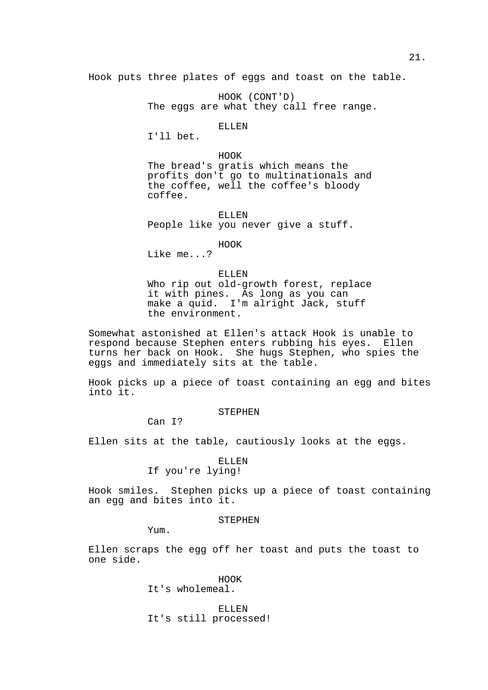Hook puts three plates of eggs and toast on the table.

HOOK (CONT'D) The eggs are what they call free range.

### ELLEN

I'll bet.

HOOK The bread's gratis which means the profits don't go to multinationals and the coffee, well the coffee's bloody coffee.

ELLEN People like you never give a stuff.

HOOK

Like me...?

ELLEN Who rip out old-growth forest, replace it with pines. As long as you can make a quid. I'm alright Jack, stuff the environment.

Somewhat astonished at Ellen's attack Hook is unable to respond because Stephen enters rubbing his eyes. Ellen turns her back on Hook. She hugs Stephen, who spies the eggs and immediately sits at the table.

Hook picks up a piece of toast containing an egg and bites into it.

#### STEPHEN

Can T?

Ellen sits at the table, cautiously looks at the eggs.

#### ELLEN If you're lying!

Hook smiles. Stephen picks up a piece of toast containing an egg and bites into it.

#### **STEPHEN**

Yum.

Ellen scraps the egg off her toast and puts the toast to one side.

> HOOK It's wholemeal.

ELLEN It's still processed!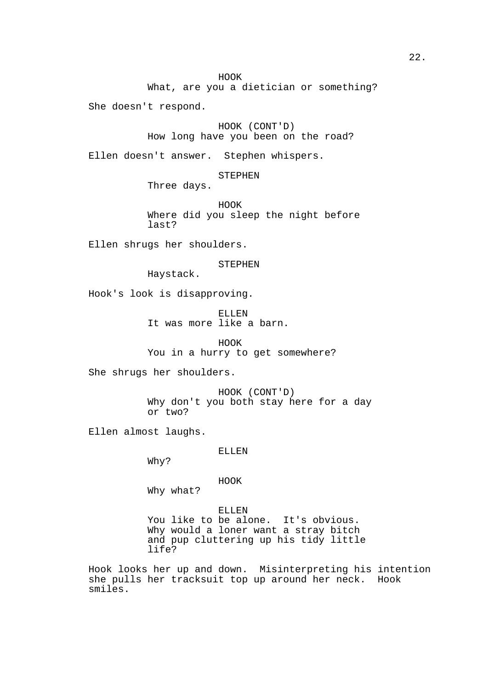HOOK

What, are you a dietician or something?

She doesn't respond.

HOOK (CONT'D) How long have you been on the road?

Ellen doesn't answer. Stephen whispers.

STEPHEN

Three days.

HOOK Where did you sleep the night before last?

Ellen shrugs her shoulders.

#### STEPHEN

Haystack.

Hook's look is disapproving.

ELLEN It was more like a barn.

HOOK You in a hurry to get somewhere?

She shrugs her shoulders.

HOOK (CONT'D) Why don't you both stay here for a day or two?

Ellen almost laughs.

ELLEN

Why?

#### HOOK

Why what?

ELLEN You like to be alone. It's obvious. Why would a loner want a stray bitch

and pup cluttering up his tidy little life?

Hook looks her up and down. Misinterpreting his intention she pulls her tracksuit top up around her neck. Hook smiles.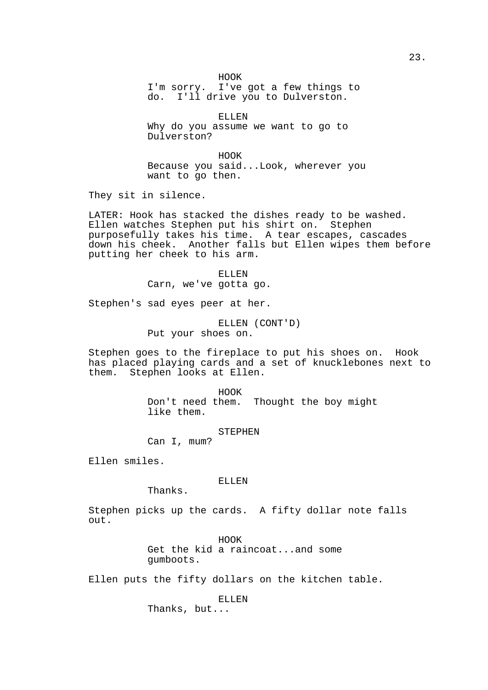HOOK I'm sorry. I've got a few things to do. I'll drive you to Dulverston.

ELLEN Why do you assume we want to go to Dulverston?

HOOK Because you said...Look, wherever you want to go then.

They sit in silence.

LATER: Hook has stacked the dishes ready to be washed. Ellen watches Stephen put his shirt on. Stephen purposefully takes his time. A tear escapes, cascades down his cheek. Another falls but Ellen wipes them before putting her cheek to his arm.

> ELLEN Carn, we've gotta go.

Stephen's sad eyes peer at her.

ELLEN (CONT'D) Put your shoes on.

Stephen goes to the fireplace to put his shoes on. Hook has placed playing cards and a set of knucklebones next to them. Stephen looks at Ellen.

> HOOK Don't need them. Thought the boy might like them.

> > STEPHEN

Can I, mum?

Ellen smiles.

## ELLEN

Thanks.

Stephen picks up the cards. A fifty dollar note falls out.

> HOOK Get the kid a raincoat...and some gumboots.

Ellen puts the fifty dollars on the kitchen table.

ELLEN

Thanks, but...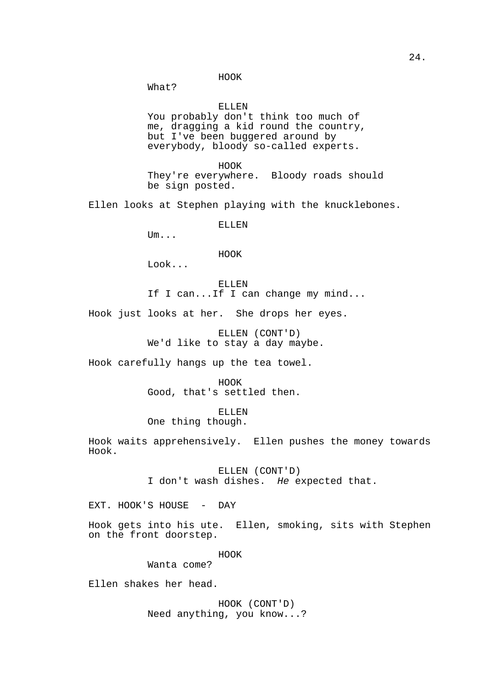## HOOK

What?

## ELLEN

You probably don't think too much of me, dragging a kid round the country, but I've been buggered around by everybody, bloody so-called experts.

HOOK

They're everywhere. Bloody roads should be sign posted.

Ellen looks at Stephen playing with the knucklebones.

ELLEN

Um...

HOOK

Look...

ELLEN If I can...If I can change my mind...

Hook just looks at her. She drops her eyes.

ELLEN (CONT'D) We'd like to stay a day maybe.

Hook carefully hangs up the tea towel.

HOOK Good, that's settled then.

ELLEN

One thing though.

Hook waits apprehensively. Ellen pushes the money towards Hook.

> ELLEN (CONT'D) I don't wash dishes. He expected that.

EXT. HOOK'S HOUSE - DAY

Hook gets into his ute. Ellen, smoking, sits with Stephen on the front doorstep.

HOOK

Wanta come?

Ellen shakes her head.

HOOK (CONT'D) Need anything, you know...?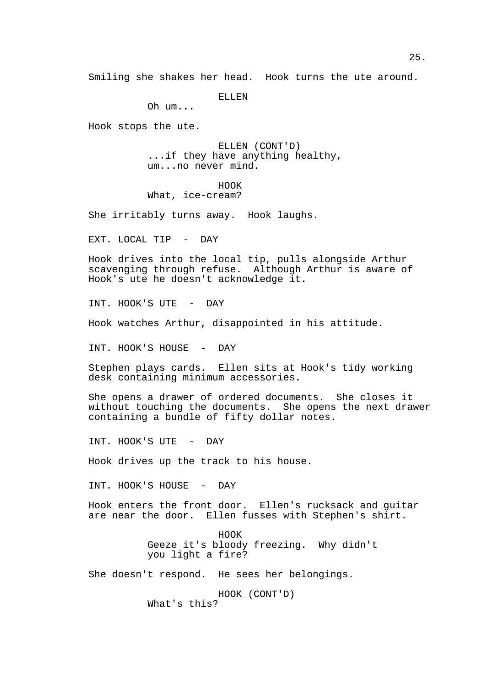Smiling she shakes her head. Hook turns the ute around.

ELLEN

Oh um...

Hook stops the ute.

ELLEN (CONT'D) ...if they have anything healthy, um...no never mind.

# HOOK

What, ice-cream?

She irritably turns away. Hook laughs.

EXT. LOCAL TIP - DAY

Hook drives into the local tip, pulls alongside Arthur scavenging through refuse. Although Arthur is aware of Hook's ute he doesn't acknowledge it.

INT. HOOK'S UTE - DAY

Hook watches Arthur, disappointed in his attitude.

INT. HOOK'S HOUSE - DAY

Stephen plays cards. Ellen sits at Hook's tidy working desk containing minimum accessories.

She opens a drawer of ordered documents. She closes it without touching the documents. She opens the next drawer containing a bundle of fifty dollar notes.

INT. HOOK'S UTE - DAY

Hook drives up the track to his house.

INT. HOOK'S HOUSE - DAY

Hook enters the front door. Ellen's rucksack and guitar are near the door. Ellen fusses with Stephen's shirt.

> HOOK Geeze it's bloody freezing. Why didn't you light a fire?

She doesn't respond. He sees her belongings.

HOOK (CONT'D) What's this?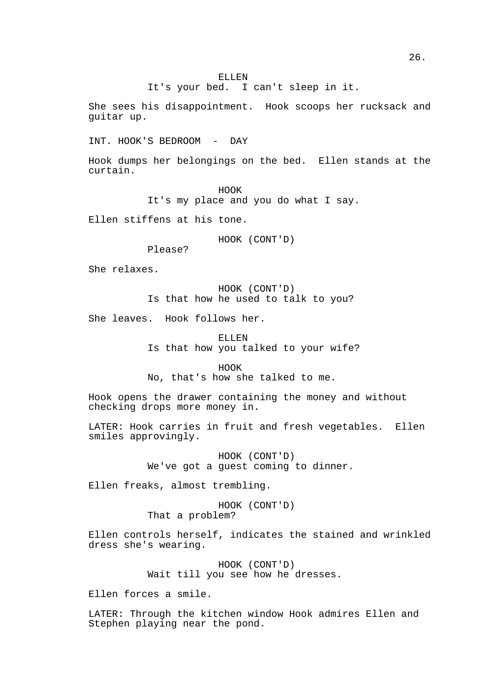It's your bed. I can't sleep in it.

She sees his disappointment. Hook scoops her rucksack and guitar up.

INT. HOOK'S BEDROOM - DAY

Hook dumps her belongings on the bed. Ellen stands at the curtain.

> HOOK It's my place and you do what I say.

Ellen stiffens at his tone.

HOOK (CONT'D)

Please?

She relaxes.

HOOK (CONT'D) Is that how he used to talk to you?

She leaves. Hook follows her.

ELLEN Is that how you talked to your wife?

HOOK No, that's how she talked to me.

Hook opens the drawer containing the money and without checking drops more money in.

LATER: Hook carries in fruit and fresh vegetables. Ellen smiles approvingly.

> HOOK (CONT'D) We've got a guest coming to dinner.

Ellen freaks, almost trembling.

HOOK (CONT'D) That a problem?

Ellen controls herself, indicates the stained and wrinkled dress she's wearing.

> HOOK (CONT'D) Wait till you see how he dresses.

Ellen forces a smile.

LATER: Through the kitchen window Hook admires Ellen and Stephen playing near the pond.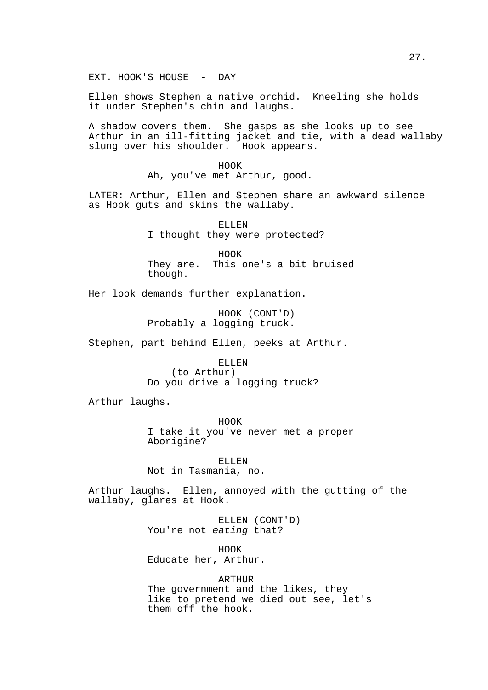Ellen shows Stephen a native orchid. Kneeling she holds it under Stephen's chin and laughs.

A shadow covers them. She gasps as she looks up to see Arthur in an ill-fitting jacket and tie, with a dead wallaby slung over his shoulder. Hook appears.

> HOOK Ah, you've met Arthur, good.

LATER: Arthur, Ellen and Stephen share an awkward silence as Hook guts and skins the wallaby.

> ELLEN I thought they were protected?

HOOK They are. This one's a bit bruised though.

Her look demands further explanation.

HOOK (CONT'D) Probably a logging truck.

Stephen, part behind Ellen, peeks at Arthur.

ELLEN (to Arthur) Do you drive a logging truck?

Arthur laughs.

HOOK I take it you've never met a proper Aborigine?

ELLEN Not in Tasmania, no.

Arthur laughs. Ellen, annoyed with the gutting of the wallaby, glares at Hook.

> ELLEN (CONT'D) You're not eating that?

HOOK Educate her, Arthur.

### ARTHUR

The government and the likes, they like to pretend we died out see, let's them off the hook.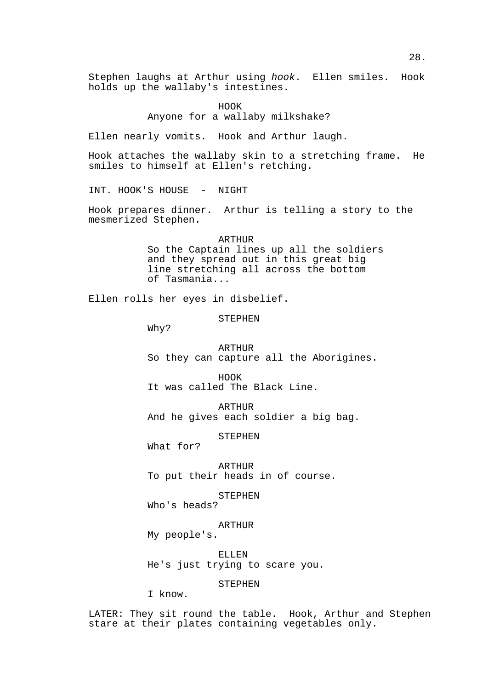Stephen laughs at Arthur using hook. Ellen smiles. Hook holds up the wallaby's intestines.

> HOOK Anyone for a wallaby milkshake?

Ellen nearly vomits. Hook and Arthur laugh.

Hook attaches the wallaby skin to a stretching frame. He smiles to himself at Ellen's retching.

INT. HOOK'S HOUSE - NIGHT

Hook prepares dinner. Arthur is telling a story to the mesmerized Stephen.

> ARTHUR So the Captain lines up all the soldiers and they spread out in this great big line stretching all across the bottom of Tasmania...

Ellen rolls her eyes in disbelief.

STEPHEN

Why?

ARTHUR So they can capture all the Aborigines.

HOOK It was called The Black Line.

ARTHUR And he gives each soldier a big bag.

STEPHEN

What for?

ARTHUR To put their heads in of course.

STEPHEN

Who's heads?

ARTHUR My people's.

ELLEN He's just trying to scare you.

STEPHEN

I know.

LATER: They sit round the table. Hook, Arthur and Stephen stare at their plates containing vegetables only.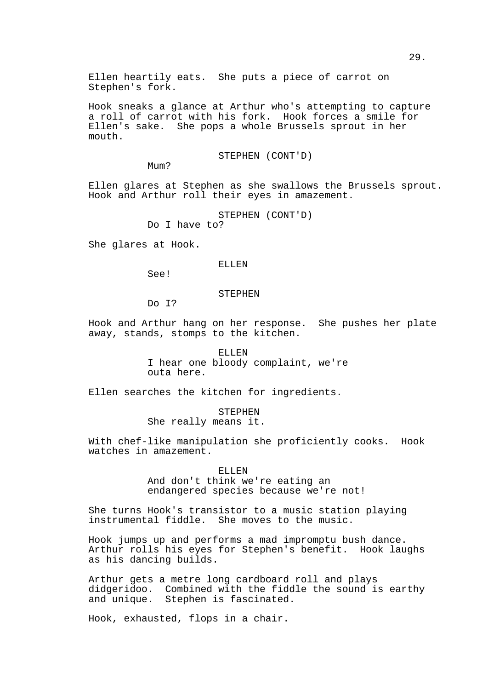Ellen heartily eats. She puts a piece of carrot on Stephen's fork.

Hook sneaks a glance at Arthur who's attempting to capture a roll of carrot with his fork. Hook forces a smile for Ellen's sake. She pops a whole Brussels sprout in her mouth.

STEPHEN (CONT'D)

Mum?

Ellen glares at Stephen as she swallows the Brussels sprout. Hook and Arthur roll their eyes in amazement.

STEPHEN (CONT'D)

Do I have to?

She glares at Hook.

#### ELLEN

See!

#### STEPHEN

Do I?

Hook and Arthur hang on her response. She pushes her plate away, stands, stomps to the kitchen.

> ELLEN I hear one bloody complaint, we're outa here.

Ellen searches the kitchen for ingredients.

STEPHEN She really means it.

With chef-like manipulation she proficiently cooks. Hook watches in amazement.

> ELLEN And don't think we're eating an endangered species because we're not!

She turns Hook's transistor to a music station playing instrumental fiddle. She moves to the music.

Hook jumps up and performs a mad impromptu bush dance. Arthur rolls his eyes for Stephen's benefit. Hook laughs as his dancing builds.

Arthur gets a metre long cardboard roll and plays didgeridoo. Combined with the fiddle the sound is earthy and unique. Stephen is fascinated.

Hook, exhausted, flops in a chair.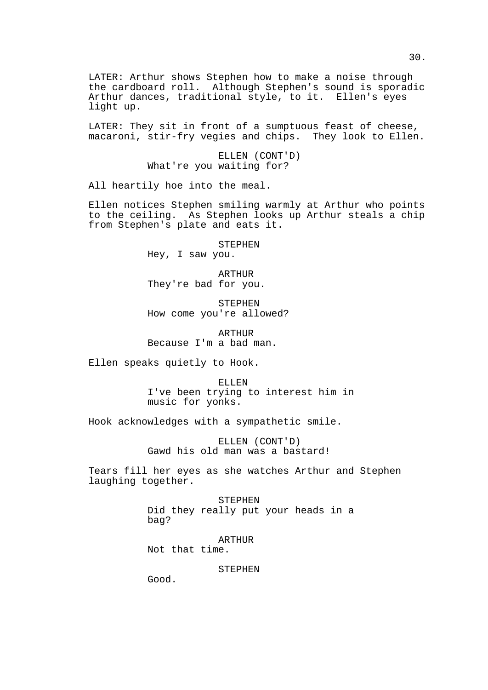LATER: Arthur shows Stephen how to make a noise through the cardboard roll. Although Stephen's sound is sporadic Arthur dances, traditional style, to it. Ellen's eyes light up.

LATER: They sit in front of a sumptuous feast of cheese, macaroni, stir-fry vegies and chips. They look to Ellen.

> ELLEN (CONT'D) What're you waiting for?

All heartily hoe into the meal.

Ellen notices Stephen smiling warmly at Arthur who points to the ceiling. As Stephen looks up Arthur steals a chip from Stephen's plate and eats it.

STEPHEN

Hey, I saw you.

ARTHUR They're bad for you.

STEPHEN How come you're allowed?

**ARTHUR** Because I'm a bad man.

Ellen speaks quietly to Hook.

ELLEN I've been trying to interest him in music for yonks.

Hook acknowledges with a sympathetic smile.

ELLEN (CONT'D) Gawd his old man was a bastard!

Tears fill her eyes as she watches Arthur and Stephen laughing together.

> STEPHEN Did they really put your heads in a bag?

ARTHUR Not that time.

STEPHEN

Good.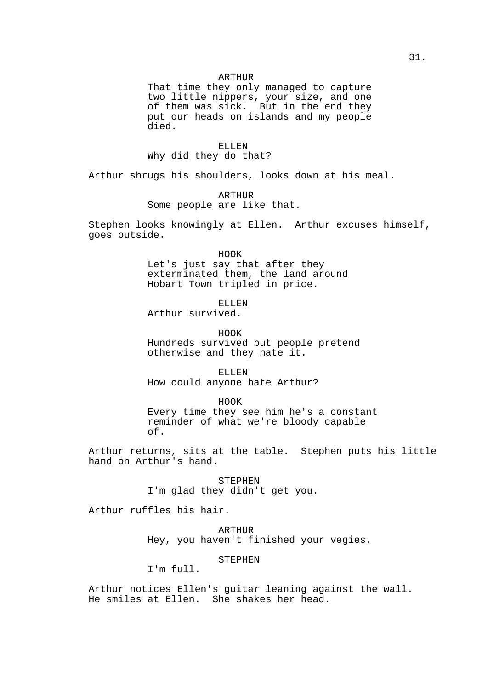#### ARTHUR

That time they only managed to capture two little nippers, your size, and one of them was sick. But in the end they put our heads on islands and my people died.

ELLEN Why did they do that?

Arthur shrugs his shoulders, looks down at his meal.

ARTHUR Some people are like that.

Stephen looks knowingly at Ellen. Arthur excuses himself, goes outside.

HOOK

Let's just say that after they exterminated them, the land around Hobart Town tripled in price.

ELLEN

Arthur survived.

HOOK

Hundreds survived but people pretend otherwise and they hate it.

ELLEN

How could anyone hate Arthur?

HOOK

Every time they see him he's a constant reminder of what we're bloody capable of.

Arthur returns, sits at the table. Stephen puts his little hand on Arthur's hand.

> STEPHEN I'm glad they didn't get you.

Arthur ruffles his hair.

ARTHUR Hey, you haven't finished your vegies.

## STEPHEN

I'm full.

Arthur notices Ellen's guitar leaning against the wall. He smiles at Ellen. She shakes her head.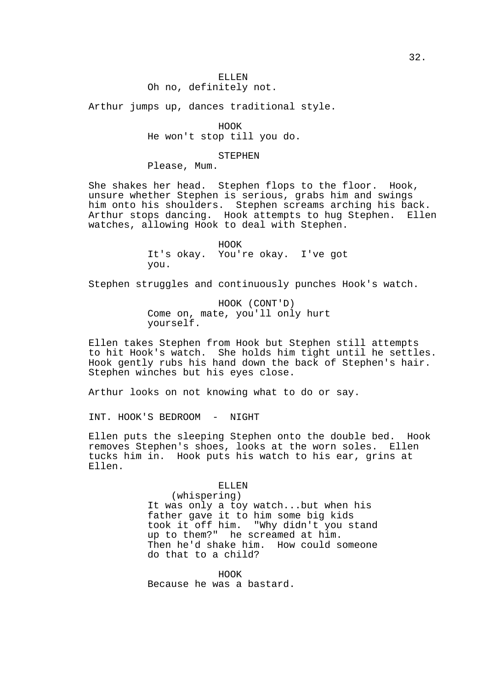### ELLEN Oh no, definitely not.

Arthur jumps up, dances traditional style.

HOOK He won't stop till you do.

STEPHEN

Please, Mum.

She shakes her head. Stephen flops to the floor. Hook, unsure whether Stephen is serious, grabs him and swings him onto his shoulders. Stephen screams arching his back. Arthur stops dancing. Hook attempts to hug Stephen. Ellen watches, allowing Hook to deal with Stephen.

> HOOK It's okay. You're okay. I've got you.

Stephen struggles and continuously punches Hook's watch.

HOOK (CONT'D) Come on, mate, you'll only hurt yourself.

Ellen takes Stephen from Hook but Stephen still attempts to hit Hook's watch. She holds him tight until he settles. Hook gently rubs his hand down the back of Stephen's hair. Stephen winches but his eyes close.

Arthur looks on not knowing what to do or say.

INT. HOOK'S BEDROOM - NIGHT

Ellen puts the sleeping Stephen onto the double bed. Hook removes Stephen's shoes, looks at the worn soles. Ellen tucks him in. Hook puts his watch to his ear, grins at Ellen.

ELLEN

(whispering) It was only a toy watch...but when his father gave it to him some big kids took it off him. "Why didn't you stand up to them?" he screamed at him. Then he'd shake him. How could someone do that to a child?

HOOK Because he was a bastard.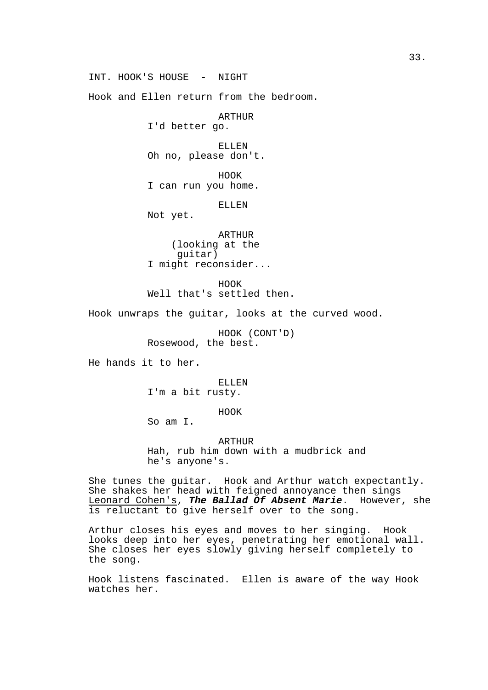INT. HOOK'S HOUSE - NIGHT

Hook and Ellen return from the bedroom.

ARTHUR

I'd better go.

ELLEN Oh no, please don't.

HOOK I can run you home.

ELLEN

Not yet.

ARTHUR (looking at the guitar) I might reconsider...

HOOK Well that's settled then.

Hook unwraps the guitar, looks at the curved wood.

HOOK (CONT'D) Rosewood, the best.

He hands it to her.

ELLEN I'm a bit rusty.

HOOK

So am I.

ARTHUR Hah, rub him down with a mudbrick and he's anyone's.

She tunes the guitar. Hook and Arthur watch expectantly. She shakes her head with feigned annoyance then sings Leonard Cohen's, **The Ballad Of Absent Marie**. However, she is reluctant to give herself over to the song.

Arthur closes his eyes and moves to her singing. Hook looks deep into her eyes, penetrating her emotional wall. She closes her eyes slowly giving herself completely to the song.

Hook listens fascinated. Ellen is aware of the way Hook watches her.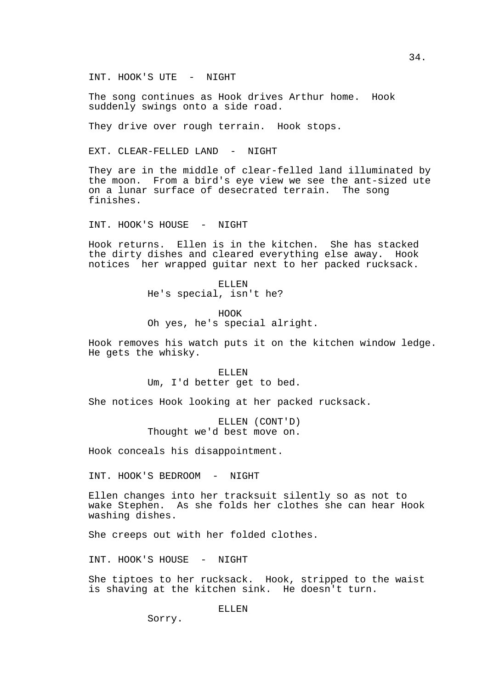INT. HOOK'S UTE - NIGHT

The song continues as Hook drives Arthur home. Hook suddenly swings onto a side road.

They drive over rough terrain. Hook stops.

EXT. CLEAR-FELLED LAND - NIGHT

They are in the middle of clear-felled land illuminated by the moon. From a bird's eye view we see the ant-sized ute on a lunar surface of desecrated terrain. The song finishes.

INT. HOOK'S HOUSE - NIGHT

Hook returns. Ellen is in the kitchen. She has stacked the dirty dishes and cleared everything else away. Hook notices her wrapped guitar next to her packed rucksack.

> ELLEN He's special, isn't he?

HOOK Oh yes, he's special alright.

Hook removes his watch puts it on the kitchen window ledge. He gets the whisky.

> ELLEN Um, I'd better get to bed.

She notices Hook looking at her packed rucksack.

ELLEN (CONT'D) Thought we'd best move on.

Hook conceals his disappointment.

INT. HOOK'S BEDROOM - NIGHT

Ellen changes into her tracksuit silently so as not to wake Stephen. As she folds her clothes she can hear Hook washing dishes.

She creeps out with her folded clothes.

INT. HOOK'S HOUSE - NIGHT

She tiptoes to her rucksack. Hook, stripped to the waist is shaving at the kitchen sink. He doesn't turn.

ELLEN

Sorry.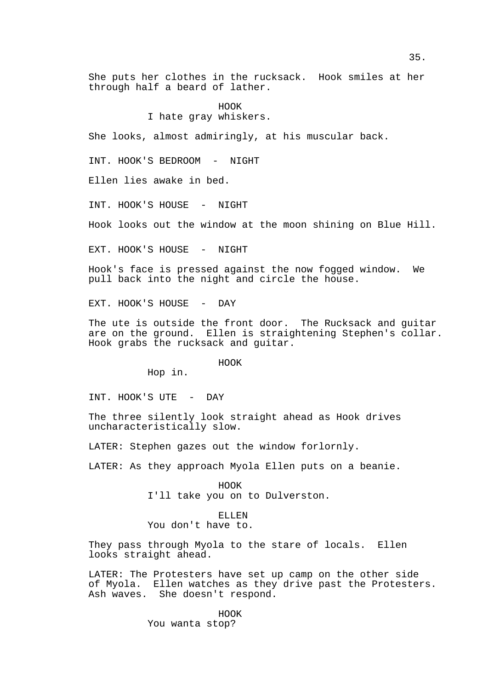She puts her clothes in the rucksack. Hook smiles at her through half a beard of lather.

> HOOK I hate gray whiskers.

She looks, almost admiringly, at his muscular back.

INT. HOOK'S BEDROOM - NIGHT

Ellen lies awake in bed.

INT. HOOK'S HOUSE - NIGHT

Hook looks out the window at the moon shining on Blue Hill.

EXT. HOOK'S HOUSE - NIGHT

Hook's face is pressed against the now fogged window. We pull back into the night and circle the house.

EXT. HOOK'S HOUSE - DAY

The ute is outside the front door. The Rucksack and guitar are on the ground. Ellen is straightening Stephen's collar. Hook grabs the rucksack and guitar.

HOOK

Hop in.

INT. HOOK'S UTE - DAY

The three silently look straight ahead as Hook drives uncharacteristically slow.

LATER: Stephen gazes out the window forlornly.

LATER: As they approach Myola Ellen puts on a beanie.

HOOK I'll take you on to Dulverston.

ELLEN

You don't have to.

They pass through Myola to the stare of locals. Ellen looks straight ahead.

LATER: The Protesters have set up camp on the other side of Myola. Ellen watches as they drive past the Protesters. Ash waves. She doesn't respond.

> HOOK You wanta stop?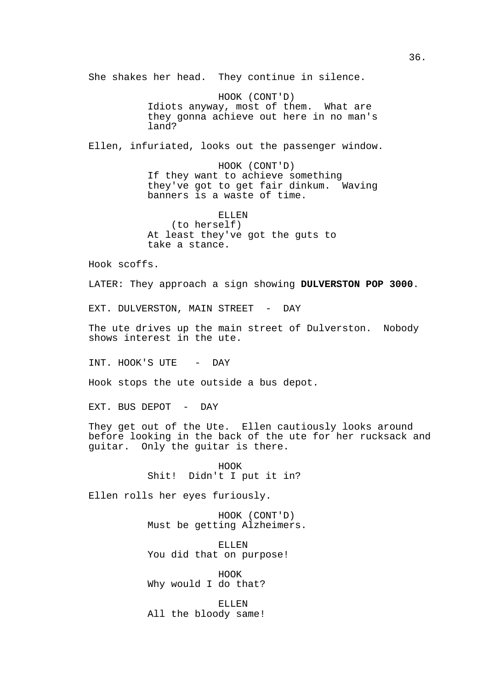She shakes her head. They continue in silence.

HOOK (CONT'D) Idiots anyway, most of them. What are they gonna achieve out here in no man's land?

Ellen, infuriated, looks out the passenger window.

HOOK (CONT'D) If they want to achieve something they've got to get fair dinkum. Waving banners is a waste of time.

ELLEN (to herself) At least they've got the guts to take a stance.

Hook scoffs.

LATER: They approach a sign showing **DULVERSTON POP 3000**.

EXT. DULVERSTON, MAIN STREET - DAY

The ute drives up the main street of Dulverston. Nobody shows interest in the ute.

INT. HOOK'S UTE - DAY

Hook stops the ute outside a bus depot.

EXT. BUS DEPOT - DAY

They get out of the Ute. Ellen cautiously looks around before looking in the back of the ute for her rucksack and guitar. Only the guitar is there.

> HOOK Shit! Didn't I put it in?

Ellen rolls her eyes furiously.

HOOK (CONT'D) Must be getting Alzheimers.

ELLEN You did that on purpose!

HOOK Why would I do that?

ELLEN All the bloody same!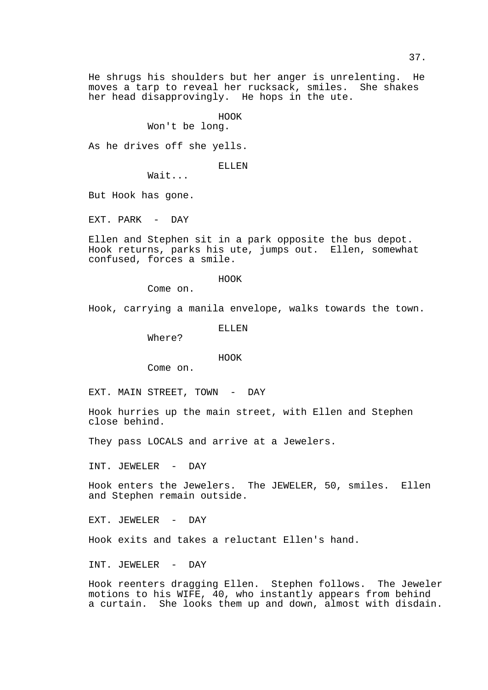He shrugs his shoulders but her anger is unrelenting. He moves a tarp to reveal her rucksack, smiles. She shakes her head disapprovingly. He hops in the ute.

HOOK

Won't be long.

As he drives off she yells.

ELLEN

Wait...

But Hook has gone.

EXT. PARK - DAY

Ellen and Stephen sit in a park opposite the bus depot. Hook returns, parks his ute, jumps out. Ellen, somewhat confused, forces a smile.

HOOK

Come on.

Hook, carrying a manila envelope, walks towards the town.

ELLEN

Where?

HOOK

Come on.

EXT. MAIN STREET, TOWN - DAY

Hook hurries up the main street, with Ellen and Stephen close behind.

They pass LOCALS and arrive at a Jewelers.

INT. JEWELER - DAY

Hook enters the Jewelers. The JEWELER, 50, smiles. Ellen and Stephen remain outside.

EXT. JEWELER - DAY

Hook exits and takes a reluctant Ellen's hand.

INT. JEWELER - DAY

Hook reenters dragging Ellen. Stephen follows. The Jeweler motions to his WIFE, 40, who instantly appears from behind a curtain. She looks them up and down, almost with disdain.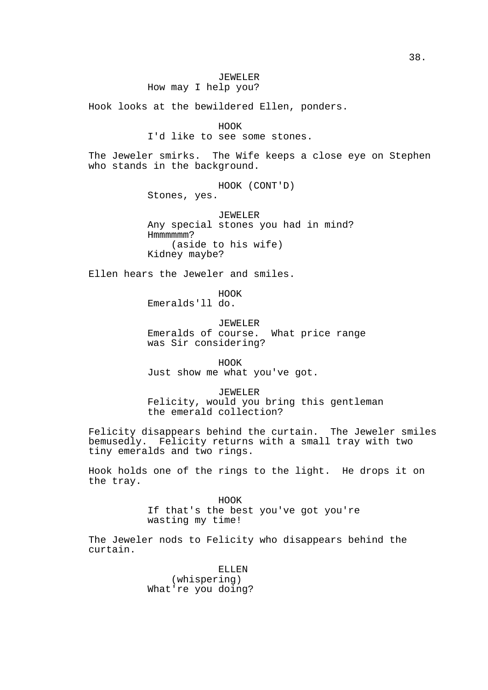Hook looks at the bewildered Ellen, ponders.

HOOK

I'd like to see some stones.

The Jeweler smirks. The Wife keeps a close eye on Stephen who stands in the background.

> HOOK (CONT'D) Stones, yes.

JEWELER Any special stones you had in mind? Hmmmmmm? (aside to his wife) Kidney maybe?

Ellen hears the Jeweler and smiles.

HOOK Emeralds'll do.

JEWELER Emeralds of course. What price range was Sir considering?

HOOK Just show me what you've got.

JEWELER Felicity, would you bring this gentleman the emerald collection?

Felicity disappears behind the curtain. The Jeweler smiles bemusedly. Felicity returns with a small tray with two tiny emeralds and two rings.

Hook holds one of the rings to the light. He drops it on the tray.

> HOOK If that's the best you've got you're wasting my time!

The Jeweler nods to Felicity who disappears behind the curtain.

> ELLEN (whispering) What're you doing?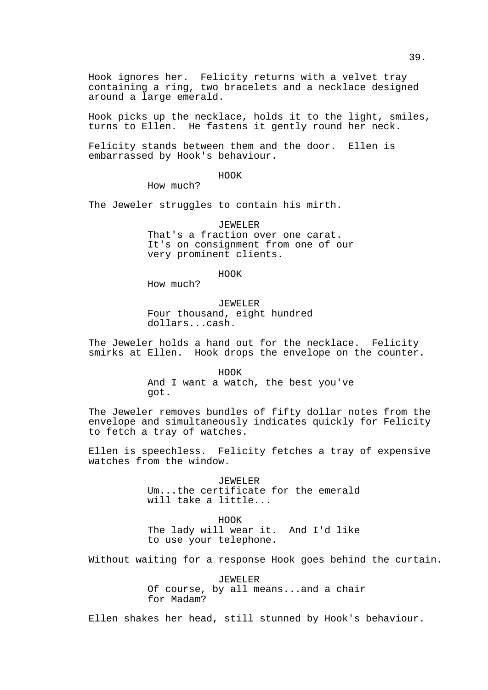Hook ignores her. Felicity returns with a velvet tray containing a ring, two bracelets and a necklace designed around a large emerald.

Hook picks up the necklace, holds it to the light, smiles, turns to Ellen. He fastens it gently round her neck.

Felicity stands between them and the door. Ellen is embarrassed by Hook's behaviour.

HOOK

How much?

The Jeweler struggles to contain his mirth.

JEWELER That's a fraction over one carat. It's on consignment from one of our very prominent clients.

HOOK

How much?

JEWELER Four thousand, eight hundred dollars...cash.

The Jeweler holds a hand out for the necklace. Felicity smirks at Ellen. Hook drops the envelope on the counter.

> HOOK And I want a watch, the best you've got.

The Jeweler removes bundles of fifty dollar notes from the envelope and simultaneously indicates quickly for Felicity to fetch a tray of watches.

Ellen is speechless. Felicity fetches a tray of expensive watches from the window.

> JEWELER Um...the certificate for the emerald will take a little...

> HOOK The lady will wear it. And I'd like to use your telephone.

Without waiting for a response Hook goes behind the curtain.

JEWELER Of course, by all means...and a chair for Madam?

Ellen shakes her head, still stunned by Hook's behaviour.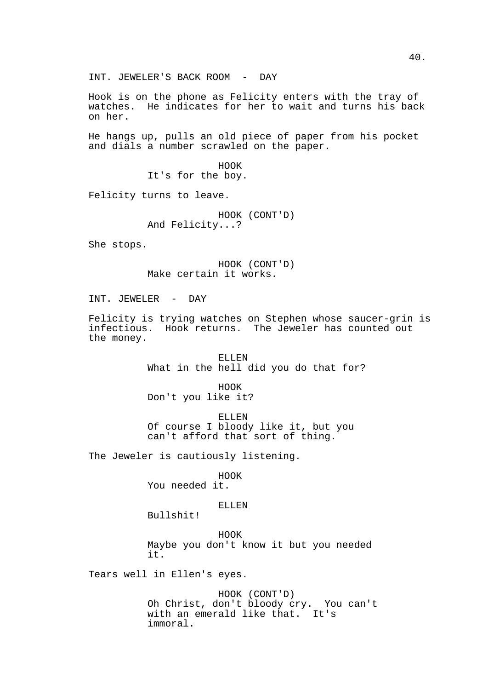INT. JEWELER'S BACK ROOM - DAY

Hook is on the phone as Felicity enters with the tray of watches. He indicates for her to wait and turns his back on her.

He hangs up, pulls an old piece of paper from his pocket and dials a number scrawled on the paper.

> HOOK It's for the boy.

Felicity turns to leave.

HOOK (CONT'D) And Felicity...?

She stops.

HOOK (CONT'D) Make certain it works.

INT. JEWELER - DAY

Felicity is trying watches on Stephen whose saucer-grin is infectious. Hook returns. The Jeweler has counted out the money.

> ELLEN What in the hell did you do that for?

HOOK Don't you like it?

ELLEN Of course I bloody like it, but you can't afford that sort of thing.

The Jeweler is cautiously listening.

HOOK

You needed it.

# ELLEN

Bullshit!

HOOK Maybe you don't know it but you needed it.

Tears well in Ellen's eyes.

HOOK (CONT'D) Oh Christ, don't bloody cry. You can't with an emerald like that. It's immoral.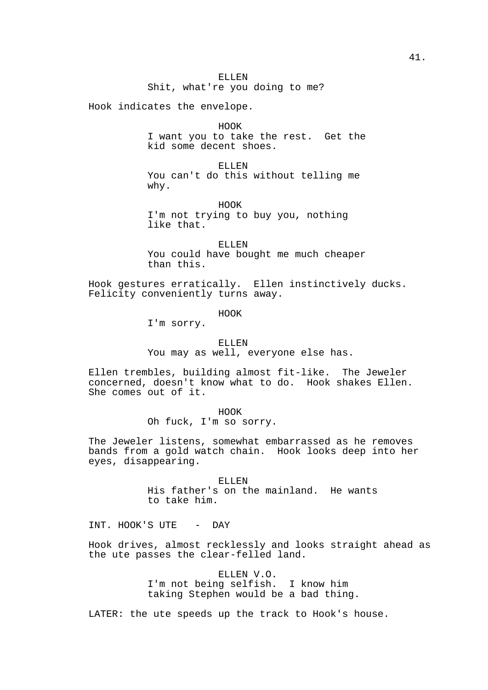### ELLEN

Shit, what're you doing to me?

Hook indicates the envelope.

HOOK I want you to take the rest. Get the kid some decent shoes.

ELLEN You can't do this without telling me why.

HOOK I'm not trying to buy you, nothing like that.

ELLEN You could have bought me much cheaper than this.

Hook gestures erratically. Ellen instinctively ducks. Felicity conveniently turns away.

HOOK

I'm sorry.

ELLEN

You may as well, everyone else has.

Ellen trembles, building almost fit-like. The Jeweler concerned, doesn't know what to do. Hook shakes Ellen. She comes out of it.

> HOOK Oh fuck, I'm so sorry.

The Jeweler listens, somewhat embarrassed as he removes bands from a gold watch chain. Hook looks deep into her eyes, disappearing.

> ELLEN His father's on the mainland. He wants to take him.

INT. HOOK'S UTE - DAY

Hook drives, almost recklessly and looks straight ahead as the ute passes the clear-felled land.

> ELLEN V.O. I'm not being selfish. I know him taking Stephen would be a bad thing.

LATER: the ute speeds up the track to Hook's house.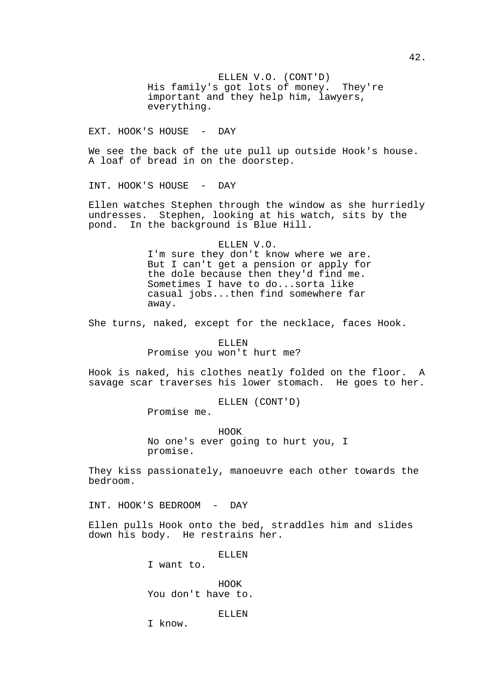ELLEN V.O. (CONT'D) His family's got lots of money. They're important and they help him, lawyers, everything.

EXT. HOOK'S HOUSE - DAY

We see the back of the ute pull up outside Hook's house. A loaf of bread in on the doorstep.

INT. HOOK'S HOUSE - DAY

Ellen watches Stephen through the window as she hurriedly undresses. Stephen, looking at his watch, sits by the pond. In the background is Blue Hill.

> ELLEN V.O. I'm sure they don't know where we are. But I can't get a pension or apply for the dole because then they'd find me. Sometimes I have to do...sorta like casual jobs...then find somewhere far away.

She turns, naked, except for the necklace, faces Hook.

ELLEN Promise you won't hurt me?

Hook is naked, his clothes neatly folded on the floor. A savage scar traverses his lower stomach. He goes to her.

ELLEN (CONT'D)

Promise me.

HOOK No one's ever going to hurt you, I promise.

They kiss passionately, manoeuvre each other towards the bedroom.

INT. HOOK'S BEDROOM - DAY

Ellen pulls Hook onto the bed, straddles him and slides down his body. He restrains her.

ELLEN

I want to.

HOOK You don't have to.

### ELLEN

I know.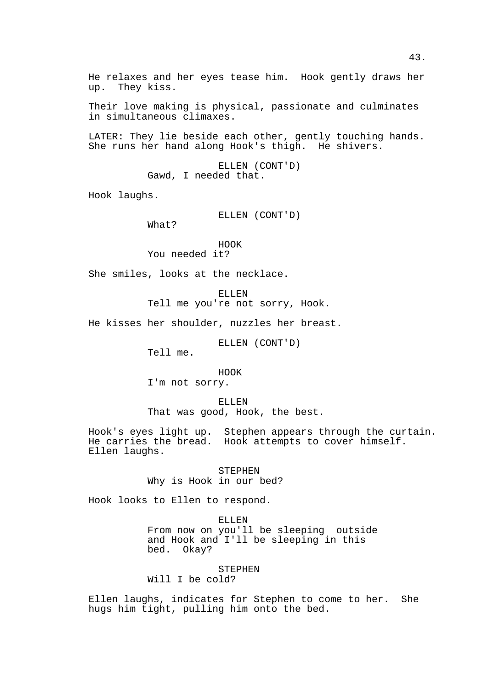He relaxes and her eyes tease him. Hook gently draws her up. They kiss.

Their love making is physical, passionate and culminates in simultaneous climaxes.

LATER: They lie beside each other, gently touching hands. She runs her hand along Hook's thigh. He shivers.

> ELLEN (CONT'D) Gawd, I needed that.

Hook laughs.

ELLEN (CONT'D)

What?

HOOK You needed it?

She smiles, looks at the necklace.

ELLEN Tell me you're not sorry, Hook.

He kisses her shoulder, nuzzles her breast.

ELLEN (CONT'D)

Tell me.

HOOK I'm not sorry.

ELLEN That was good, Hook, the best.

Hook's eyes light up. Stephen appears through the curtain. He carries the bread. Hook attempts to cover himself. Ellen laughs.

STEPHEN

Why is Hook in our bed?

Hook looks to Ellen to respond.

ELLEN From now on you'll be sleeping outside and Hook and I'll be sleeping in this bed. Okay?

### STEPHEN

Will I be cold?

Ellen laughs, indicates for Stephen to come to her. She hugs him tight, pulling him onto the bed.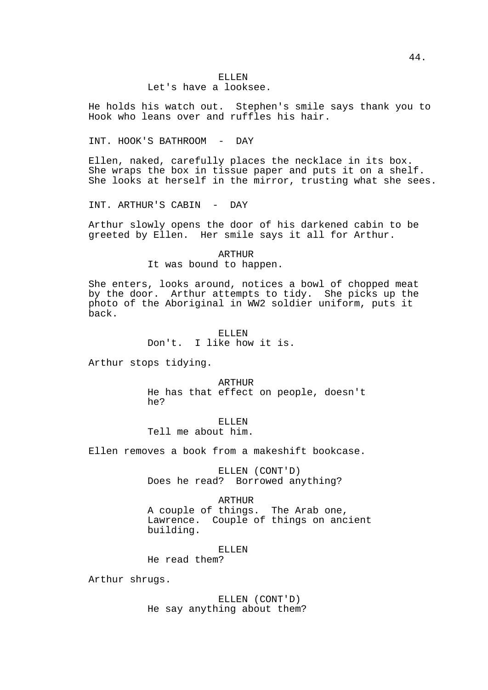He holds his watch out. Stephen's smile says thank you to Hook who leans over and ruffles his hair.

INT. HOOK'S BATHROOM - DAY

Ellen, naked, carefully places the necklace in its box. She wraps the box in tissue paper and puts it on a shelf. She looks at herself in the mirror, trusting what she sees.

INT. ARTHUR'S CABIN - DAY

Arthur slowly opens the door of his darkened cabin to be greeted by Ellen. Her smile says it all for Arthur.

> ARTHUR It was bound to happen.

She enters, looks around, notices a bowl of chopped meat by the door. Arthur attempts to tidy. She picks up the photo of the Aboriginal in WW2 soldier uniform, puts it back.

> ELLEN Don't. I like how it is.

Arthur stops tidying.

ARTHUR He has that effect on people, doesn't he?

ELLEN Tell me about him.

Ellen removes a book from a makeshift bookcase.

ELLEN (CONT'D) Does he read? Borrowed anything?

ARTHUR

A couple of things. The Arab one, Lawrence. Couple of things on ancient building.

ELLEN

He read them?

Arthur shrugs.

ELLEN (CONT'D) He say anything about them?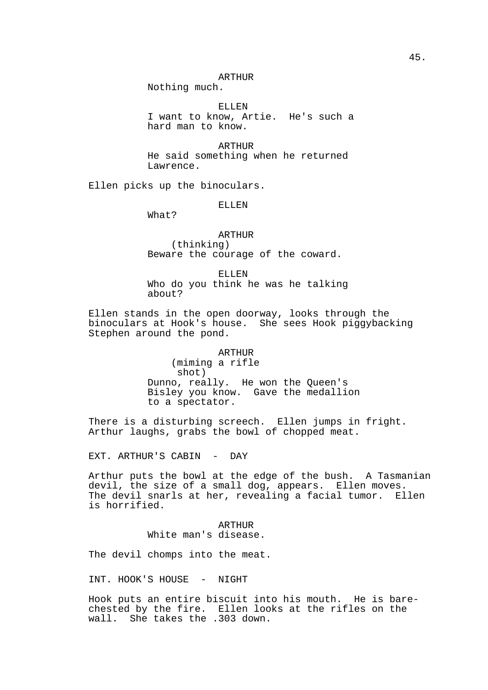### ARTHUR

Nothing much.

ELLEN

I want to know, Artie. He's such a hard man to know.

ARTHUR He said something when he returned Lawrence.

Ellen picks up the binoculars.

ELLEN

What?

ARTHUR (thinking) Beware the courage of the coward.

ELLEN Who do you think he was he talking about?

Ellen stands in the open doorway, looks through the binoculars at Hook's house. She sees Hook piggybacking Stephen around the pond.

> ARTHUR (miming a rifle shot) Dunno, really. He won the Queen's Bisley you know. Gave the medallion to a spectator.

There is a disturbing screech. Ellen jumps in fright. Arthur laughs, grabs the bowl of chopped meat.

EXT. ARTHUR'S CABIN - DAY

Arthur puts the bowl at the edge of the bush. A Tasmanian devil, the size of a small dog, appears. Ellen moves. The devil snarls at her, revealing a facial tumor. Ellen is horrified.

> ARTHUR White man's disease.

The devil chomps into the meat.

INT. HOOK'S HOUSE - NIGHT

Hook puts an entire biscuit into his mouth. He is barechested by the fire. Ellen looks at the rifles on the wall. She takes the .303 down.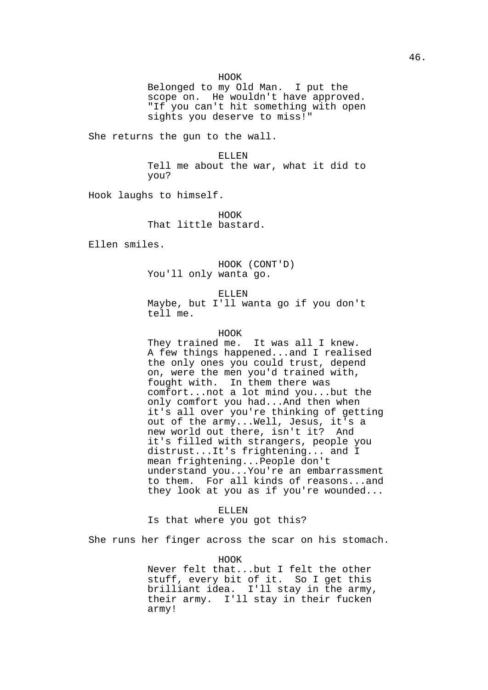HOOK

Belonged to my Old Man. I put the scope on. He wouldn't have approved. "If you can't hit something with open sights you deserve to miss!"

She returns the gun to the wall.

ELLEN Tell me about the war, what it did to you?

Hook laughs to himself.

HOOK That little bastard.

Ellen smiles.

HOOK (CONT'D) You'll only wanta go.

ELLEN

Maybe, but I'll wanta go if you don't tell me.

HOOK

They trained me. It was all I knew. A few things happened...and I realised the only ones you could trust, depend on, were the men you'd trained with, fought with. In them there was comfort...not a lot mind you...but the only comfort you had...And then when it's all over you're thinking of getting out of the army...Well, Jesus, it's a new world out there, isn't it? And it's filled with strangers, people you distrust...It's frightening... and I mean frightening...People don't understand you...You're an embarrassment to them. For all kinds of reasons...and they look at you as if you're wounded...

ELLEN

Is that where you got this?

She runs her finger across the scar on his stomach.

HOOK

Never felt that...but I felt the other stuff, every bit of it. So I get this brilliant idea. I'll stay in the army, their army. I'll stay in their fucken army!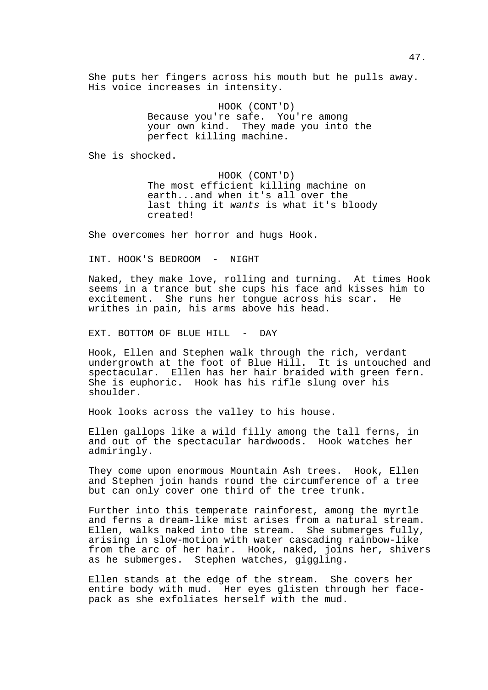She puts her fingers across his mouth but he pulls away. His voice increases in intensity.

> HOOK (CONT'D) Because you're safe. You're among your own kind. They made you into the perfect killing machine.

She is shocked.

HOOK (CONT'D) The most efficient killing machine on earth...and when it's all over the last thing it wants is what it's bloody created!

She overcomes her horror and hugs Hook.

INT. HOOK'S BEDROOM - NIGHT

Naked, they make love, rolling and turning. At times Hook seems in a trance but she cups his face and kisses him to excitement. She runs her tongue across his scar. He writhes in pain, his arms above his head.

EXT. BOTTOM OF BLUE HILL - DAY

Hook, Ellen and Stephen walk through the rich, verdant undergrowth at the foot of Blue Hill. It is untouched and spectacular. Ellen has her hair braided with green fern. She is euphoric. Hook has his rifle slung over his shoulder.

Hook looks across the valley to his house.

Ellen gallops like a wild filly among the tall ferns, in and out of the spectacular hardwoods. Hook watches her admiringly.

They come upon enormous Mountain Ash trees. Hook, Ellen and Stephen join hands round the circumference of a tree but can only cover one third of the tree trunk.

Further into this temperate rainforest, among the myrtle and ferns a dream-like mist arises from a natural stream. Ellen, walks naked into the stream. She submerges fully, arising in slow-motion with water cascading rainbow-like from the arc of her hair. Hook, naked, joins her, shivers as he submerges. Stephen watches, giggling.

Ellen stands at the edge of the stream. She covers her entire body with mud. Her eyes glisten through her facepack as she exfoliates herself with the mud.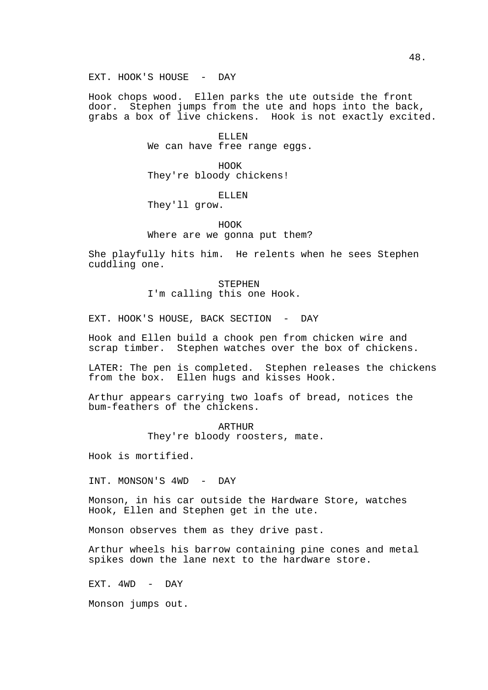EXT. HOOK'S HOUSE - DAY

Hook chops wood. Ellen parks the ute outside the front door. Stephen jumps from the ute and hops into the back, grabs a box of live chickens. Hook is not exactly excited.

> ELLEN We can have free range eggs.

HOOK They're bloody chickens!

ELLEN

They'll grow.

HOOK Where are we gonna put them?

She playfully hits him. He relents when he sees Stephen cuddling one.

> STEPHEN I'm calling this one Hook.

EXT. HOOK'S HOUSE, BACK SECTION - DAY

Hook and Ellen build a chook pen from chicken wire and scrap timber. Stephen watches over the box of chickens.

LATER: The pen is completed. Stephen releases the chickens from the box. Ellen hugs and kisses Hook.

Arthur appears carrying two loafs of bread, notices the bum-feathers of the chickens.

> ARTHUR They're bloody roosters, mate.

Hook is mortified.

INT. MONSON'S 4WD - DAY

Monson, in his car outside the Hardware Store, watches Hook, Ellen and Stephen get in the ute.

Monson observes them as they drive past.

Arthur wheels his barrow containing pine cones and metal spikes down the lane next to the hardware store.

EXT. 4WD - DAY

Monson jumps out.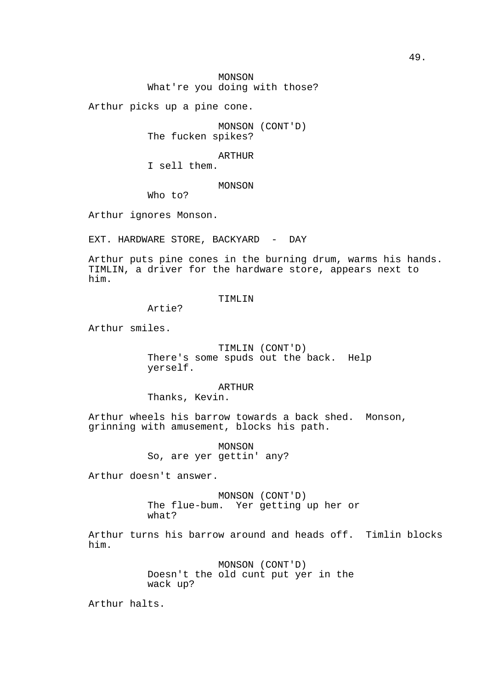Arthur picks up a pine cone.

MONSON (CONT'D) The fucken spikes?

ARTHUR

I sell them.

# MONSON

Who to?

Arthur ignores Monson.

EXT. HARDWARE STORE, BACKYARD - DAY

Arthur puts pine cones in the burning drum, warms his hands. TIMLIN, a driver for the hardware store, appears next to him.

### TIMLIN

Artie?

Arthur smiles.

TIMLIN (CONT'D) There's some spuds out the back. Help yerself.

ARTHUR

Thanks, Kevin.

Arthur wheels his barrow towards a back shed. Monson, grinning with amusement, blocks his path.

> MONSON So, are yer gettin' any?

Arthur doesn't answer.

MONSON (CONT'D) The flue-bum. Yer getting up her or what?

Arthur turns his barrow around and heads off. Timlin blocks him.

> MONSON (CONT'D) Doesn't the old cunt put yer in the wack up?

Arthur halts.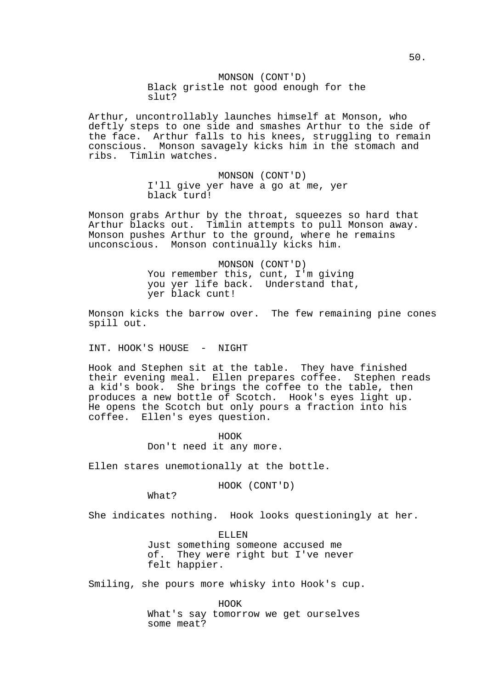### MONSON (CONT'D) Black gristle not good enough for the slut?

Arthur, uncontrollably launches himself at Monson, who deftly steps to one side and smashes Arthur to the side of the face. Arthur falls to his knees, struggling to remain conscious. Monson savagely kicks him in the stomach and ribs. Timlin watches.

> MONSON (CONT'D) I'll give yer have a go at me, yer black turd!

Monson grabs Arthur by the throat, squeezes so hard that Arthur blacks out. Timlin attempts to pull Monson away. Monson pushes Arthur to the ground, where he remains unconscious. Monson continually kicks him.

> MONSON (CONT'D) You remember this, cunt, I'm giving you yer life back. Understand that, yer black cunt!

Monson kicks the barrow over. The few remaining pine cones spill out.

INT. HOOK'S HOUSE - NIGHT

Hook and Stephen sit at the table. They have finished their evening meal. Ellen prepares coffee. Stephen reads a kid's book. She brings the coffee to the table, then produces a new bottle of Scotch. Hook's eyes light up. He opens the Scotch but only pours a fraction into his coffee. Ellen's eyes question.

> HOOK Don't need it any more.

Ellen stares unemotionally at the bottle.

HOOK (CONT'D)

What?

She indicates nothing. Hook looks questioningly at her.

ELLEN Just something someone accused me of. They were right but I've never felt happier.

Smiling, she pours more whisky into Hook's cup.

HOOK

What's say tomorrow we get ourselves some meat?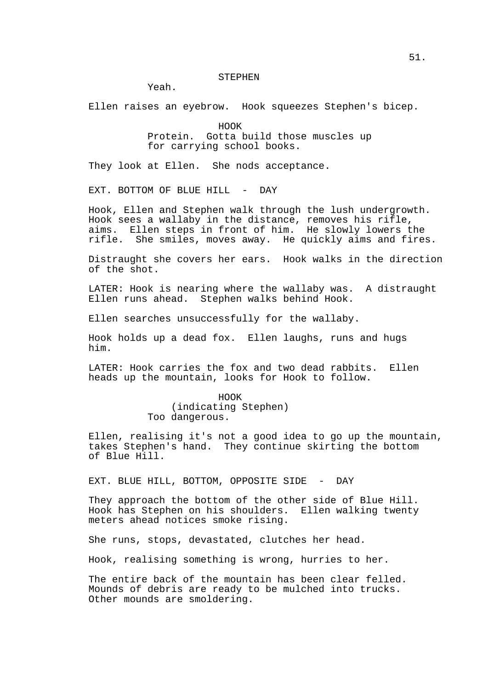### STEPHEN

Yeah.

Ellen raises an eyebrow. Hook squeezes Stephen's bicep.

HOOK Protein. Gotta build those muscles up for carrying school books.

They look at Ellen. She nods acceptance.

EXT. BOTTOM OF BLUE HILL - DAY

Hook, Ellen and Stephen walk through the lush undergrowth. Hook sees a wallaby in the distance, removes his rifle, aims. Ellen steps in front of him. He slowly lowers the rifle. She smiles, moves away. He quickly aims and fires.

Distraught she covers her ears. Hook walks in the direction of the shot.

LATER: Hook is nearing where the wallaby was. A distraught Ellen runs ahead. Stephen walks behind Hook.

Ellen searches unsuccessfully for the wallaby.

Hook holds up a dead fox. Ellen laughs, runs and hugs him.

LATER: Hook carries the fox and two dead rabbits. Ellen heads up the mountain, looks for Hook to follow.

> HOOK (indicating Stephen) Too dangerous.

Ellen, realising it's not a good idea to go up the mountain, takes Stephen's hand. They continue skirting the bottom of Blue Hill.

EXT. BLUE HILL, BOTTOM, OPPOSITE SIDE - DAY

They approach the bottom of the other side of Blue Hill. Hook has Stephen on his shoulders. Ellen walking twenty meters ahead notices smoke rising.

She runs, stops, devastated, clutches her head.

Hook, realising something is wrong, hurries to her.

The entire back of the mountain has been clear felled. Mounds of debris are ready to be mulched into trucks. Other mounds are smoldering.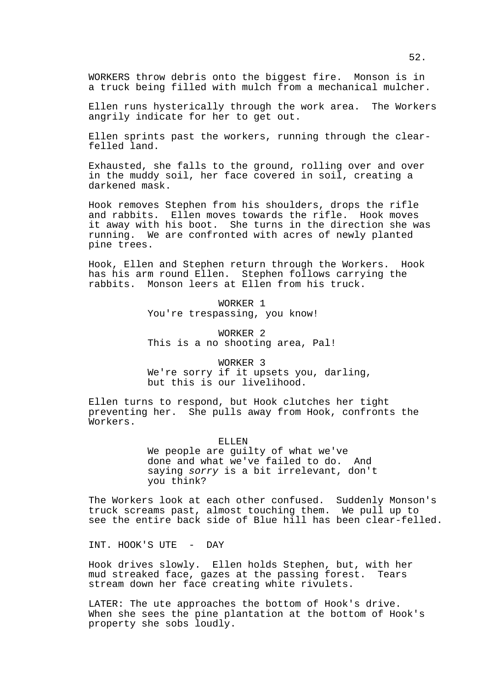WORKERS throw debris onto the biggest fire. Monson is in a truck being filled with mulch from a mechanical mulcher.

Ellen runs hysterically through the work area. The Workers angrily indicate for her to get out.

Ellen sprints past the workers, running through the clearfelled land.

Exhausted, she falls to the ground, rolling over and over in the muddy soil, her face covered in soil, creating a darkened mask.

Hook removes Stephen from his shoulders, drops the rifle and rabbits. Ellen moves towards the rifle. Hook moves it away with his boot. She turns in the direction she was running. We are confronted with acres of newly planted pine trees.

Hook, Ellen and Stephen return through the Workers. Hook has his arm round Ellen. Stephen follows carrying the rabbits. Monson leers at Ellen from his truck.

> WORKER 1 You're trespassing, you know!

WORKER<sub>2</sub> This is a no shooting area, Pal!

WORKER 3 We're sorry if it upsets you, darling, but this is our livelihood.

Ellen turns to respond, but Hook clutches her tight preventing her. She pulls away from Hook, confronts the Workers.

ELLEN

We people are guilty of what we've done and what we've failed to do. And saying sorry is a bit irrelevant, don't you think?

The Workers look at each other confused. Suddenly Monson's truck screams past, almost touching them. We pull up to see the entire back side of Blue hill has been clear-felled.

INT. HOOK'S UTE - DAY

Hook drives slowly. Ellen holds Stephen, but, with her mud streaked face, gazes at the passing forest. Tears stream down her face creating white rivulets.

LATER: The ute approaches the bottom of Hook's drive. When she sees the pine plantation at the bottom of Hook's property she sobs loudly.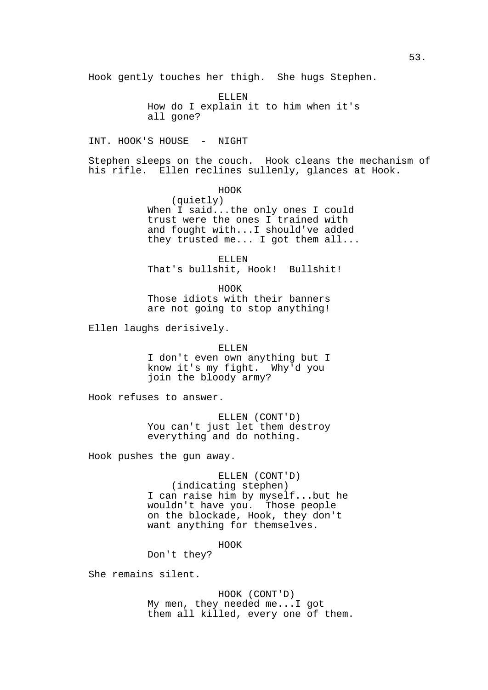Hook gently touches her thigh. She hugs Stephen.

ELLEN How do I explain it to him when it's all gone?

INT. HOOK'S HOUSE - NIGHT

Stephen sleeps on the couch. Hook cleans the mechanism of his rifle. Ellen reclines sullenly, glances at Hook.

HOOK

(quietly) When I said...the only ones I could trust were the ones I trained with and fought with...I should've added they trusted me... I got them all...

ELLEN That's bullshit, Hook! Bullshit!

HOOK Those idiots with their banners are not going to stop anything!

Ellen laughs derisively.

ELLEN

I don't even own anything but I know it's my fight. Why'd you join the bloody army?

Hook refuses to answer.

ELLEN (CONT'D) You can't just let them destroy everything and do nothing.

Hook pushes the gun away.

ELLEN (CONT'D) (indicating stephen) I can raise him by myself...but he wouldn't have you. Those people on the blockade, Hook, they don't want anything for themselves.

HOOK

Don't they?

She remains silent.

HOOK (CONT'D) My men, they needed me...I got them all killed, every one of them.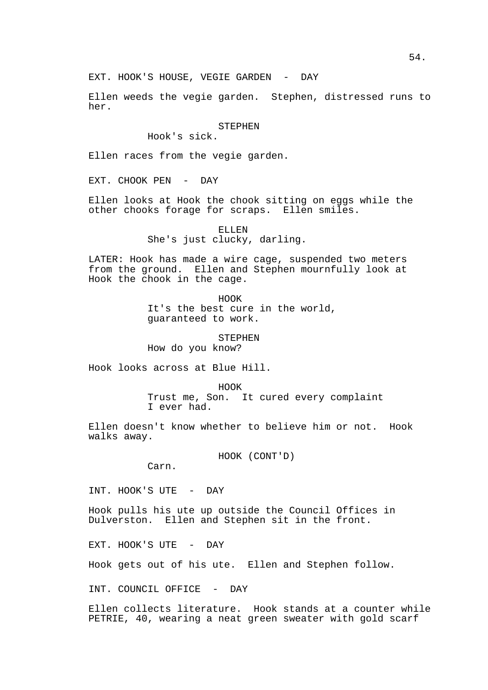Ellen weeds the vegie garden. Stephen, distressed runs to her.

#### STEPHEN

# Hook's sick.

Ellen races from the vegie garden.

EXT. CHOOK PEN - DAY

Ellen looks at Hook the chook sitting on eggs while the other chooks forage for scraps. Ellen smiles.

ELLEN

She's just clucky, darling.

LATER: Hook has made a wire cage, suspended two meters from the ground. Ellen and Stephen mournfully look at Hook the chook in the cage.

HOOK

It's the best cure in the world, guaranteed to work.

#### STEPHEN

How do you know?

Hook looks across at Blue Hill.

HOOK

Trust me, Son. It cured every complaint I ever had.

Ellen doesn't know whether to believe him or not. Hook walks away.

HOOK (CONT'D)

Carn.

INT. HOOK'S UTE - DAY

Hook pulls his ute up outside the Council Offices in Dulverston. Ellen and Stephen sit in the front.

EXT. HOOK'S UTE - DAY

Hook gets out of his ute. Ellen and Stephen follow.

INT. COUNCIL OFFICE - DAY

Ellen collects literature. Hook stands at a counter while PETRIE, 40, wearing a neat green sweater with gold scarf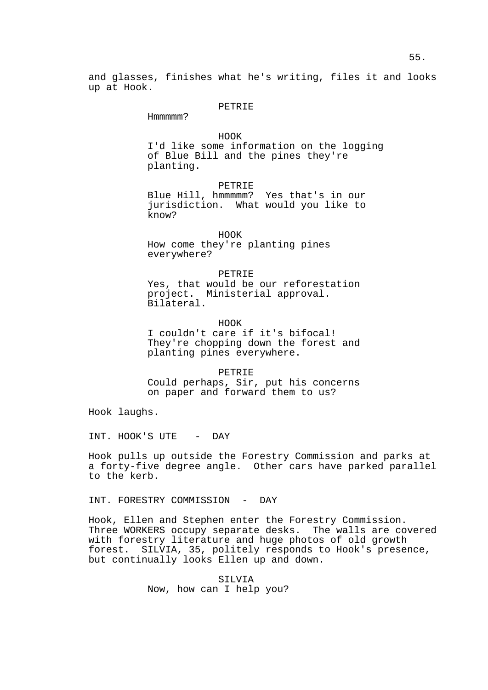and glasses, finishes what he's writing, files it and looks up at Hook.

#### PETRIE

Hmmmmm?

## HOOK

I'd like some information on the logging of Blue Bill and the pines they're planting.

### PETRIE

Blue Hill, hmmmmm? Yes that's in our jurisdiction. What would you like to know?

HOOK How come they're planting pines everywhere?

# PETRIE Yes, that would be our reforestation project. Ministerial approval. Bilateral.

HOOK

I couldn't care if it's bifocal! They're chopping down the forest and planting pines everywhere.

PETRIE Could perhaps, Sir, put his concerns on paper and forward them to us?

Hook laughs.

INT. HOOK'S UTE - DAY

Hook pulls up outside the Forestry Commission and parks at a forty-five degree angle. Other cars have parked parallel to the kerb.

INT. FORESTRY COMMISSION - DAY

Hook, Ellen and Stephen enter the Forestry Commission. Three WORKERS occupy separate desks. The walls are covered with forestry literature and huge photos of old growth forest. SILVIA, 35, politely responds to Hook's presence, but continually looks Ellen up and down.

> SILVIA Now, how can I help you?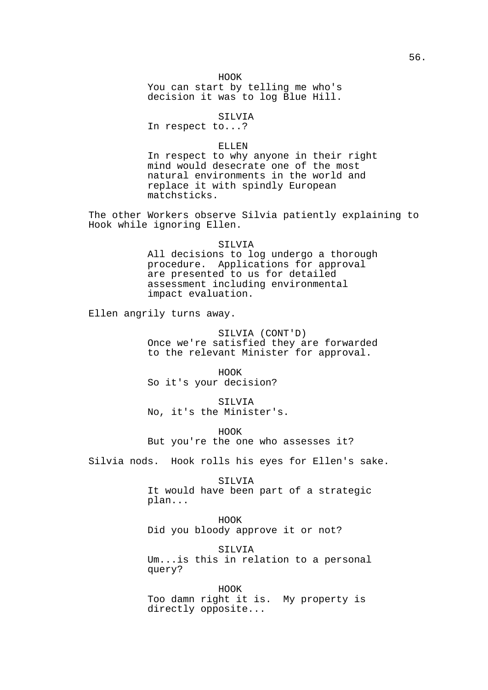HOOK You can start by telling me who's decision it was to log Blue Hill.

SILVIA

In respect to...?

### ELLEN

In respect to why anyone in their right mind would desecrate one of the most natural environments in the world and replace it with spindly European matchsticks.

The other Workers observe Silvia patiently explaining to Hook while ignoring Ellen.

# SILVIA All decisions to log undergo a thorough procedure. Applications for approval are presented to us for detailed assessment including environmental impact evaluation.

Ellen angrily turns away.

# SILVIA (CONT'D) Once we're satisfied they are forwarded to the relevant Minister for approval.

HOOK So it's your decision?

SILVIA No, it's the Minister's.

HOOK But you're the one who assesses it?

Silvia nods. Hook rolls his eyes for Ellen's sake.

### SILVIA

It would have been part of a strategic plan...

HOOK Did you bloody approve it or not?

SILVIA Um...is this in relation to a personal query?

HOOK

Too damn right it is. My property is directly opposite...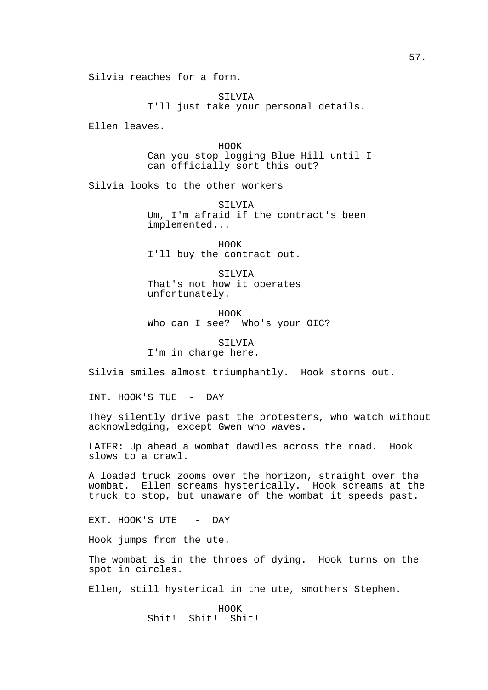Silvia reaches for a form.

SILVIA I'll just take your personal details.

Ellen leaves.

HOOK Can you stop logging Blue Hill until I can officially sort this out?

Silvia looks to the other workers

SILVIA Um, I'm afraid if the contract's been implemented...

HOOK I'll buy the contract out.

SILVIA That's not how it operates unfortunately.

HOOK Who can I see? Who's your OIC?

SILVIA I'm in charge here.

Silvia smiles almost triumphantly. Hook storms out.

INT. HOOK'S TUE - DAY

They silently drive past the protesters, who watch without acknowledging, except Gwen who waves.

LATER: Up ahead a wombat dawdles across the road. Hook slows to a crawl.

A loaded truck zooms over the horizon, straight over the wombat. Ellen screams hysterically. Hook screams at the truck to stop, but unaware of the wombat it speeds past.

EXT. HOOK'S UTE - DAY

Hook jumps from the ute.

The wombat is in the throes of dying. Hook turns on the spot in circles.

Ellen, still hysterical in the ute, smothers Stephen.

HOOK Shit! Shit! Shit!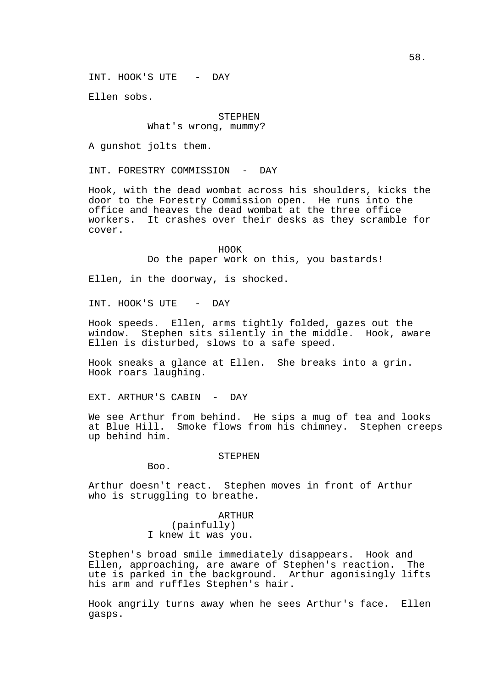INT. HOOK'S UTE - DAY

Ellen sobs.

STEPHEN What's wrong, mummy?

A gunshot jolts them.

INT. FORESTRY COMMISSION - DAY

Hook, with the dead wombat across his shoulders, kicks the door to the Forestry Commission open. He runs into the office and heaves the dead wombat at the three office workers. It crashes over their desks as they scramble for cover.

> HOOK Do the paper work on this, you bastards!

Ellen, in the doorway, is shocked.

INT. HOOK'S UTE - DAY

Hook speeds. Ellen, arms tightly folded, gazes out the window. Stephen sits silently in the middle. Hook, aware Ellen is disturbed, slows to a safe speed.

Hook sneaks a glance at Ellen. She breaks into a grin. Hook roars laughing.

EXT. ARTHUR'S CABIN - DAY

We see Arthur from behind. He sips a mug of tea and looks at Blue Hill. Smoke flows from his chimney. Stephen creeps up behind him.

### STEPHEN

Boo.

Arthur doesn't react. Stephen moves in front of Arthur who is struggling to breathe.

> ARTHUR (painfully) I knew it was you.

Stephen's broad smile immediately disappears. Hook and Ellen, approaching, are aware of Stephen's reaction. The ute is parked in the background. Arthur agonisingly lifts his arm and ruffles Stephen's hair.

Hook angrily turns away when he sees Arthur's face. Ellen gasps.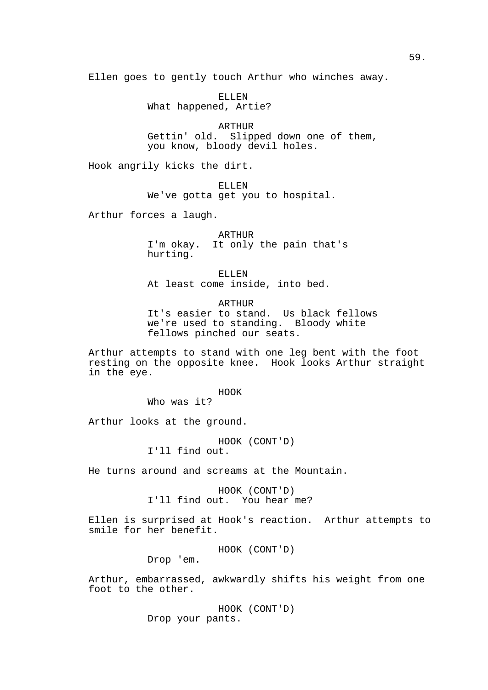Ellen goes to gently touch Arthur who winches away.

ELLEN What happened, Artie?

ARTHUR Gettin' old. Slipped down one of them, you know, bloody devil holes.

Hook angrily kicks the dirt.

ELLEN We've gotta get you to hospital.

Arthur forces a laugh.

ARTHUR I'm okay. It only the pain that's hurting.

ELLEN At least come inside, into bed.

ARTHUR

It's easier to stand. Us black fellows we're used to standing. Bloody white fellows pinched our seats.

Arthur attempts to stand with one leg bent with the foot resting on the opposite knee. Hook looks Arthur straight in the eye.

HOOK

Who was it?

Arthur looks at the ground.

HOOK (CONT'D) I'll find out.

He turns around and screams at the Mountain.

HOOK (CONT'D) I'll find out. You hear me?

Ellen is surprised at Hook's reaction. Arthur attempts to smile for her benefit.

HOOK (CONT'D)

Drop 'em.

Arthur, embarrassed, awkwardly shifts his weight from one foot to the other.

> HOOK (CONT'D) Drop your pants.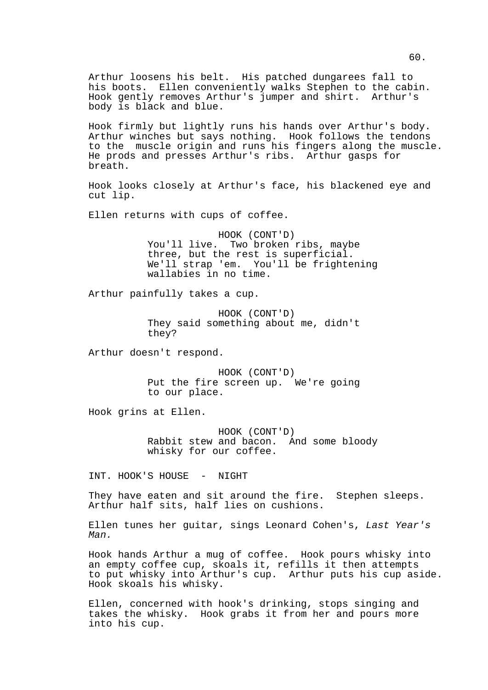Arthur loosens his belt. His patched dungarees fall to his boots. Ellen conveniently walks Stephen to the cabin. Hook gently removes Arthur's jumper and shirt. Arthur's body is black and blue.

Hook firmly but lightly runs his hands over Arthur's body. Arthur winches but says nothing. Hook follows the tendons to the muscle origin and runs his fingers along the muscle. He prods and presses Arthur's ribs. Arthur gasps for breath.

Hook looks closely at Arthur's face, his blackened eye and cut lip.

Ellen returns with cups of coffee.

HOOK (CONT'D) You'll live. Two broken ribs, maybe three, but the rest is superficial. We'll strap 'em. You'll be frightening wallabies in no time.

Arthur painfully takes a cup.

HOOK (CONT'D) They said something about me, didn't they?

Arthur doesn't respond.

HOOK (CONT'D) Put the fire screen up. We're going to our place.

Hook grins at Ellen.

HOOK (CONT'D) Rabbit stew and bacon. And some bloody whisky for our coffee.

INT. HOOK'S HOUSE - NIGHT

They have eaten and sit around the fire. Stephen sleeps. Arthur half sits, half lies on cushions.

Ellen tunes her guitar, sings Leonard Cohen's, Last Year's Man.

Hook hands Arthur a mug of coffee. Hook pours whisky into an empty coffee cup, skoals it, refills it then attempts to put whisky into Arthur's cup. Arthur puts his cup aside. Hook skoals his whisky.

Ellen, concerned with hook's drinking, stops singing and takes the whisky. Hook grabs it from her and pours more into his cup.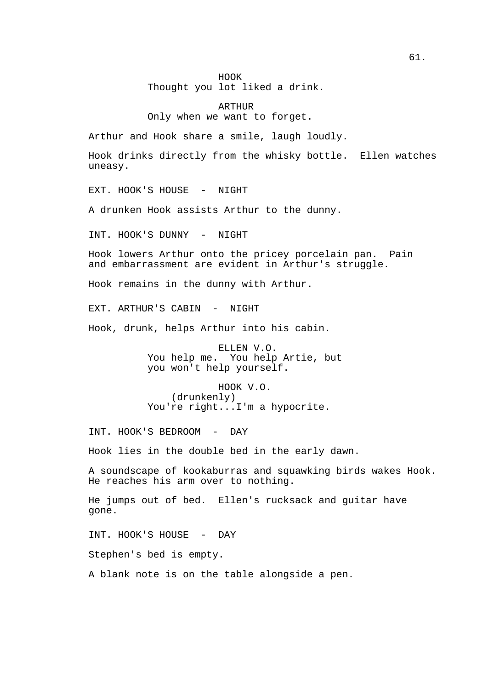HOOK Thought you lot liked a drink.

ARTHUR Only when we want to forget.

Arthur and Hook share a smile, laugh loudly.

Hook drinks directly from the whisky bottle. Ellen watches uneasy.

EXT. HOOK'S HOUSE - NIGHT

A drunken Hook assists Arthur to the dunny.

INT. HOOK'S DUNNY - NIGHT

Hook lowers Arthur onto the pricey porcelain pan. Pain and embarrassment are evident in Arthur's struggle.

Hook remains in the dunny with Arthur.

EXT. ARTHUR'S CABIN - NIGHT

Hook, drunk, helps Arthur into his cabin.

ELLEN V.O. You help me. You help Artie, but you won't help yourself.

HOOK V.O. (drunkenly) You're right...I'm a hypocrite.

INT. HOOK'S BEDROOM - DAY

Hook lies in the double bed in the early dawn.

A soundscape of kookaburras and squawking birds wakes Hook. He reaches his arm over to nothing.

He jumps out of bed. Ellen's rucksack and guitar have gone.

INT. HOOK'S HOUSE - DAY

Stephen's bed is empty.

A blank note is on the table alongside a pen.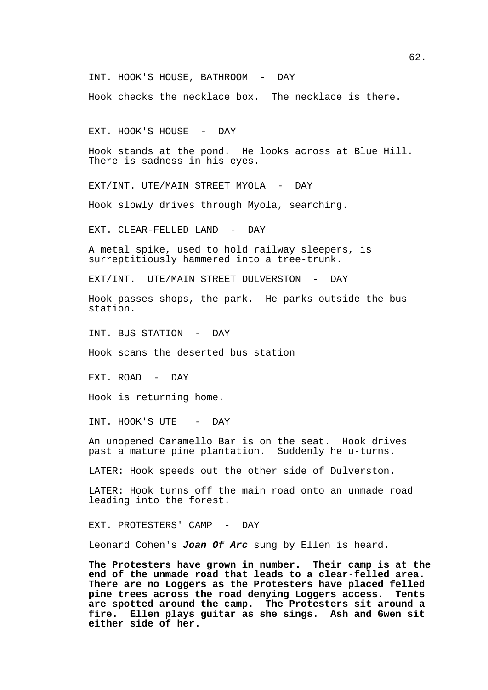INT. HOOK'S HOUSE, BATHROOM - DAY

Hook checks the necklace box. The necklace is there.

EXT. HOOK'S HOUSE - DAY

Hook stands at the pond. He looks across at Blue Hill. There is sadness in his eyes.

EXT/INT. UTE/MAIN STREET MYOLA - DAY

Hook slowly drives through Myola, searching.

EXT. CLEAR-FELLED LAND - DAY

A metal spike, used to hold railway sleepers, is surreptitiously hammered into a tree-trunk.

EXT/INT. UTE/MAIN STREET DULVERSTON - DAY

Hook passes shops, the park. He parks outside the bus station.

INT. BUS STATION - DAY

Hook scans the deserted bus station

EXT. ROAD - DAY

Hook is returning home.

INT. HOOK'S UTE - DAY

An unopened Caramello Bar is on the seat. Hook drives past a mature pine plantation. Suddenly he u-turns.

LATER: Hook speeds out the other side of Dulverston.

LATER: Hook turns off the main road onto an unmade road leading into the forest.

EXT. PROTESTERS' CAMP - DAY

Leonard Cohen's **Joan Of Arc** sung by Ellen is heard**.**

**The Protesters have grown in number. Their camp is at the end of the unmade road that leads to a clear-felled area. There are no Loggers as the Protesters have placed felled pine trees across the road denying Loggers access. Tents are spotted around the camp. The Protesters sit around a fire. Ellen plays guitar as she sings. Ash and Gwen sit either side of her.**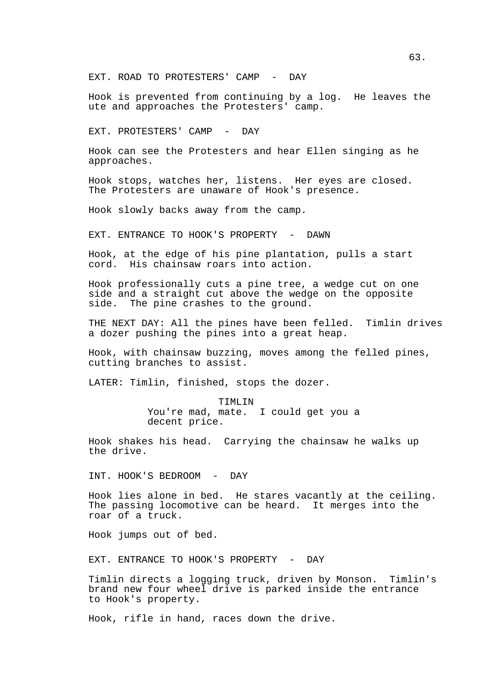EXT. ROAD TO PROTESTERS' CAMP - DAY

Hook is prevented from continuing by a log. He leaves the ute and approaches the Protesters' camp.

EXT. PROTESTERS' CAMP - DAY

Hook can see the Protesters and hear Ellen singing as he approaches.

Hook stops, watches her, listens. Her eyes are closed. The Protesters are unaware of Hook's presence.

Hook slowly backs away from the camp.

EXT. ENTRANCE TO HOOK'S PROPERTY - DAWN

Hook, at the edge of his pine plantation, pulls a start cord. His chainsaw roars into action.

Hook professionally cuts a pine tree, a wedge cut on one side and a straight cut above the wedge on the opposite side. The pine crashes to the ground.

THE NEXT DAY: All the pines have been felled. Timlin drives a dozer pushing the pines into a great heap.

Hook, with chainsaw buzzing, moves among the felled pines, cutting branches to assist.

LATER: Timlin, finished, stops the dozer.

TIMLIN You're mad, mate. I could get you a decent price.

Hook shakes his head. Carrying the chainsaw he walks up the drive.

INT. HOOK'S BEDROOM - DAY

Hook lies alone in bed. He stares vacantly at the ceiling. The passing locomotive can be heard. It merges into the roar of a truck.

Hook jumps out of bed.

EXT. ENTRANCE TO HOOK'S PROPERTY - DAY

Timlin directs a logging truck, driven by Monson. Timlin's brand new four wheel drive is parked inside the entrance to Hook's property.

Hook, rifle in hand, races down the drive.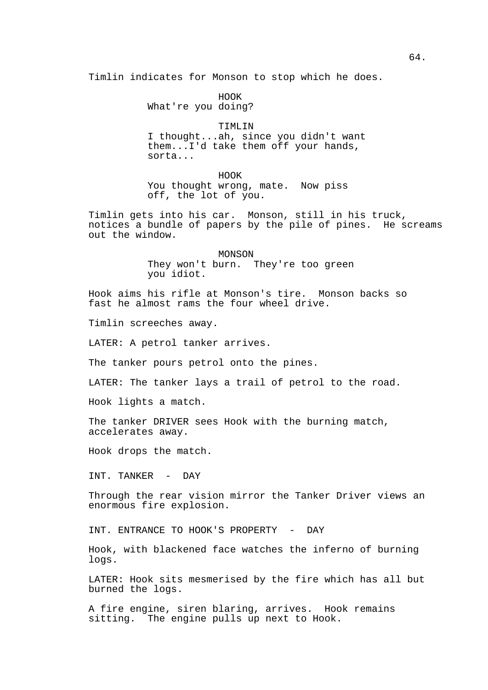Timlin indicates for Monson to stop which he does.

HOOK What're you doing?

TIMLIN I thought...ah, since you didn't want them...I'd take them off your hands, sorta...

HOOK You thought wrong, mate. Now piss off, the lot of you.

Timlin gets into his car. Monson, still in his truck, notices a bundle of papers by the pile of pines. He screams out the window.

> MONSON They won't burn. They're too green you idiot.

Hook aims his rifle at Monson's tire. Monson backs so fast he almost rams the four wheel drive.

Timlin screeches away.

LATER: A petrol tanker arrives.

The tanker pours petrol onto the pines.

LATER: The tanker lays a trail of petrol to the road.

Hook lights a match.

The tanker DRIVER sees Hook with the burning match, accelerates away.

Hook drops the match.

INT. TANKER - DAY

Through the rear vision mirror the Tanker Driver views an enormous fire explosion.

INT. ENTRANCE TO HOOK'S PROPERTY - DAY

Hook, with blackened face watches the inferno of burning logs.

LATER: Hook sits mesmerised by the fire which has all but burned the logs.

A fire engine, siren blaring, arrives. Hook remains sitting. The engine pulls up next to Hook.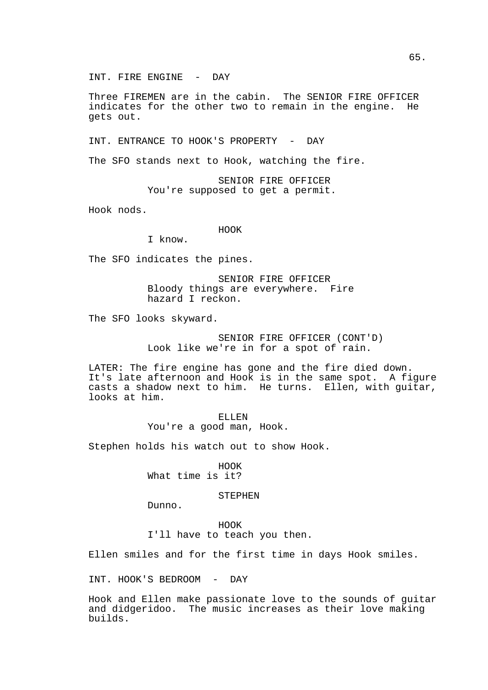INT. FIRE ENGINE - DAY

Three FIREMEN are in the cabin. The SENIOR FIRE OFFICER indicates for the other two to remain in the engine. He gets out.

INT. ENTRANCE TO HOOK'S PROPERTY - DAY

The SFO stands next to Hook, watching the fire.

SENIOR FIRE OFFICER You're supposed to get a permit.

Hook nods.

HOOK

I know.

The SFO indicates the pines.

SENIOR FIRE OFFICER Bloody things are everywhere. Fire hazard I reckon.

The SFO looks skyward.

SENIOR FIRE OFFICER (CONT'D) Look like we're in for a spot of rain.

LATER: The fire engine has gone and the fire died down. It's late afternoon and Hook is in the same spot. A figure casts a shadow next to him. He turns. Ellen, with guitar, looks at him.

> ELLEN You're a good man, Hook.

Stephen holds his watch out to show Hook.

HOOK What time is it?

STEPHEN

Dunno.

HOOK I'll have to teach you then.

Ellen smiles and for the first time in days Hook smiles.

INT. HOOK'S BEDROOM - DAY

Hook and Ellen make passionate love to the sounds of guitar and didgeridoo. The music increases as their love making builds.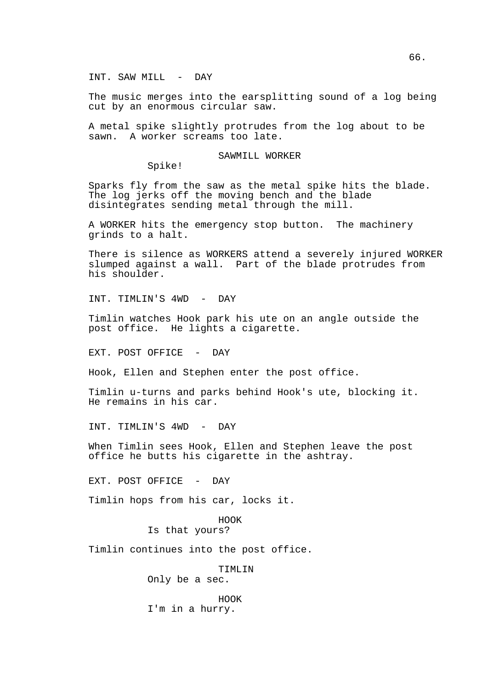### INT. SAW MILL - DAY

The music merges into the earsplitting sound of a log being cut by an enormous circular saw.

A metal spike slightly protrudes from the log about to be sawn. A worker screams too late.

## SAWMILL WORKER

Spike!

Sparks fly from the saw as the metal spike hits the blade. The log jerks off the moving bench and the blade disintegrates sending metal through the mill.

A WORKER hits the emergency stop button. The machinery grinds to a halt.

There is silence as WORKERS attend a severely injured WORKER slumped against a wall. Part of the blade protrudes from his shoulder.

INT. TIMLIN'S 4WD - DAY

Timlin watches Hook park his ute on an angle outside the post office. He lights a cigarette.

EXT. POST OFFICE - DAY

Hook, Ellen and Stephen enter the post office.

Timlin u-turns and parks behind Hook's ute, blocking it. He remains in his car.

INT. TIMLIN'S 4WD - DAY

When Timlin sees Hook, Ellen and Stephen leave the post office he butts his cigarette in the ashtray.

EXT. POST OFFICE - DAY

Timlin hops from his car, locks it.

# HOOK

Is that yours?

Timlin continues into the post office.

TIMLIN

Only be a sec.

HOOK I'm in a hurry.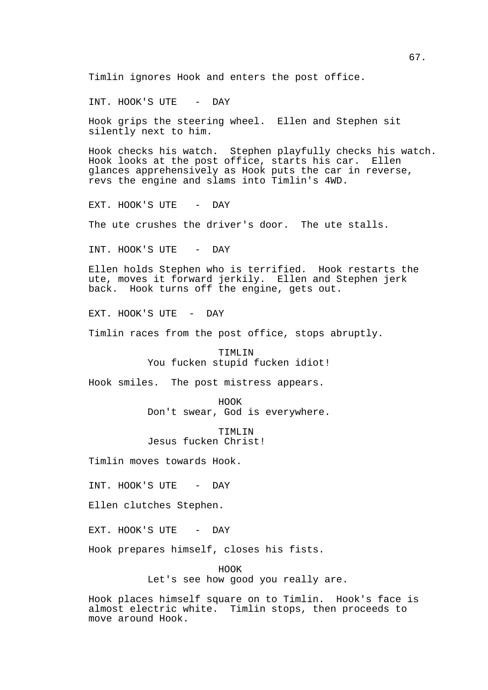Timlin ignores Hook and enters the post office.

INT. HOOK'S UTE - DAY

Hook grips the steering wheel. Ellen and Stephen sit silently next to him.

Hook checks his watch. Stephen playfully checks his watch. Hook looks at the post office, starts his car. Ellen glances apprehensively as Hook puts the car in reverse, revs the engine and slams into Timlin's 4WD.

EXT. HOOK'S UTE - DAY

The ute crushes the driver's door. The ute stalls.

INT. HOOK'S UTE - DAY

Ellen holds Stephen who is terrified. Hook restarts the ute, moves it forward jerkily. Ellen and Stephen jerk back. Hook turns off the engine, gets out.

EXT. HOOK'S UTE - DAY

Timlin races from the post office, stops abruptly.

TIMLIN You fucken stupid fucken idiot!

Hook smiles. The post mistress appears.

HOOK Don't swear, God is everywhere.

TIMLIN Jesus fucken Christ!

Timlin moves towards Hook.

INT. HOOK'S UTE - DAY

Ellen clutches Stephen.

EXT. HOOK'S UTE - DAY

Hook prepares himself, closes his fists.

HOOK

Let's see how good you really are.

Hook places himself square on to Timlin. Hook's face is almost electric white. Timlin stops, then proceeds to move around Hook.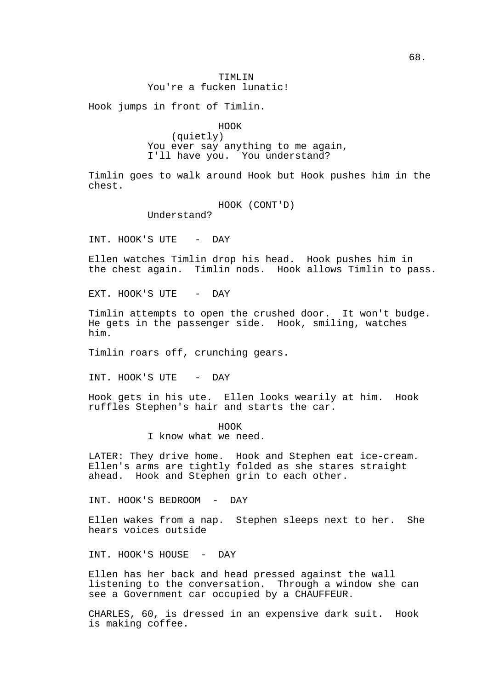### TIMLIN You're a fucken lunatic!

Hook jumps in front of Timlin.

HOOK

(quietly) You ever say anything to me again, I'll have you. You understand?

Timlin goes to walk around Hook but Hook pushes him in the chest.

> HOOK (CONT'D) Understand?

INT. HOOK'S UTE - DAY

Ellen watches Timlin drop his head. Hook pushes him in the chest again. Timlin nods. Hook allows Timlin to pass.

EXT. HOOK'S UTE - DAY

Timlin attempts to open the crushed door. It won't budge. He gets in the passenger side. Hook, smiling, watches him.

Timlin roars off, crunching gears.

INT. HOOK'S UTE - DAY

Hook gets in his ute. Ellen looks wearily at him. Hook ruffles Stephen's hair and starts the car.

> HOOK I know what we need.

LATER: They drive home. Hook and Stephen eat ice-cream. Ellen's arms are tightly folded as she stares straight ahead. Hook and Stephen grin to each other.

INT. HOOK'S BEDROOM - DAY

Ellen wakes from a nap. Stephen sleeps next to her. She hears voices outside

INT. HOOK'S HOUSE - DAY

Ellen has her back and head pressed against the wall listening to the conversation. Through a window she can see a Government car occupied by a CHAUFFEUR.

CHARLES, 60, is dressed in an expensive dark suit. Hook is making coffee.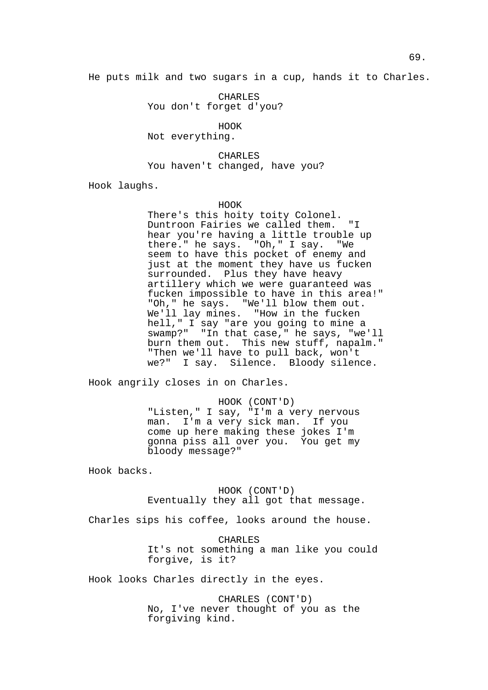He puts milk and two sugars in a cup, hands it to Charles.

CHARLES You don't forget d'you?

HOOK Not everything.

CHARLES You haven't changed, have you?

Hook laughs.

#### HOOK

There's this hoity toity Colonel. Duntroon Fairies we called them. "I hear you're having a little trouble up there." he says. "Oh," I say. "We seem to have this pocket of enemy and just at the moment they have us fucken surrounded. Plus they have heavy artillery which we were guaranteed was fucken impossible to have in this area!" "Oh," he says. "We'll blow them out. We'll lay mines. "How in the fucken hell," I say "are you going to mine a swamp?" "In that case," he says, "we'll burn them out. This new stuff, napalm." "Then we'll have to pull back, won't we?" I say. Silence. Bloody silence.

Hook angrily closes in on Charles.

### HOOK (CONT'D)

"Listen," I say, "I'm a very nervous man. I'm a very sick man. If you come up here making these jokes I'm gonna piss all over you. You get my bloody message?"

Hook backs.

# HOOK (CONT'D) Eventually they all got that message.

Charles sips his coffee, looks around the house.

CHARLES It's not something a man like you could forgive, is it?

Hook looks Charles directly in the eyes.

CHARLES (CONT'D) No, I've never thought of you as the forgiving kind.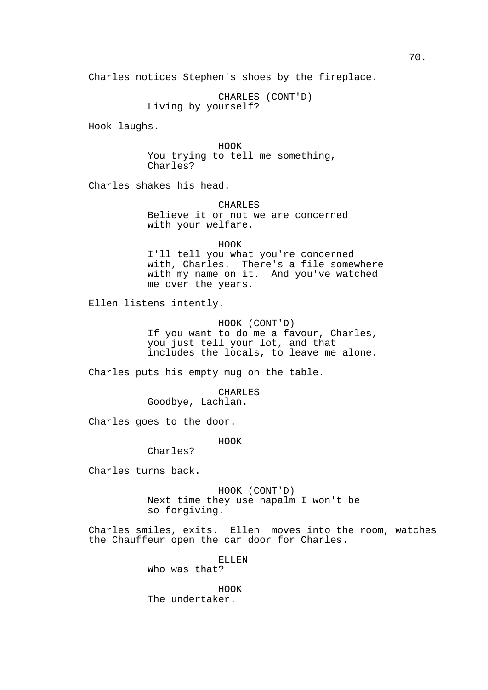Charles notices Stephen's shoes by the fireplace.

CHARLES (CONT'D) Living by yourself?

Hook laughs.

HOOK You trying to tell me something, Charles?

Charles shakes his head.

CHARLES Believe it or not we are concerned with your welfare.

HOOK I'll tell you what you're concerned with, Charles. There's a file somewhere with my name on it. And you've watched me over the years.

Ellen listens intently.

HOOK (CONT'D) If you want to do me a favour, Charles, you just tell your lot, and that includes the locals, to leave me alone.

Charles puts his empty mug on the table.

CHARLES

Goodbye, Lachlan.

Charles goes to the door.

HOOK

Charles?

Charles turns back.

HOOK (CONT'D) Next time they use napalm I won't be so forgiving.

Charles smiles, exits. Ellen moves into the room, watches the Chauffeur open the car door for Charles.

ELLEN

Who was that?

HOOK The undertaker.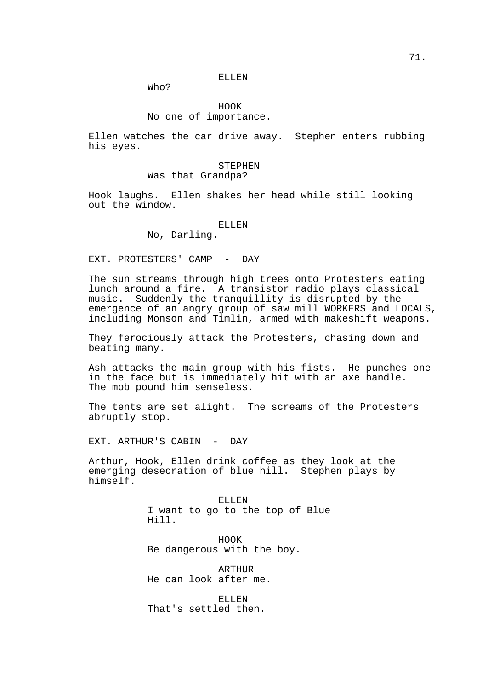Who?

# HOOK No one of importance.

Ellen watches the car drive away. Stephen enters rubbing his eyes.

### STEPHEN

Was that Grandpa?

Hook laughs. Ellen shakes her head while still looking out the window.

### ELLEN

No, Darling.

EXT. PROTESTERS' CAMP - DAY

The sun streams through high trees onto Protesters eating lunch around a fire. A transistor radio plays classical music. Suddenly the tranquillity is disrupted by the emergence of an angry group of saw mill WORKERS and LOCALS, including Monson and Timlin, armed with makeshift weapons.

They ferociously attack the Protesters, chasing down and beating many.

Ash attacks the main group with his fists. He punches one in the face but is immediately hit with an axe handle. The mob pound him senseless.

The tents are set alight. The screams of the Protesters abruptly stop.

EXT. ARTHUR'S CABIN - DAY

Arthur, Hook, Ellen drink coffee as they look at the emerging desecration of blue hill. Stephen plays by himself.

> ELLEN I want to go to the top of Blue Hill.

HOOK Be dangerous with the boy.

ARTHUR He can look after me.

ELLEN That's settled then.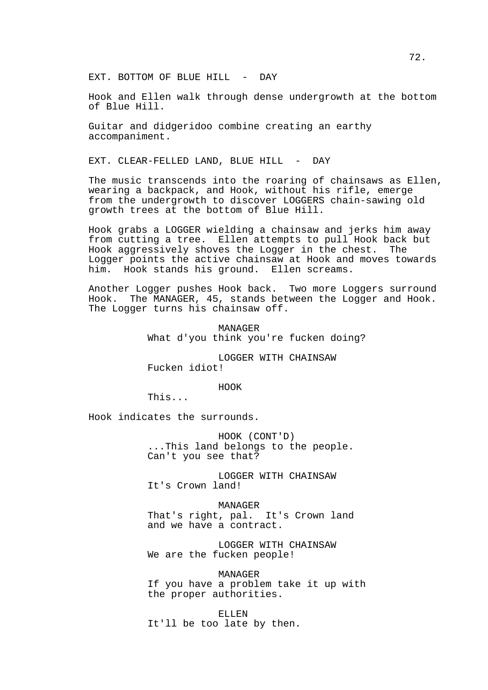## EXT. BOTTOM OF BLUE HILL - DAY

Hook and Ellen walk through dense undergrowth at the bottom of Blue Hill.

Guitar and didgeridoo combine creating an earthy accompaniment.

EXT. CLEAR-FELLED LAND, BLUE HILL - DAY

The music transcends into the roaring of chainsaws as Ellen, wearing a backpack, and Hook, without his rifle, emerge from the undergrowth to discover LOGGERS chain-sawing old growth trees at the bottom of Blue Hill.

Hook grabs a LOGGER wielding a chainsaw and jerks him away from cutting a tree. Ellen attempts to pull Hook back but Hook aggressively shoves the Logger in the chest. The Logger points the active chainsaw at Hook and moves towards him. Hook stands his ground. Ellen screams.

Another Logger pushes Hook back. Two more Loggers surround Hook. The MANAGER, 45, stands between the Logger and Hook. The Logger turns his chainsaw off.

> MANAGER What d'you think you're fucken doing?

LOGGER WITH CHAINSAW Fucken idiot!

HOOK

This...

Hook indicates the surrounds.

HOOK (CONT'D) ...This land belongs to the people. Can't you see that?

LOGGER WITH CHAINSAW It's Crown land!

MANAGER That's right, pal. It's Crown land and we have a contract.

LOGGER WITH CHAINSAW We are the fucken people!

MANAGER If you have a problem take it up with the proper authorities.

ELLEN It'll be too late by then.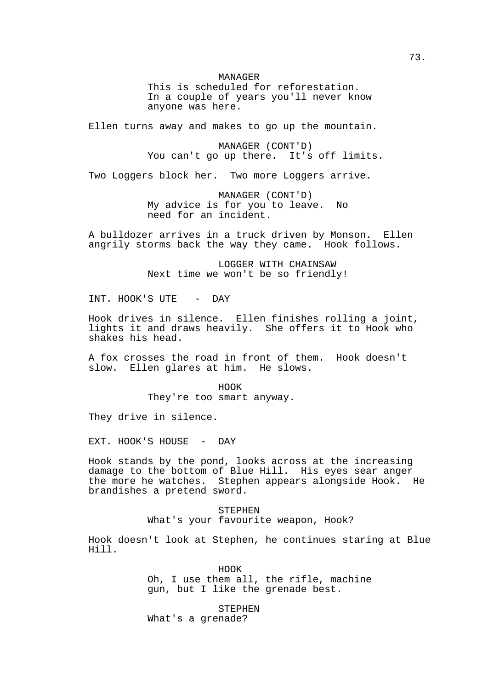MANAGER

This is scheduled for reforestation. In a couple of years you'll never know anyone was here.

Ellen turns away and makes to go up the mountain.

MANAGER (CONT'D) You can't go up there. It's off limits.

Two Loggers block her. Two more Loggers arrive.

MANAGER (CONT'D) My advice is for you to leave. No need for an incident.

A bulldozer arrives in a truck driven by Monson. Ellen angrily storms back the way they came. Hook follows.

> LOGGER WITH CHAINSAW Next time we won't be so friendly!

INT. HOOK'S UTE - DAY

Hook drives in silence. Ellen finishes rolling a joint, lights it and draws heavily. She offers it to Hook who shakes his head.

A fox crosses the road in front of them. Hook doesn't slow. Ellen glares at him. He slows.

> HOOK They're too smart anyway.

They drive in silence.

EXT. HOOK'S HOUSE - DAY

Hook stands by the pond, looks across at the increasing damage to the bottom of Blue Hill. His eyes sear anger the more he watches. Stephen appears alongside Hook. He brandishes a pretend sword.

> STEPHEN What's your favourite weapon, Hook?

Hook doesn't look at Stephen, he continues staring at Blue Hill.

> HOOK Oh, I use them all, the rifle, machine gun, but I like the grenade best.

> > STEPHEN

What's a grenade?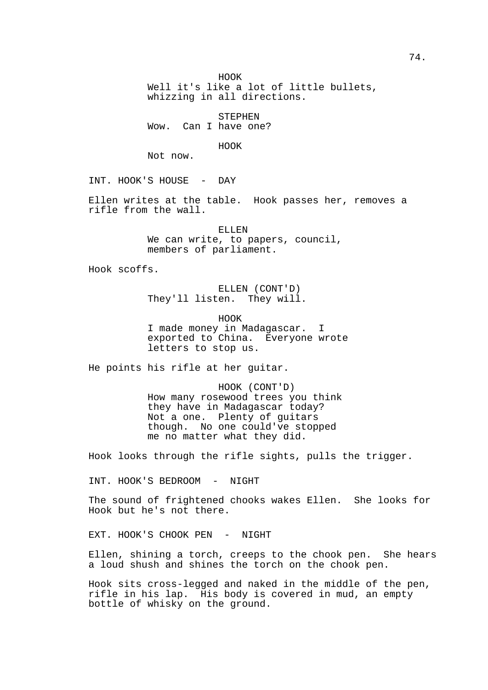HOOK

Well it's like a lot of little bullets, whizzing in all directions.

STEPHEN Wow. Can I have one?

HOOK

Not now.

INT. HOOK'S HOUSE - DAY

Ellen writes at the table. Hook passes her, removes a rifle from the wall.

> ELLEN We can write, to papers, council, members of parliament.

Hook scoffs.

ELLEN (CONT'D) They'll listen. They will.

HOOK I made money in Madagascar. I exported to China. Everyone wrote letters to stop us.

He points his rifle at her guitar.

HOOK (CONT'D) How many rosewood trees you think they have in Madagascar today? Not a one. Plenty of guitars though. No one could've stopped me no matter what they did.

Hook looks through the rifle sights, pulls the trigger.

INT. HOOK'S BEDROOM - NIGHT

The sound of frightened chooks wakes Ellen. She looks for Hook but he's not there.

EXT. HOOK'S CHOOK PEN - NIGHT

Ellen, shining a torch, creeps to the chook pen. She hears a loud shush and shines the torch on the chook pen.

Hook sits cross-legged and naked in the middle of the pen, rifle in his lap. His body is covered in mud, an empty bottle of whisky on the ground.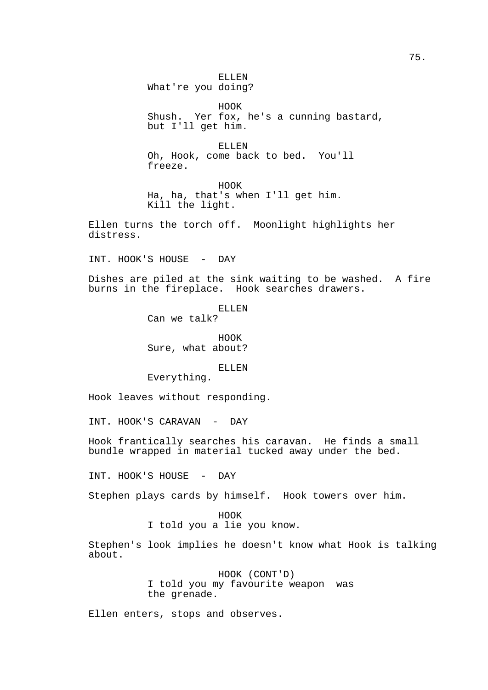ELLEN What're you doing?

HOOK Shush. Yer fox, he's a cunning bastard, but I'll get him.

ELLEN Oh, Hook, come back to bed. You'll freeze.

HOOK Ha, ha, that's when I'll get him. Kill the light.

Ellen turns the torch off. Moonlight highlights her distress.

INT. HOOK'S HOUSE - DAY

Dishes are piled at the sink waiting to be washed. A fire burns in the fireplace. Hook searches drawers.

ELLEN

Can we talk?

HOOK Sure, what about?

ELLEN

Everything.

Hook leaves without responding.

INT. HOOK'S CARAVAN - DAY

Hook frantically searches his caravan. He finds a small bundle wrapped in material tucked away under the bed.

INT. HOOK'S HOUSE - DAY

Stephen plays cards by himself. Hook towers over him.

HOOK I told you a lie you know.

Stephen's look implies he doesn't know what Hook is talking about.

> HOOK (CONT'D) I told you my favourite weapon was the grenade.

Ellen enters, stops and observes.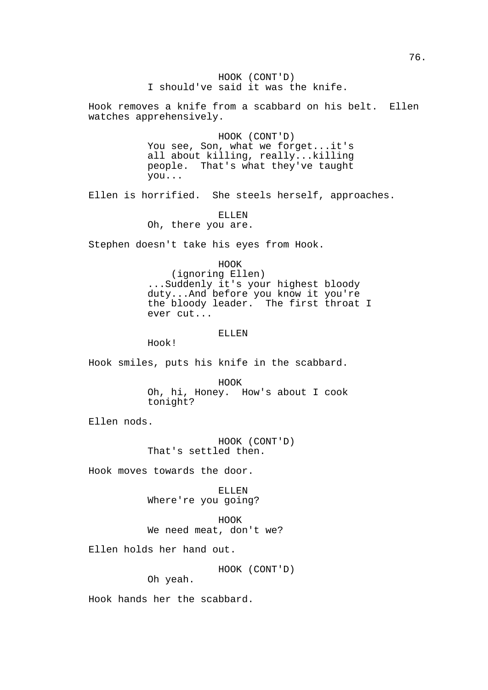HOOK (CONT'D) I should've said it was the knife.

Hook removes a knife from a scabbard on his belt. Ellen watches apprehensively.

> HOOK (CONT'D) You see, Son, what we forget...it's all about killing, really...killing people. That's what they've taught you...

Ellen is horrified. She steels herself, approaches.

ELLEN Oh, there you are.

Stephen doesn't take his eyes from Hook.

HOOK

(ignoring Ellen) ...Suddenly it's your highest bloody duty...And before you know it you're the bloody leader. The first throat I ever cut...

# ELLEN

Hook!

Hook smiles, puts his knife in the scabbard.

HOOK Oh, hi, Honey. How's about I cook tonight?

Ellen nods.

HOOK (CONT'D) That's settled then.

Hook moves towards the door.

ELLEN Where're you going?

HOOK We need meat, don't we?

Ellen holds her hand out.

HOOK (CONT'D)

Oh yeah.

Hook hands her the scabbard.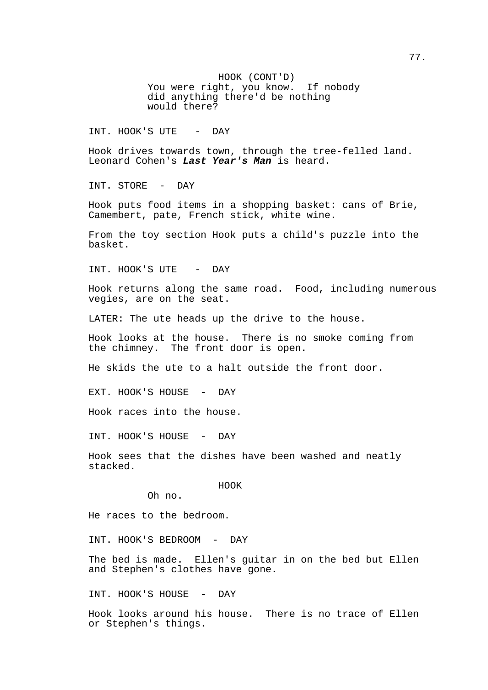HOOK (CONT'D) You were right, you know. If nobody did anything there'd be nothing would there?

INT. HOOK'S UTE - DAY

Hook drives towards town, through the tree-felled land. Leonard Cohen's **Last Year's Man** is heard.

INT. STORE - DAY

Hook puts food items in a shopping basket: cans of Brie, Camembert, pate, French stick, white wine.

From the toy section Hook puts a child's puzzle into the basket.

INT. HOOK'S UTE - DAY

Hook returns along the same road. Food, including numerous vegies, are on the seat.

LATER: The ute heads up the drive to the house.

Hook looks at the house. There is no smoke coming from the chimney. The front door is open.

He skids the ute to a halt outside the front door.

EXT. HOOK'S HOUSE - DAY

Hook races into the house.

INT. HOOK'S HOUSE - DAY

Hook sees that the dishes have been washed and neatly stacked.

HOOK

Oh no.

He races to the bedroom.

INT. HOOK'S BEDROOM - DAY

The bed is made. Ellen's guitar in on the bed but Ellen and Stephen's clothes have gone.

INT. HOOK'S HOUSE - DAY

Hook looks around his house. There is no trace of Ellen or Stephen's things.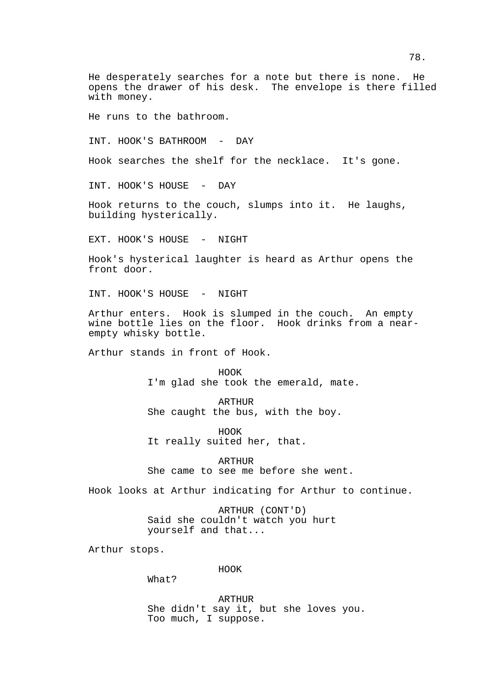He desperately searches for a note but there is none. He opens the drawer of his desk. The envelope is there filled with money.

He runs to the bathroom.

INT. HOOK'S BATHROOM - DAY

Hook searches the shelf for the necklace. It's gone.

INT. HOOK'S HOUSE - DAY

Hook returns to the couch, slumps into it. He laughs, building hysterically.

EXT. HOOK'S HOUSE - NIGHT

Hook's hysterical laughter is heard as Arthur opens the front door.

INT. HOOK'S HOUSE - NIGHT

Arthur enters. Hook is slumped in the couch. An empty wine bottle lies on the floor. Hook drinks from a nearempty whisky bottle.

Arthur stands in front of Hook.

HOOK I'm glad she took the emerald, mate.

ARTHUR She caught the bus, with the boy.

HOOK It really suited her, that.

ARTHUR She came to see me before she went.

Hook looks at Arthur indicating for Arthur to continue.

ARTHUR (CONT'D) Said she couldn't watch you hurt yourself and that...

Arthur stops.

HOOK

What?

ARTHUR She didn't say it, but she loves you. Too much, I suppose.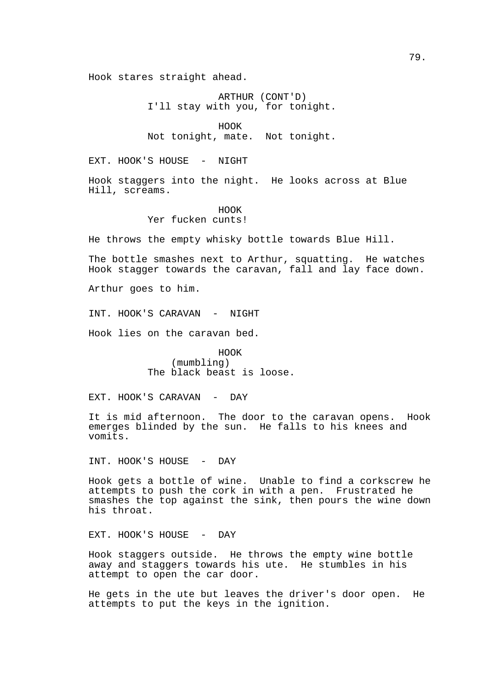Hook stares straight ahead.

ARTHUR (CONT'D) I'll stay with you, for tonight.

HOOK Not tonight, mate. Not tonight.

EXT. HOOK'S HOUSE - NIGHT

Hook staggers into the night. He looks across at Blue Hill, screams.

# HOOK

Yer fucken cunts!

He throws the empty whisky bottle towards Blue Hill.

The bottle smashes next to Arthur, squatting. He watches Hook stagger towards the caravan, fall and lay face down.

Arthur goes to him.

INT. HOOK'S CARAVAN - NIGHT

Hook lies on the caravan bed.

HOOK (mumbling) The black beast is loose.

EXT. HOOK'S CARAVAN - DAY

It is mid afternoon. The door to the caravan opens. Hook emerges blinded by the sun. He falls to his knees and vomits.

INT. HOOK'S HOUSE - DAY

Hook gets a bottle of wine. Unable to find a corkscrew he attempts to push the cork in with a pen. Frustrated he smashes the top against the sink, then pours the wine down his throat.

EXT. HOOK'S HOUSE - DAY

Hook staggers outside. He throws the empty wine bottle away and staggers towards his ute. He stumbles in his attempt to open the car door.

He gets in the ute but leaves the driver's door open. He attempts to put the keys in the ignition.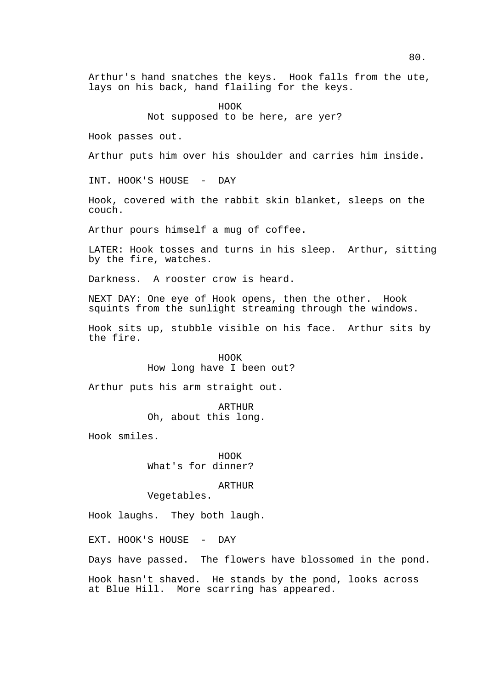Arthur's hand snatches the keys. Hook falls from the ute, lays on his back, hand flailing for the keys.

> HOOK Not supposed to be here, are yer?

Hook passes out.

Arthur puts him over his shoulder and carries him inside.

INT. HOOK'S HOUSE - DAY

Hook, covered with the rabbit skin blanket, sleeps on the couch.

Arthur pours himself a mug of coffee.

LATER: Hook tosses and turns in his sleep. Arthur, sitting by the fire, watches.

Darkness. A rooster crow is heard.

NEXT DAY: One eye of Hook opens, then the other. Hook squints from the sunlight streaming through the windows.

Hook sits up, stubble visible on his face. Arthur sits by the fire.

> HOOK How long have I been out?

Arthur puts his arm straight out.

ARTHUR Oh, about this long.

Hook smiles.

HOOK What's for dinner?

ARTHUR

Vegetables.

Hook laughs. They both laugh.

EXT. HOOK'S HOUSE - DAY

Days have passed. The flowers have blossomed in the pond.

Hook hasn't shaved. He stands by the pond, looks across at Blue Hill. More scarring has appeared.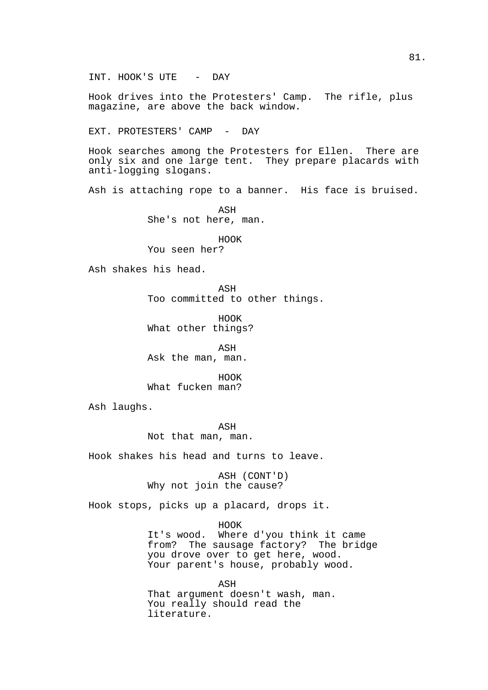INT. HOOK'S UTE - DAY

Hook drives into the Protesters' Camp. The rifle, plus magazine, are above the back window.

EXT. PROTESTERS' CAMP - DAY

Hook searches among the Protesters for Ellen. There are only six and one large tent. They prepare placards with anti-logging slogans.

Ash is attaching rope to a banner. His face is bruised.

ASH She's not here, man.

HOOK You seen her?

Ash shakes his head.

ASH Too committed to other things.

HOOK What other things?

ASH Ask the man, man.

HOOK What fucken man?

Ash laughs.

ASH Not that man, man.

Hook shakes his head and turns to leave.

ASH (CONT'D) Why not join the cause?

Hook stops, picks up a placard, drops it.

HOOK

It's wood. Where d'you think it came from? The sausage factory? The bridge you drove over to get here, wood. Your parent's house, probably wood.

ASH That argument doesn't wash, man. You really should read the literature.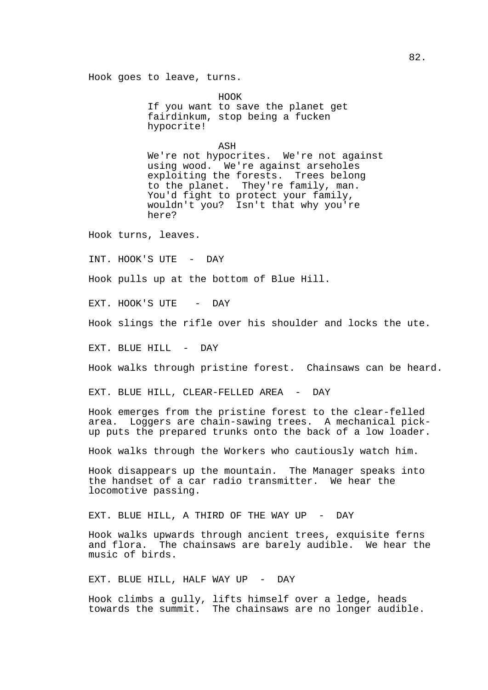Hook goes to leave, turns.

HOOK If you want to save the planet get fairdinkum, stop being a fucken hypocrite!

ASH We're not hypocrites. We're not against using wood. We're against arseholes exploiting the forests. Trees belong to the planet. They're family, man. You'd fight to protect your family, wouldn't you? Isn't that why you're here?

Hook turns, leaves.

INT. HOOK'S UTE - DAY

Hook pulls up at the bottom of Blue Hill.

EXT. HOOK'S UTE - DAY

Hook slings the rifle over his shoulder and locks the ute.

EXT. BLUE HILL - DAY

Hook walks through pristine forest. Chainsaws can be heard.

EXT. BLUE HILL, CLEAR-FELLED AREA - DAY

Hook emerges from the pristine forest to the clear-felled area. Loggers are chain-sawing trees. A mechanical pickup puts the prepared trunks onto the back of a low loader.

Hook walks through the Workers who cautiously watch him.

Hook disappears up the mountain. The Manager speaks into the handset of a car radio transmitter. We hear the locomotive passing.

EXT. BLUE HILL, A THIRD OF THE WAY UP - DAY

Hook walks upwards through ancient trees, exquisite ferns and flora. The chainsaws are barely audible. We hear the music of birds.

EXT. BLUE HILL, HALF WAY UP - DAY

Hook climbs a gully, lifts himself over a ledge, heads towards the summit. The chainsaws are no longer audible.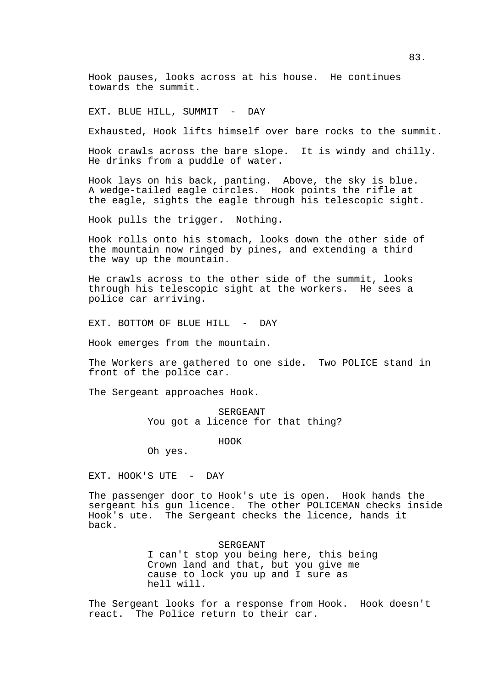Hook pauses, looks across at his house. He continues towards the summit.

EXT. BLUE HILL, SUMMIT - DAY

Exhausted, Hook lifts himself over bare rocks to the summit.

Hook crawls across the bare slope. It is windy and chilly. He drinks from a puddle of water.

Hook lays on his back, panting. Above, the sky is blue. A wedge-tailed eagle circles. Hook points the rifle at the eagle, sights the eagle through his telescopic sight.

Hook pulls the trigger. Nothing.

Hook rolls onto his stomach, looks down the other side of the mountain now ringed by pines, and extending a third the way up the mountain.

He crawls across to the other side of the summit, looks through his telescopic sight at the workers. He sees a police car arriving.

EXT. BOTTOM OF BLUE HILL - DAY

Hook emerges from the mountain.

The Workers are gathered to one side. Two POLICE stand in front of the police car.

The Sergeant approaches Hook.

SERGEANT You got a licence for that thing?

HOOK

Oh yes.

EXT. HOOK'S UTE - DAY

The passenger door to Hook's ute is open. Hook hands the sergeant his gun licence. The other POLICEMAN checks inside Hook's ute. The Sergeant checks the licence, hands it back.

> SERGEANT I can't stop you being here, this being Crown land and that, but you give me cause to lock you up and I sure as hell will.

The Sergeant looks for a response from Hook. Hook doesn't react. The Police return to their car.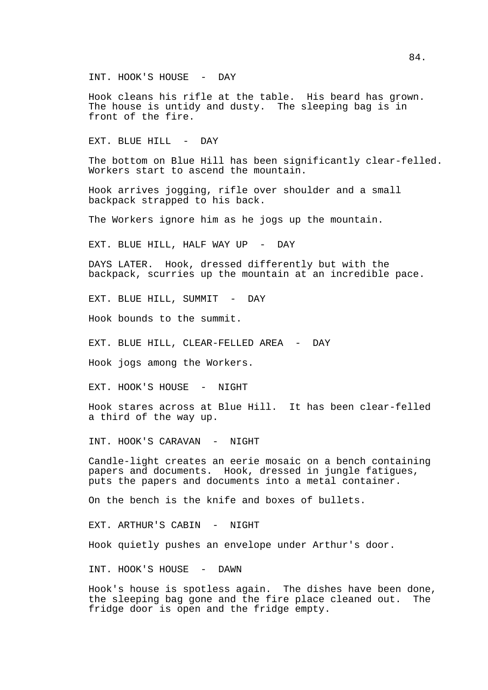INT. HOOK'S HOUSE - DAY

Hook cleans his rifle at the table. His beard has grown. The house is untidy and dusty. The sleeping bag is in front of the fire.

EXT. BLUE HILL - DAY

The bottom on Blue Hill has been significantly clear-felled. Workers start to ascend the mountain.

Hook arrives jogging, rifle over shoulder and a small backpack strapped to his back.

The Workers ignore him as he jogs up the mountain.

EXT. BLUE HILL, HALF WAY UP - DAY

DAYS LATER. Hook, dressed differently but with the backpack, scurries up the mountain at an incredible pace.

EXT. BLUE HILL, SUMMIT - DAY

Hook bounds to the summit.

EXT. BLUE HILL, CLEAR-FELLED AREA - DAY

Hook jogs among the Workers.

EXT. HOOK'S HOUSE - NIGHT

Hook stares across at Blue Hill. It has been clear-felled a third of the way up.

INT. HOOK'S CARAVAN - NIGHT

Candle-light creates an eerie mosaic on a bench containing papers and documents. Hook, dressed in jungle fatigues, puts the papers and documents into a metal container.

On the bench is the knife and boxes of bullets.

EXT. ARTHUR'S CABIN - NIGHT

Hook quietly pushes an envelope under Arthur's door.

INT. HOOK'S HOUSE - DAWN

Hook's house is spotless again. The dishes have been done, the sleeping bag gone and the fire place cleaned out. The fridge door is open and the fridge empty.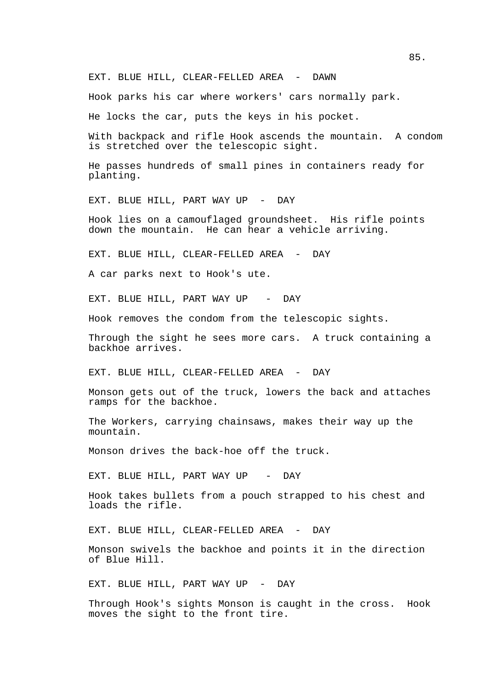EXT. BLUE HILL, CLEAR-FELLED AREA - DAWN

Hook parks his car where workers' cars normally park.

He locks the car, puts the keys in his pocket.

With backpack and rifle Hook ascends the mountain. A condom is stretched over the telescopic sight.

He passes hundreds of small pines in containers ready for planting.

EXT. BLUE HILL, PART WAY UP - DAY

Hook lies on a camouflaged groundsheet. His rifle points down the mountain. He can hear a vehicle arriving.

EXT. BLUE HILL, CLEAR-FELLED AREA - DAY

A car parks next to Hook's ute.

EXT. BLUE HILL, PART WAY UP - DAY

Hook removes the condom from the telescopic sights.

Through the sight he sees more cars. A truck containing a backhoe arrives.

EXT. BLUE HILL, CLEAR-FELLED AREA - DAY

Monson gets out of the truck, lowers the back and attaches ramps for the backhoe.

The Workers, carrying chainsaws, makes their way up the mountain.

Monson drives the back-hoe off the truck.

EXT. BLUE HILL, PART WAY UP - DAY

Hook takes bullets from a pouch strapped to his chest and loads the rifle.

EXT. BLUE HILL, CLEAR-FELLED AREA - DAY

Monson swivels the backhoe and points it in the direction of Blue Hill.

EXT. BLUE HILL, PART WAY UP - DAY

Through Hook's sights Monson is caught in the cross. Hook moves the sight to the front tire.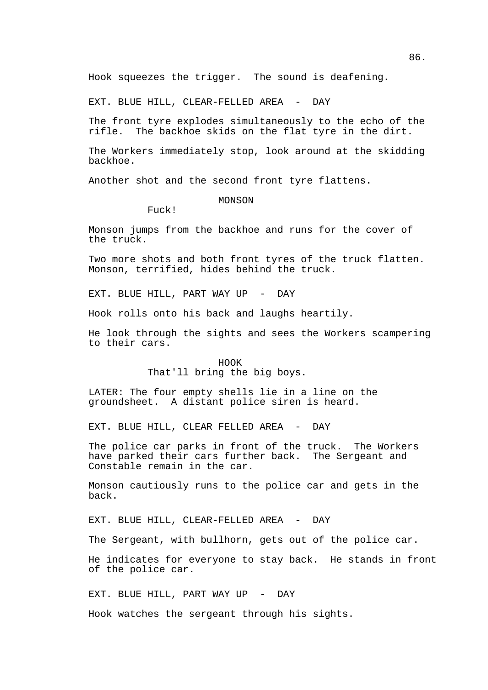Hook squeezes the trigger. The sound is deafening.

EXT. BLUE HILL, CLEAR-FELLED AREA - DAY

The front tyre explodes simultaneously to the echo of the rifle. The backhoe skids on the flat tyre in the dirt.

The Workers immediately stop, look around at the skidding backhoe.

Another shot and the second front tyre flattens.

# MONSON

Fuck!

Monson jumps from the backhoe and runs for the cover of the truck.

Two more shots and both front tyres of the truck flatten. Monson, terrified, hides behind the truck.

EXT. BLUE HILL, PART WAY UP - DAY

Hook rolls onto his back and laughs heartily.

He look through the sights and sees the Workers scampering to their cars.

> HOOK That'll bring the big boys.

LATER: The four empty shells lie in a line on the groundsheet. A distant police siren is heard.

EXT. BLUE HILL, CLEAR FELLED AREA - DAY

The police car parks in front of the truck. The Workers have parked their cars further back. The Sergeant and Constable remain in the car.

Monson cautiously runs to the police car and gets in the back.

EXT. BLUE HILL, CLEAR-FELLED AREA - DAY

The Sergeant, with bullhorn, gets out of the police car.

He indicates for everyone to stay back. He stands in front of the police car.

EXT. BLUE HILL, PART WAY UP - DAY

Hook watches the sergeant through his sights.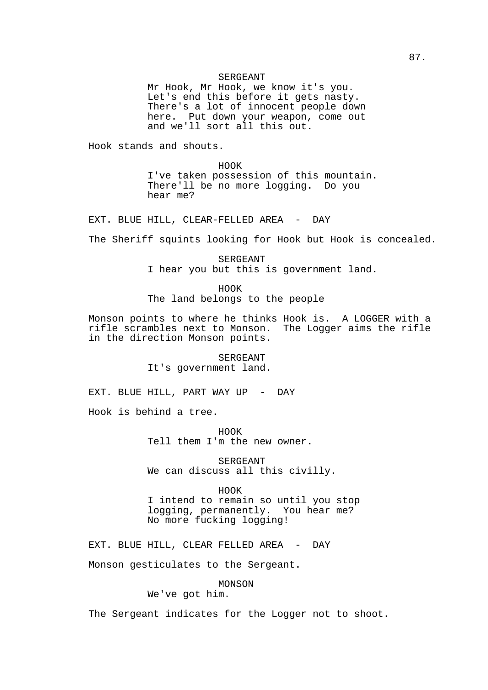### SERGEANT

Mr Hook, Mr Hook, we know it's you. Let's end this before it gets nasty. There's a lot of innocent people down here. Put down your weapon, come out and we'll sort all this out.

Hook stands and shouts.

HOOK I've taken possession of this mountain. There'll be no more logging. Do you hear me?

EXT. BLUE HILL, CLEAR-FELLED AREA - DAY

The Sheriff squints looking for Hook but Hook is concealed.

SERGEANT I hear you but this is government land.

HOOK The land belongs to the people

Monson points to where he thinks Hook is. A LOGGER with a rifle scrambles next to Monson. The Logger aims the rifle in the direction Monson points.

> SERGEANT It's government land.

EXT. BLUE HILL, PART WAY UP - DAY

Hook is behind a tree.

HOOK Tell them I'm the new owner.

SERGEANT We can discuss all this civilly.

HOOK I intend to remain so until you stop logging, permanently. You hear me? No more fucking logging!

EXT. BLUE HILL, CLEAR FELLED AREA - DAY

Monson gesticulates to the Sergeant.

MONSON

We've got him.

The Sergeant indicates for the Logger not to shoot.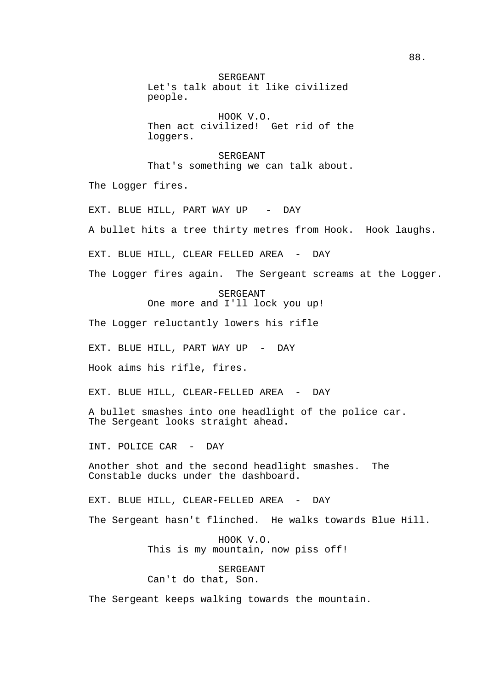SERGEANT Let's talk about it like civilized people.

HOOK V.O. Then act civilized! Get rid of the loggers.

SERGEANT That's something we can talk about.

The Logger fires.

EXT. BLUE HILL, PART WAY UP - DAY A bullet hits a tree thirty metres from Hook. Hook laughs. EXT. BLUE HILL, CLEAR FELLED AREA - DAY The Logger fires again. The Sergeant screams at the Logger. SERGEANT One more and I'll lock you up! The Logger reluctantly lowers his rifle EXT. BLUE HILL, PART WAY UP - DAY Hook aims his rifle, fires. EXT. BLUE HILL, CLEAR-FELLED AREA - DAY A bullet smashes into one headlight of the police car. The Sergeant looks straight ahead. INT. POLICE CAR - DAY Another shot and the second headlight smashes. The Constable ducks under the dashboard. EXT. BLUE HILL, CLEAR-FELLED AREA - DAY The Sergeant hasn't flinched. He walks towards Blue Hill. HOOK V.O. This is my mountain, now piss off! SERGEANT Can't do that, Son.

The Sergeant keeps walking towards the mountain.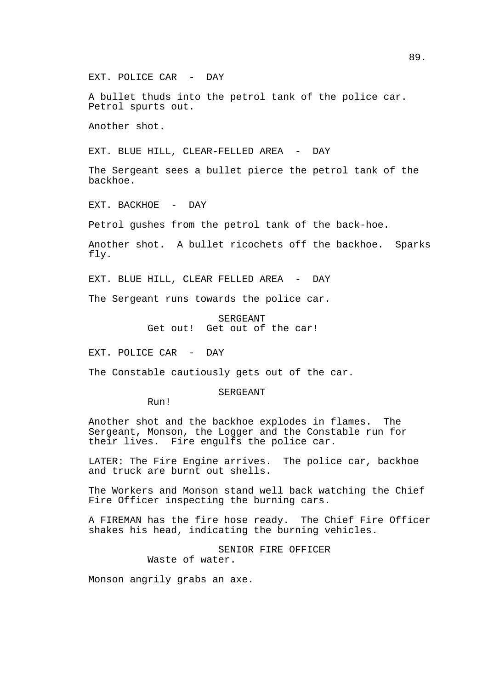EXT. POLICE CAR - DAY

A bullet thuds into the petrol tank of the police car. Petrol spurts out.

Another shot.

EXT. BLUE HILL, CLEAR-FELLED AREA - DAY

The Sergeant sees a bullet pierce the petrol tank of the backhoe.

EXT. BACKHOE - DAY

Petrol gushes from the petrol tank of the back-hoe.

Another shot. A bullet ricochets off the backhoe. Sparks fly.

EXT. BLUE HILL, CLEAR FELLED AREA - DAY

The Sergeant runs towards the police car.

SERGEANT Get out! Get out of the car!

EXT. POLICE CAR - DAY

The Constable cautiously gets out of the car.

SERGEANT

Run!

Another shot and the backhoe explodes in flames. The Sergeant, Monson, the Logger and the Constable run for their lives. Fire engulfs the police car.

LATER: The Fire Engine arrives. The police car, backhoe and truck are burnt out shells.

The Workers and Monson stand well back watching the Chief Fire Officer inspecting the burning cars.

A FIREMAN has the fire hose ready. The Chief Fire Officer shakes his head, indicating the burning vehicles.

> SENIOR FIRE OFFICER Waste of water.

Monson angrily grabs an axe.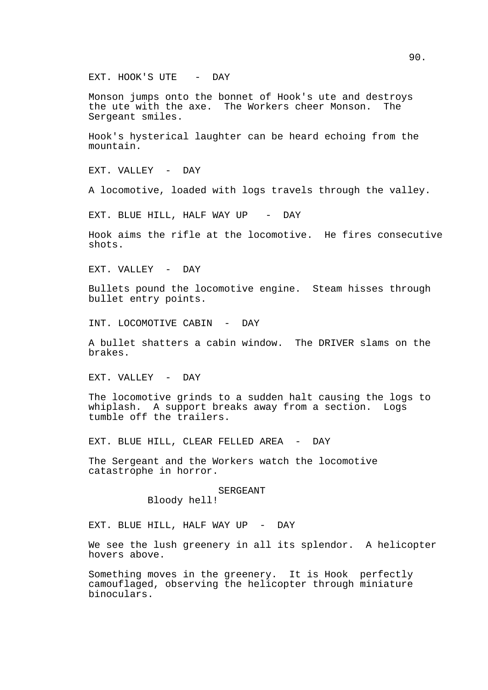EXT. HOOK'S UTE - DAY

Monson jumps onto the bonnet of Hook's ute and destroys the ute with the axe. The Workers cheer Monson. The Sergeant smiles.

Hook's hysterical laughter can be heard echoing from the mountain.

EXT. VALLEY - DAY

A locomotive, loaded with logs travels through the valley.

EXT. BLUE HILL, HALF WAY UP - DAY

Hook aims the rifle at the locomotive. He fires consecutive shots.

EXT. VALLEY - DAY

Bullets pound the locomotive engine. Steam hisses through bullet entry points.

INT. LOCOMOTIVE CABIN - DAY

A bullet shatters a cabin window. The DRIVER slams on the brakes.

EXT. VALLEY - DAY

The locomotive grinds to a sudden halt causing the logs to whiplash. A support breaks away from a section. Logs tumble off the trailers.

EXT. BLUE HILL, CLEAR FELLED AREA - DAY

The Sergeant and the Workers watch the locomotive catastrophe in horror.

SERGEANT

Bloody hell!

EXT. BLUE HILL, HALF WAY UP - DAY

We see the lush greenery in all its splendor. A helicopter hovers above.

Something moves in the greenery. It is Hook perfectly camouflaged, observing the helicopter through miniature binoculars.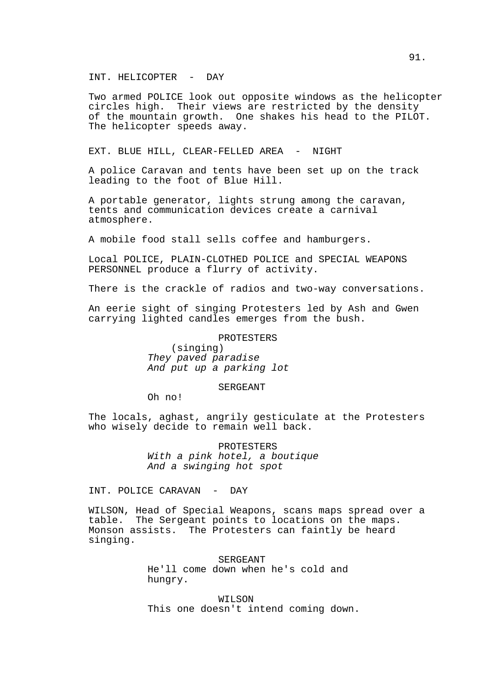INT. HELICOPTER - DAY

Two armed POLICE look out opposite windows as the helicopter circles high. Their views are restricted by the density of the mountain growth. One shakes his head to the PILOT. The helicopter speeds away.

EXT. BLUE HILL, CLEAR-FELLED AREA - NIGHT

A police Caravan and tents have been set up on the track leading to the foot of Blue Hill.

A portable generator, lights strung among the caravan, tents and communication devices create a carnival atmosphere.

A mobile food stall sells coffee and hamburgers.

Local POLICE, PLAIN-CLOTHED POLICE and SPECIAL WEAPONS PERSONNEL produce a flurry of activity.

There is the crackle of radios and two-way conversations.

An eerie sight of singing Protesters led by Ash and Gwen carrying lighted candles emerges from the bush.

PROTESTERS

(singing) They paved paradise And put up a parking lot

SERGEANT

Oh no!

The locals, aghast, angrily gesticulate at the Protesters who wisely decide to remain well back.

> PROTESTERS With a pink hotel, a boutique And a swinging hot spot

INT. POLICE CARAVAN - DAY

WILSON, Head of Special Weapons, scans maps spread over a table. The Sergeant points to locations on the maps. Monson assists. The Protesters can faintly be heard singing.

> SERGEANT He'll come down when he's cold and hungry.

WILSON This one doesn't intend coming down.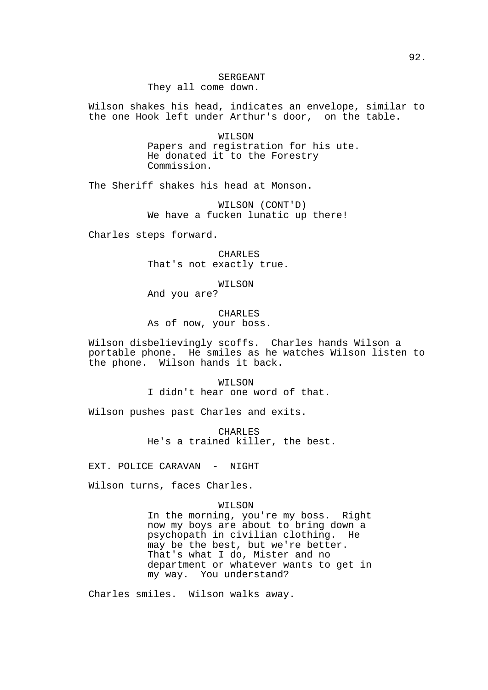## SERGEANT

They all come down.

Wilson shakes his head, indicates an envelope, similar to the one Hook left under Arthur's door, on the table.

> WILSON Papers and registration for his ute. He donated it to the Forestry Commission.

The Sheriff shakes his head at Monson.

WILSON (CONT'D) We have a fucken lunatic up there!

Charles steps forward.

CHARLES That's not exactly true.

WILSON

And you are?

CHARLES As of now, your boss.

Wilson disbelievingly scoffs. Charles hands Wilson a portable phone. He smiles as he watches Wilson listen to the phone. Wilson hands it back.

> WILSON I didn't hear one word of that.

Wilson pushes past Charles and exits.

CHARLES He's a trained killer, the best.

EXT. POLICE CARAVAN - NIGHT

Wilson turns, faces Charles.

### WILSON

In the morning, you're my boss. Right now my boys are about to bring down a psychopath in civilian clothing. He may be the best, but we're better. That's what I do, Mister and no department or whatever wants to get in my way. You understand?

Charles smiles. Wilson walks away.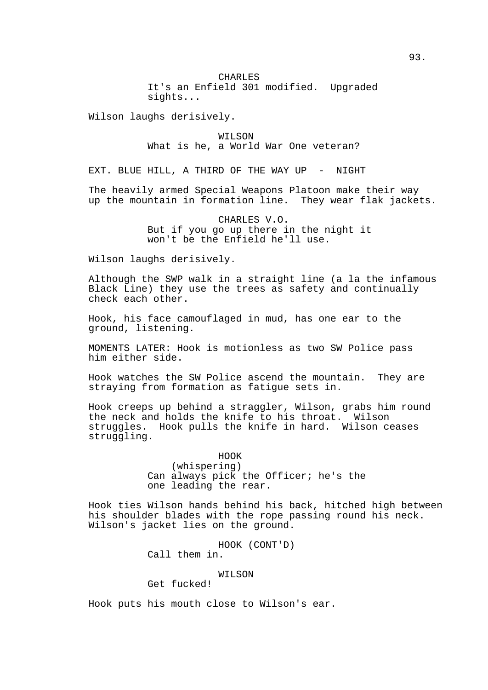CHARLES

It's an Enfield 301 modified. Upgraded sights...

Wilson laughs derisively.

WILSON What is he, a World War One veteran?

EXT. BLUE HILL, A THIRD OF THE WAY UP - NIGHT

The heavily armed Special Weapons Platoon make their way up the mountain in formation line. They wear flak jackets.

> CHARLES V.O. But if you go up there in the night it won't be the Enfield he'll use.

Wilson laughs derisively.

Although the SWP walk in a straight line (a la the infamous Black Line) they use the trees as safety and continually check each other.

Hook, his face camouflaged in mud, has one ear to the ground, listening.

MOMENTS LATER: Hook is motionless as two SW Police pass him either side.

Hook watches the SW Police ascend the mountain. They are straying from formation as fatigue sets in.

Hook creeps up behind a straggler, Wilson, grabs him round the neck and holds the knife to his throat. Wilson struggles. Hook pulls the knife in hard. Wilson ceases struggling.

> HOOK (whispering) Can always pick the Officer; he's the one leading the rear.

Hook ties Wilson hands behind his back, hitched high between his shoulder blades with the rope passing round his neck. Wilson's jacket lies on the ground.

> HOOK (CONT'D) Call them in.

> > WILSON

Get fucked!

Hook puts his mouth close to Wilson's ear.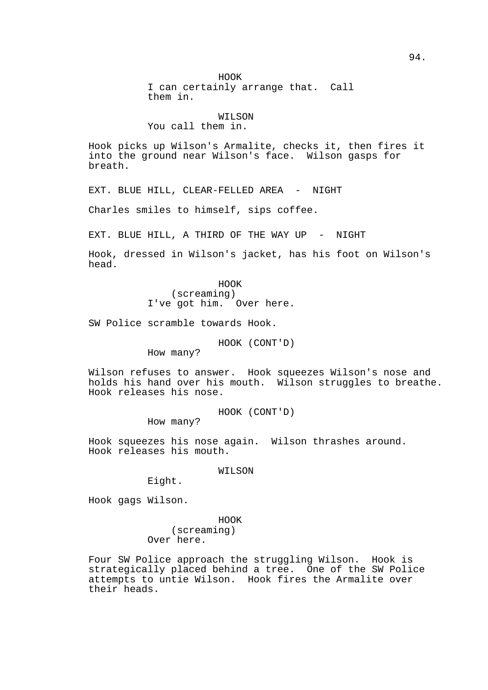HOOK

I can certainly arrange that. Call them in.

### WILSON

You call them in.

Hook picks up Wilson's Armalite, checks it, then fires it into the ground near Wilson's face. Wilson gasps for breath.

EXT. BLUE HILL, CLEAR-FELLED AREA - NIGHT

Charles smiles to himself, sips coffee.

EXT. BLUE HILL, A THIRD OF THE WAY UP - NIGHT

Hook, dressed in Wilson's jacket, has his foot on Wilson's head.

> HOOK (screaming) I've got him. Over here.

SW Police scramble towards Hook.

HOOK (CONT'D)

How many?

Wilson refuses to answer. Hook squeezes Wilson's nose and holds his hand over his mouth. Wilson struggles to breathe. Hook releases his nose.

HOOK (CONT'D)

How many?

Hook squeezes his nose again. Wilson thrashes around. Hook releases his mouth.

WILSON

Eight.

Hook gags Wilson.

# HOOK

(screaming) Over here.

Four SW Police approach the struggling Wilson. Hook is strategically placed behind a tree. One of the SW Police attempts to untie Wilson. Hook fires the Armalite over their heads.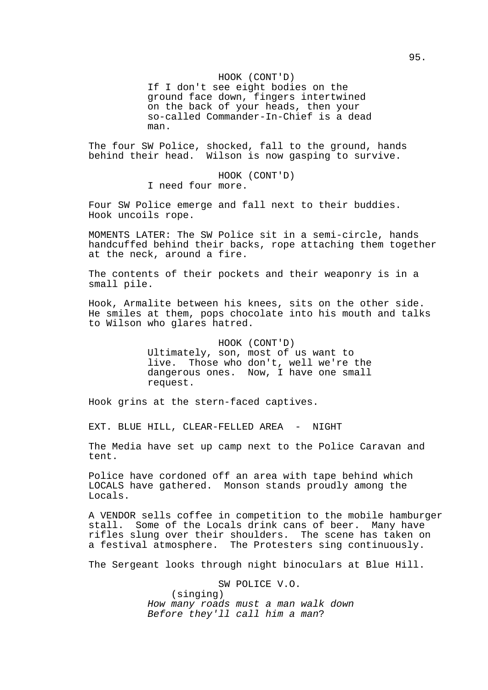### HOOK (CONT'D)

If I don't see eight bodies on the ground face down, fingers intertwined on the back of your heads, then your so-called Commander-In-Chief is a dead man.

The four SW Police, shocked, fall to the ground, hands behind their head. Wilson is now gasping to survive.

> HOOK (CONT'D) I need four more.

Four SW Police emerge and fall next to their buddies. Hook uncoils rope.

MOMENTS LATER: The SW Police sit in a semi-circle, hands handcuffed behind their backs, rope attaching them together at the neck, around a fire.

The contents of their pockets and their weaponry is in a small pile.

Hook, Armalite between his knees, sits on the other side. He smiles at them, pops chocolate into his mouth and talks to Wilson who glares hatred.

> HOOK (CONT'D) Ultimately, son, most of us want to live. Those who don't, well we're the dangerous ones. Now, I have one small request.

Hook grins at the stern-faced captives.

EXT. BLUE HILL, CLEAR-FELLED AREA - NIGHT

The Media have set up camp next to the Police Caravan and tent.

Police have cordoned off an area with tape behind which LOCALS have gathered. Monson stands proudly among the Locals.

A VENDOR sells coffee in competition to the mobile hamburger stall. Some of the Locals drink cans of beer. Many have rifles slung over their shoulders. The scene has taken on a festival atmosphere. The Protesters sing continuously.

The Sergeant looks through night binoculars at Blue Hill.

SW POLICE V.O. (singing) How many roads must a man walk down Before they'll call him a man?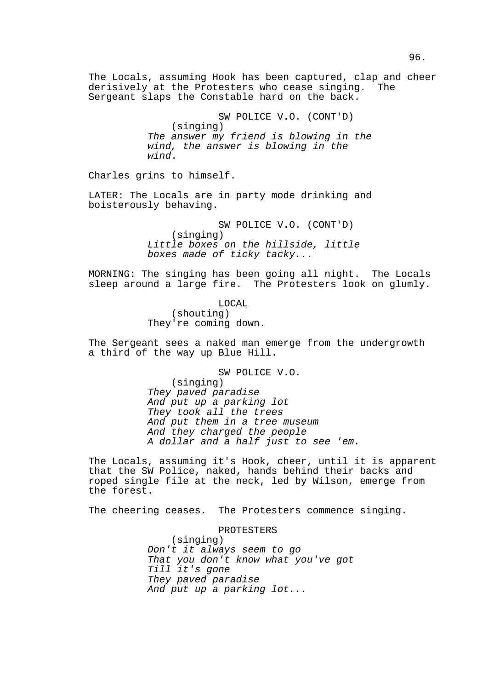The Locals, assuming Hook has been captured, clap and cheer derisively at the Protesters who cease singing. The derisively at the Protesters who cease singing. Sergeant slaps the Constable hard on the back.

SW POLICE V.O. (CONT'D)

(singing) The answer my friend is blowing in the wind, the answer is blowing in the wind.

Charles grins to himself.

LATER: The Locals are in party mode drinking and boisterously behaving.

> SW POLICE V.O. (CONT'D) (singing) Little boxes on the hillside, little boxes made of ticky tacky...

MORNING: The singing has been going all night. The Locals sleep around a large fire. The Protesters look on glumly.

> LOCAL (shouting) They're coming down.

The Sergeant sees a naked man emerge from the undergrowth a third of the way up Blue Hill.

SW POLICE V.O.

(singing) They paved paradise And put up a parking lot They took all the trees And put them in a tree museum And they charged the people A dollar and a half just to see 'em.

The Locals, assuming it's Hook, cheer, until it is apparent that the SW Police, naked, hands behind their backs and roped single file at the neck, led by Wilson, emerge from the forest.

The cheering ceases. The Protesters commence singing.

#### PROTESTERS

(singing) Don't it always seem to go That you don't know what you've got Till it's gone They paved paradise And put up a parking lot...

96.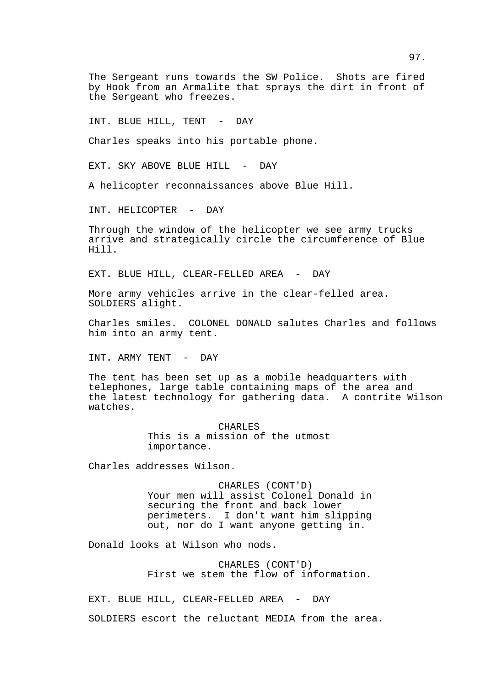The Sergeant runs towards the SW Police. Shots are fired by Hook from an Armalite that sprays the dirt in front of the Sergeant who freezes.

INT. BLUE HILL, TENT - DAY

Charles speaks into his portable phone.

EXT. SKY ABOVE BLUE HILL - DAY

A helicopter reconnaissances above Blue Hill.

INT. HELICOPTER - DAY

Through the window of the helicopter we see army trucks arrive and strategically circle the circumference of Blue Hill.

EXT. BLUE HILL, CLEAR-FELLED AREA - DAY

More army vehicles arrive in the clear-felled area. SOLDIERS alight.

Charles smiles. COLONEL DONALD salutes Charles and follows him into an army tent.

INT. ARMY TENT - DAY

The tent has been set up as a mobile headquarters with telephones, large table containing maps of the area and the latest technology for gathering data. A contrite Wilson watches.

> CHARLES This is a mission of the utmost importance.

Charles addresses Wilson.

CHARLES (CONT'D) Your men will assist Colonel Donald in securing the front and back lower perimeters. I don't want him slipping out, nor do I want anyone getting in.

Donald looks at Wilson who nods.

CHARLES (CONT'D) First we stem the flow of information.

EXT. BLUE HILL, CLEAR-FELLED AREA - DAY

SOLDIERS escort the reluctant MEDIA from the area.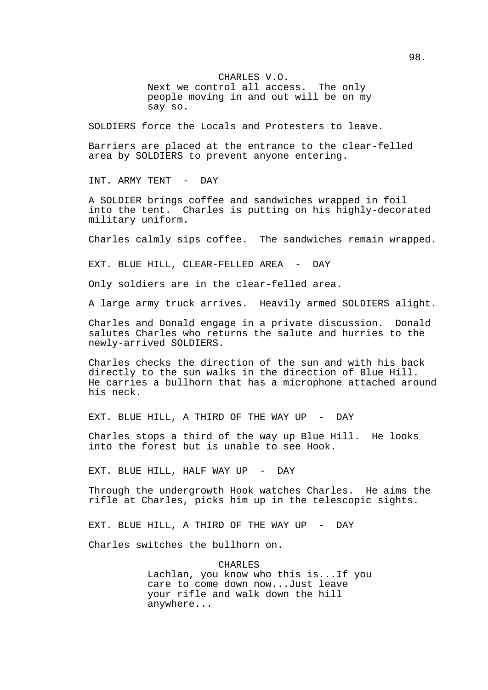CHARLES V.O.

Next we control all access. The only people moving in and out will be on my say so.

SOLDIERS force the Locals and Protesters to leave.

Barriers are placed at the entrance to the clear-felled area by SOLDIERS to prevent anyone entering.

INT. ARMY TENT - DAY

A SOLDIER brings coffee and sandwiches wrapped in foil into the tent. Charles is putting on his highly-decorated military uniform.

Charles calmly sips coffee. The sandwiches remain wrapped.

EXT. BLUE HILL, CLEAR-FELLED AREA - DAY

Only soldiers are in the clear-felled area.

A large army truck arrives. Heavily armed SOLDIERS alight.

Charles and Donald engage in a private discussion. Donald salutes Charles who returns the salute and hurries to the newly-arrived SOLDIERS.

Charles checks the direction of the sun and with his back directly to the sun walks in the direction of Blue Hill. He carries a bullhorn that has a microphone attached around his neck.

EXT. BLUE HILL, A THIRD OF THE WAY UP - DAY

Charles stops a third of the way up Blue Hill. He looks into the forest but is unable to see Hook.

EXT. BLUE HILL, HALF WAY UP - DAY

Through the undergrowth Hook watches Charles. He aims the rifle at Charles, picks him up in the telescopic sights.

EXT. BLUE HILL, A THIRD OF THE WAY UP - DAY

Charles switches the bullhorn on.

CHARLES Lachlan, you know who this is...If you care to come down now...Just leave your rifle and walk down the hill anywhere...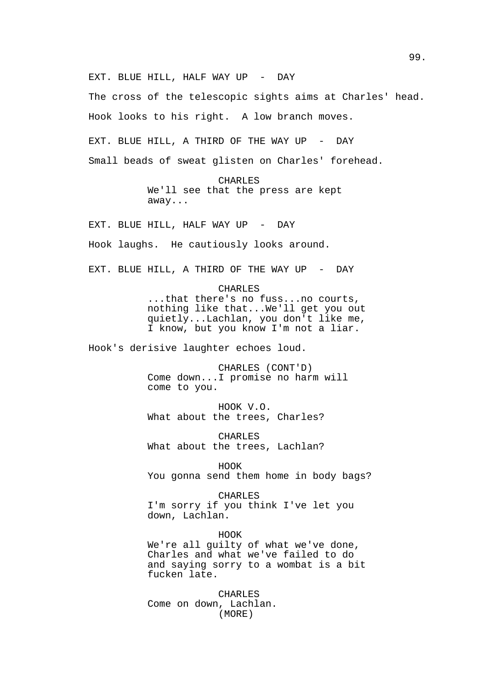EXT. BLUE HILL, HALF WAY UP - DAY

The cross of the telescopic sights aims at Charles' head.

Hook looks to his right. A low branch moves.

EXT. BLUE HILL, A THIRD OF THE WAY UP - DAY

Small beads of sweat glisten on Charles' forehead.

CHARLES We'll see that the press are kept away...

EXT. BLUE HILL, HALF WAY UP - DAY

Hook laughs. He cautiously looks around.

EXT. BLUE HILL, A THIRD OF THE WAY UP - DAY

CHARLES ...that there's no fuss...no courts, nothing like that...We'll get you out quietly...Lachlan, you don't like me, I know, but you know I'm not a liar.

Hook's derisive laughter echoes loud.

CHARLES (CONT'D) Come down...I promise no harm will come to you.

HOOK V.O. What about the trees, Charles?

CHARLES What about the trees, Lachlan?

HOOK You gonna send them home in body bags?

CHARLES I'm sorry if you think I've let you down, Lachlan.

HOOK We're all guilty of what we've done, Charles and what we've failed to do and saying sorry to a wombat is a bit fucken late.

CHARLES Come on down, Lachlan. (MORE)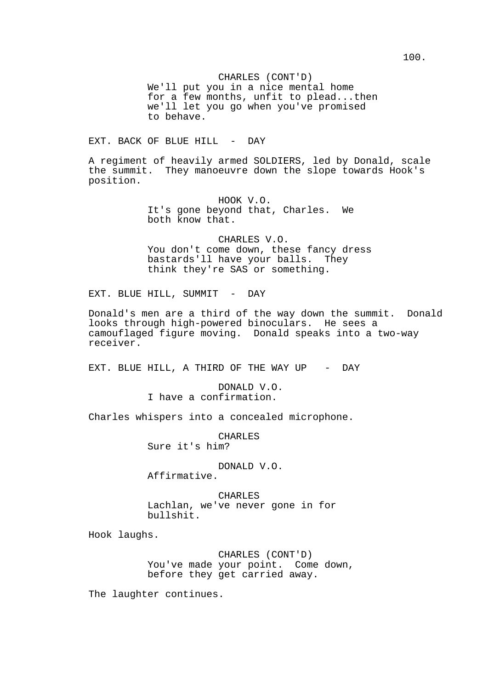CHARLES (CONT'D)

We'll put you in a nice mental home for a few months, unfit to plead...then we'll let you go when you've promised to behave.

EXT. BACK OF BLUE HILL - DAY

A regiment of heavily armed SOLDIERS, led by Donald, scale the summit. They manoeuvre down the slope towards Hook's position.

> HOOK V.O. It's gone beyond that, Charles. We both know that.

CHARLES V.O. You don't come down, these fancy dress bastards'll have your balls. They think they're SAS or something.

EXT. BLUE HILL, SUMMIT - DAY

Donald's men are a third of the way down the summit. Donald looks through high-powered binoculars. He sees a camouflaged figure moving. Donald speaks into a two-way receiver.

EXT. BLUE HILL, A THIRD OF THE WAY UP - DAY

DONALD V.O. I have a confirmation.

Charles whispers into a concealed microphone.

CHARLES Sure it's him?

DONALD V.O. Affirmative.

CHARLES Lachlan, we've never gone in for bullshit.

Hook laughs.

CHARLES (CONT'D) You've made your point. Come down, before they get carried away.

The laughter continues.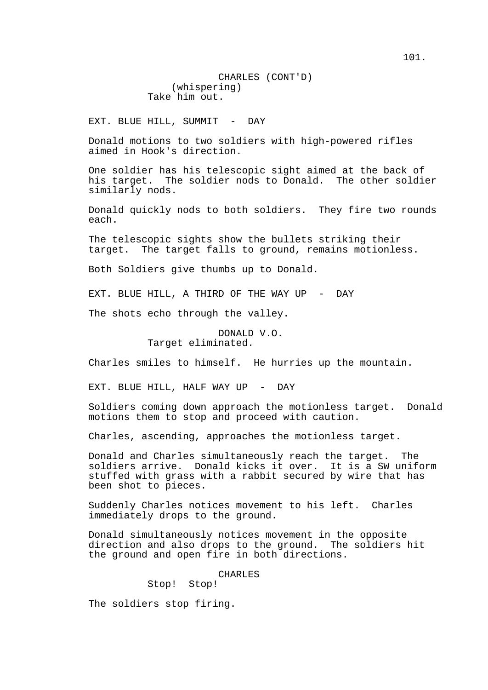EXT. BLUE HILL, SUMMIT - DAY

Donald motions to two soldiers with high-powered rifles aimed in Hook's direction.

One soldier has his telescopic sight aimed at the back of his target. The soldier nods to Donald. The other soldier similarly nods.

Donald quickly nods to both soldiers. They fire two rounds each.

The telescopic sights show the bullets striking their target. The target falls to ground, remains motionless.

Both Soldiers give thumbs up to Donald.

EXT. BLUE HILL, A THIRD OF THE WAY UP - DAY

The shots echo through the valley.

DONALD V.O. Target eliminated.

Charles smiles to himself. He hurries up the mountain.

EXT. BLUE HILL, HALF WAY UP - DAY

Soldiers coming down approach the motionless target. Donald motions them to stop and proceed with caution.

Charles, ascending, approaches the motionless target.

Donald and Charles simultaneously reach the target. The soldiers arrive. Donald kicks it over. It is a SW uniform stuffed with grass with a rabbit secured by wire that has been shot to pieces.

Suddenly Charles notices movement to his left. Charles immediately drops to the ground.

Donald simultaneously notices movement in the opposite direction and also drops to the ground. The soldiers hit the ground and open fire in both directions.

CHARLES

Stop! Stop!

The soldiers stop firing.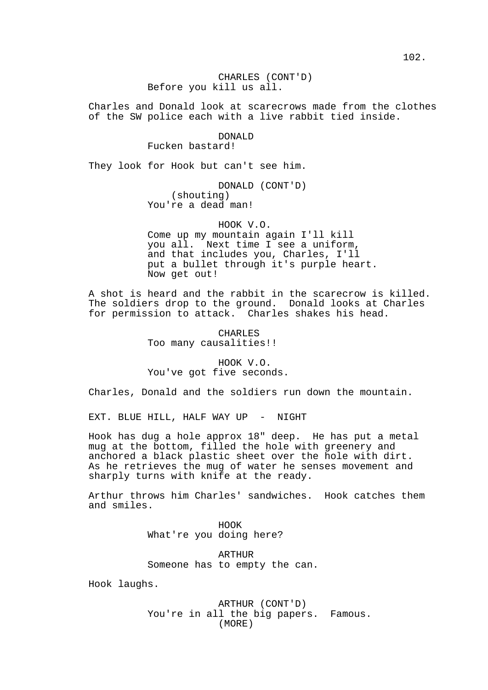CHARLES (CONT'D) Before you kill us all.

Charles and Donald look at scarecrows made from the clothes of the SW police each with a live rabbit tied inside.

# DONALD

Fucken bastard!

They look for Hook but can't see him.

DONALD (CONT'D) (shouting) You're a dead man!

# HOOK V.O.

Come up my mountain again I'll kill you all. Next time I see a uniform, and that includes you, Charles, I'll put a bullet through it's purple heart. Now get out!

A shot is heard and the rabbit in the scarecrow is killed. The soldiers drop to the ground. Donald looks at Charles for permission to attack. Charles shakes his head.

> **CHARLES** Too many causalities!!

HOOK V.O. You've got five seconds.

Charles, Donald and the soldiers run down the mountain.

EXT. BLUE HILL, HALF WAY UP - NIGHT

Hook has dug a hole approx 18" deep. He has put a metal mug at the bottom, filled the hole with greenery and anchored a black plastic sheet over the hole with dirt. As he retrieves the mug of water he senses movement and sharply turns with knife at the ready.

Arthur throws him Charles' sandwiches. Hook catches them and smiles.

> HOOK What're you doing here?

**ARTHUR** Someone has to empty the can.

Hook laughs.

ARTHUR (CONT'D) You're in all the big papers. Famous. (MORE)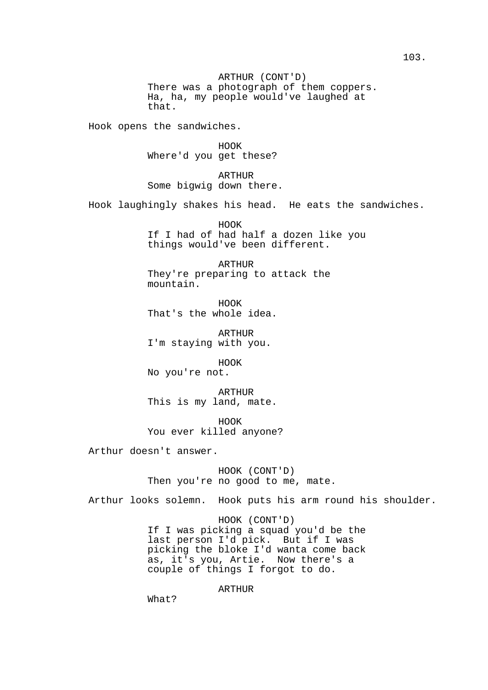ARTHUR (CONT'D) There was a photograph of them coppers. Ha, ha, my people would've laughed at that.

Hook opens the sandwiches.

HOOK Where'd you get these?

ARTHUR Some bigwig down there.

Hook laughingly shakes his head. He eats the sandwiches.

HOOK If I had of had half a dozen like you things would've been different.

ARTHUR They're preparing to attack the mountain.

HOOK That's the whole idea.

ARTHUR I'm staying with you.

HOOK No you're not.

ARTHUR This is my land, mate.

HOOK You ever killed anyone?

Arthur doesn't answer.

HOOK (CONT'D) Then you're no good to me, mate.

Arthur looks solemn. Hook puts his arm round his shoulder.

HOOK (CONT'D) If I was picking a squad you'd be the last person I'd pick. But if I was picking the bloke I'd wanta come back as, it's you, Artie. Now there's a couple of things I forgot to do.

ARTHUR

What?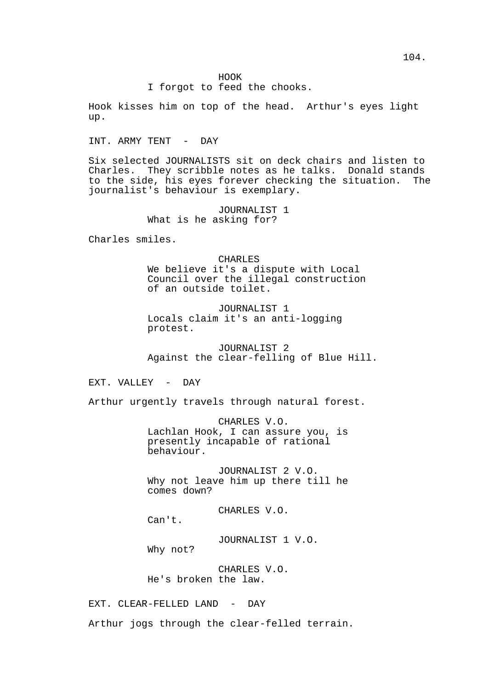I forgot to feed the chooks.

Hook kisses him on top of the head. Arthur's eyes light up.

INT. ARMY TENT - DAY

Six selected JOURNALISTS sit on deck chairs and listen to Charles. They scribble notes as he talks. Donald stands to the side, his eyes forever checking the situation. The journalist's behaviour is exemplary.

> JOURNALIST 1 What is he asking for?

Charles smiles.

CHARLES We believe it's a dispute with Local Council over the illegal construction of an outside toilet.

JOURNALIST 1 Locals claim it's an anti-logging protest.

JOURNALIST 2 Against the clear-felling of Blue Hill.

EXT. VALLEY - DAY

Arthur urgently travels through natural forest.

CHARLES V.O. Lachlan Hook, I can assure you, is presently incapable of rational behaviour.

JOURNALIST 2 V.O. Why not leave him up there till he comes down?

CHARLES V.O.

Can't.

JOURNALIST 1 V.O. Why not?

CHARLES V.O.

He's broken the law.

EXT. CLEAR-FELLED LAND - DAY

Arthur jogs through the clear-felled terrain.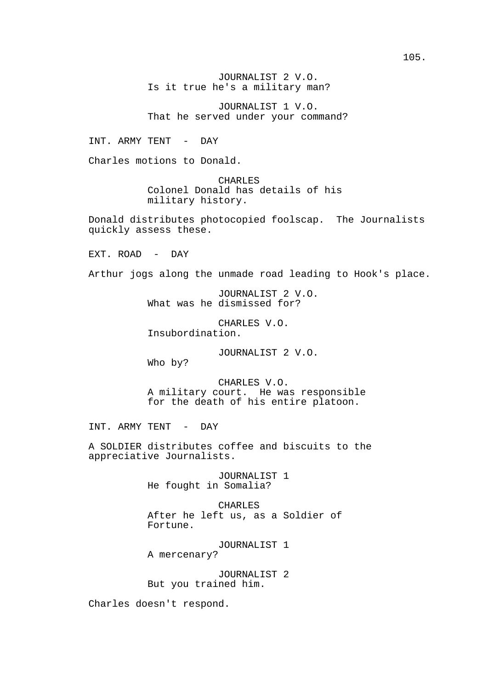JOURNALIST 2 V.O. Is it true he's a military man?

JOURNALIST 1 V.O. That he served under your command?

INT. ARMY TENT - DAY

Charles motions to Donald.

CHARLES Colonel Donald has details of his military history.

Donald distributes photocopied foolscap. The Journalists quickly assess these.

EXT. ROAD - DAY

Arthur jogs along the unmade road leading to Hook's place.

JOURNALIST 2 V.O. What was he dismissed for?

CHARLES V.O. Insubordination.

JOURNALIST 2 V.O. Who by?

CHARLES V.O. A military court. He was responsible for the death of his entire platoon.

INT. ARMY TENT - DAY

A SOLDIER distributes coffee and biscuits to the appreciative Journalists.

> JOURNALIST 1 He fought in Somalia?

CHARLES After he left us, as a Soldier of Fortune.

JOURNALIST 1 A mercenary?

JOURNALIST 2 But you trained him.

Charles doesn't respond.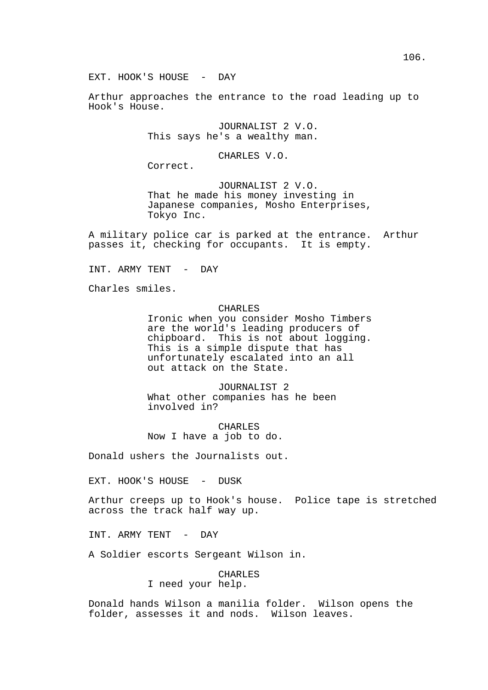Arthur approaches the entrance to the road leading up to Hook's House.

> JOURNALIST 2 V.O. This says he's a wealthy man.

> > CHARLES V.O.

Correct.

JOURNALIST 2 V.O. That he made his money investing in Japanese companies, Mosho Enterprises, Tokyo Inc.

A military police car is parked at the entrance. Arthur passes it, checking for occupants. It is empty.

INT. ARMY TENT - DAY

Charles smiles.

# CHARLES

Ironic when you consider Mosho Timbers are the world's leading producers of chipboard. This is not about logging. This is a simple dispute that has unfortunately escalated into an all out attack on the State.

JOURNALIST 2 What other companies has he been involved in?

CHARLES Now I have a job to do.

Donald ushers the Journalists out.

EXT. HOOK'S HOUSE - DUSK

Arthur creeps up to Hook's house. Police tape is stretched across the track half way up.

INT. ARMY TENT - DAY

A Soldier escorts Sergeant Wilson in.

CHARLES

I need your help.

Donald hands Wilson a manilia folder. Wilson opens the folder, assesses it and nods. Wilson leaves.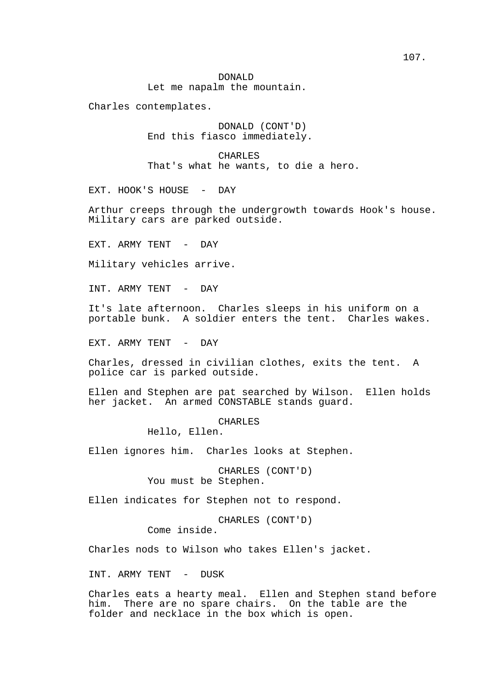## DONALD Let me napalm the mountain.

Charles contemplates.

DONALD (CONT'D) End this fiasco immediately.

CHARLES That's what he wants, to die a hero.

EXT. HOOK'S HOUSE - DAY

Arthur creeps through the undergrowth towards Hook's house. Military cars are parked outside.

EXT. ARMY TENT - DAY

Military vehicles arrive.

INT. ARMY TENT - DAY

It's late afternoon. Charles sleeps in his uniform on a portable bunk. A soldier enters the tent. Charles wakes.

EXT. ARMY TENT - DAY

Charles, dressed in civilian clothes, exits the tent. A police car is parked outside.

Ellen and Stephen are pat searched by Wilson. Ellen holds her jacket. An armed CONSTABLE stands guard.

CHARLES

Hello, Ellen.

Ellen ignores him. Charles looks at Stephen.

CHARLES (CONT'D) You must be Stephen.

Ellen indicates for Stephen not to respond.

CHARLES (CONT'D) Come inside.

Charles nods to Wilson who takes Ellen's jacket.

INT. ARMY TENT - DUSK

Charles eats a hearty meal. Ellen and Stephen stand before him. There are no spare chairs. On the table are the folder and necklace in the box which is open.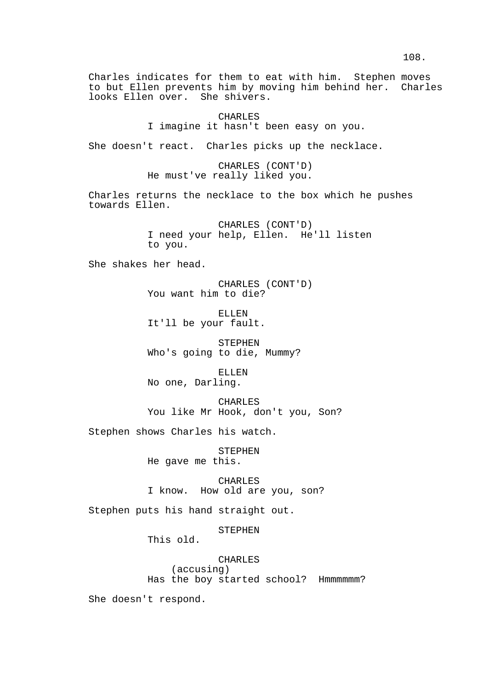Charles indicates for them to eat with him. Stephen moves to but Ellen prevents him by moving him behind her. Charles looks Ellen over. She shivers.

```
CHARLES
```
I imagine it hasn't been easy on you.

She doesn't react. Charles picks up the necklace.

CHARLES (CONT'D) He must've really liked you.

Charles returns the necklace to the box which he pushes towards Ellen.

> CHARLES (CONT'D) I need your help, Ellen. He'll listen to you.

She shakes her head.

CHARLES (CONT'D) You want him to die?

ELLEN It'll be your fault.

STEPHEN Who's going to die, Mummy?

ELLEN No one, Darling.

CHARLES You like Mr Hook, don't you, Son?

Stephen shows Charles his watch.

STEPHEN He gave me this.

CHARLES I know. How old are you, son?

Stephen puts his hand straight out.

STEPHEN

This old.

CHARLES (accusing) Has the boy started school? Hmmmmmm?

She doesn't respond.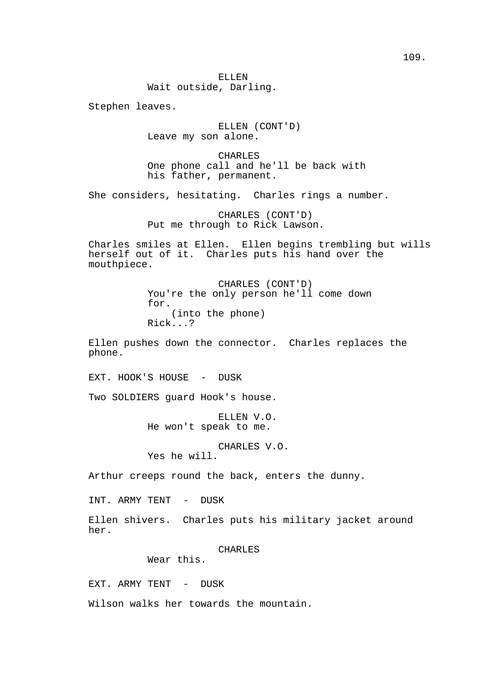ELLEN Wait outside, Darling.

Stephen leaves.

ELLEN (CONT'D) Leave my son alone.

CHARLES One phone call and he'll be back with his father, permanent.

She considers, hesitating. Charles rings a number.

CHARLES (CONT'D) Put me through to Rick Lawson.

Charles smiles at Ellen. Ellen begins trembling but wills herself out of it. Charles puts his hand over the mouthpiece.

> CHARLES (CONT'D) You're the only person he'll come down for. (into the phone) Rick...?

Ellen pushes down the connector. Charles replaces the phone.

EXT. HOOK'S HOUSE - DUSK

Two SOLDIERS guard Hook's house.

ELLEN V.O. He won't speak to me.

CHARLES V.O.

Yes he will.

Arthur creeps round the back, enters the dunny.

INT. ARMY TENT - DUSK

Ellen shivers. Charles puts his military jacket around her.

## CHARLES

Wear this.

EXT. ARMY TENT - DUSK

Wilson walks her towards the mountain.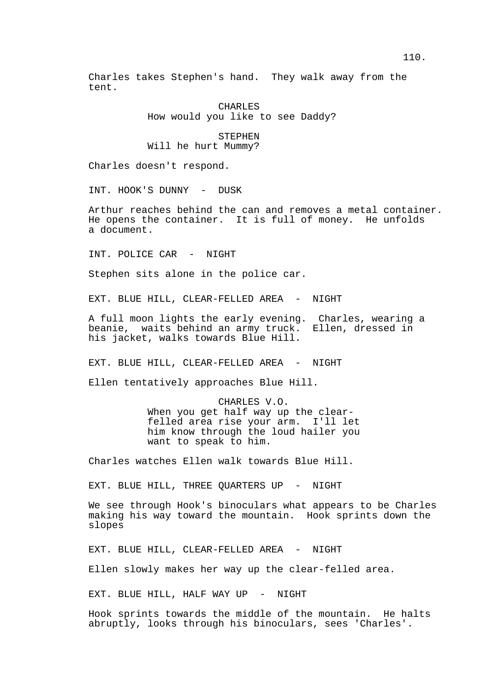Charles takes Stephen's hand. They walk away from the tent.

> CHARLES How would you like to see Daddy?

STEPHEN Will he hurt Mummy?

Charles doesn't respond.

INT. HOOK'S DUNNY - DUSK

Arthur reaches behind the can and removes a metal container. He opens the container. It is full of money. He unfolds a document.

INT. POLICE CAR - NIGHT

Stephen sits alone in the police car.

EXT. BLUE HILL, CLEAR-FELLED AREA - NIGHT

A full moon lights the early evening. Charles, wearing a beanie, waits behind an army truck. Ellen, dressed in his jacket, walks towards Blue Hill.

EXT. BLUE HILL, CLEAR-FELLED AREA - NIGHT

Ellen tentatively approaches Blue Hill.

CHARLES V.O. When you get half way up the clearfelled area rise your arm. I'll let him know through the loud hailer you want to speak to him.

Charles watches Ellen walk towards Blue Hill.

EXT. BLUE HILL, THREE QUARTERS UP - NIGHT

We see through Hook's binoculars what appears to be Charles making his way toward the mountain. Hook sprints down the slopes

EXT. BLUE HILL, CLEAR-FELLED AREA - NIGHT

Ellen slowly makes her way up the clear-felled area.

EXT. BLUE HILL, HALF WAY UP - NIGHT

Hook sprints towards the middle of the mountain. He halts abruptly, looks through his binoculars, sees 'Charles'.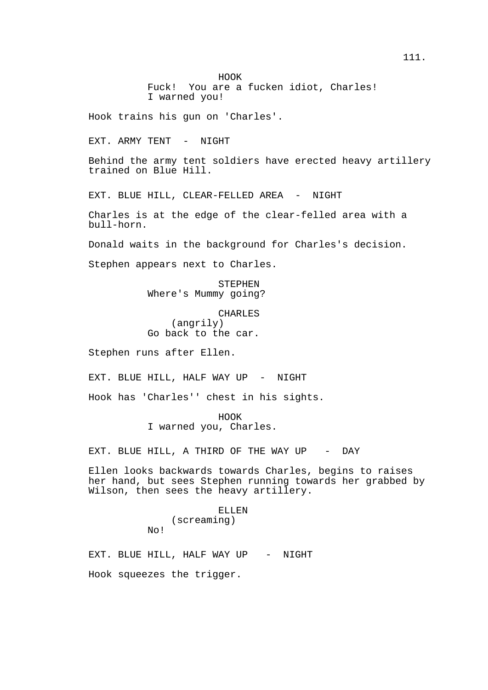Fuck! You are a fucken idiot, Charles! I warned you! Hook trains his gun on 'Charles'. EXT. ARMY TENT - NIGHT Behind the army tent soldiers have erected heavy artillery trained on Blue Hill. EXT. BLUE HILL, CLEAR-FELLED AREA - NIGHT Charles is at the edge of the clear-felled area with a bull-horn. Donald waits in the background for Charles's decision. Stephen appears next to Charles. STEPHEN Where's Mummy going? CHARLES (angrily) Go back to the car. Stephen runs after Ellen. EXT. BLUE HILL, HALF WAY UP - NIGHT Hook has 'Charles'' chest in his sights. HOOK I warned you, Charles. EXT. BLUE HILL, A THIRD OF THE WAY UP - DAY Ellen looks backwards towards Charles, begins to raises her hand, but sees Stephen running towards her grabbed by Wilson, then sees the heavy artillery. ELLEN (screaming) No! EXT. BLUE HILL, HALF WAY UP - NIGHT

HOOK

Hook squeezes the trigger.

## 111.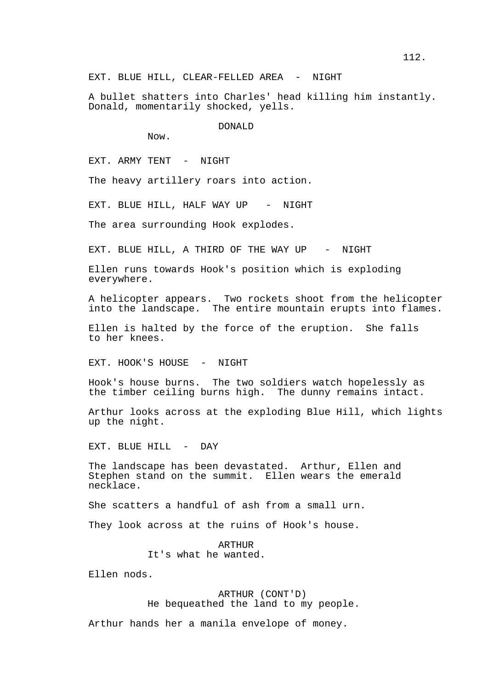A bullet shatters into Charles' head killing him instantly. Donald, momentarily shocked, yells.

DONALD

Now.

EXT. ARMY TENT - NIGHT

The heavy artillery roars into action.

EXT. BLUE HILL, HALF WAY UP - NIGHT

The area surrounding Hook explodes.

EXT. BLUE HILL, A THIRD OF THE WAY UP - NIGHT

Ellen runs towards Hook's position which is exploding everywhere.

A helicopter appears. Two rockets shoot from the helicopter into the landscape. The entire mountain erupts into flames.

Ellen is halted by the force of the eruption. She falls to her knees.

EXT. HOOK'S HOUSE - NIGHT

Hook's house burns. The two soldiers watch hopelessly as the timber ceiling burns high. The dunny remains intact.

Arthur looks across at the exploding Blue Hill, which lights up the night.

EXT. BLUE HILL - DAY

The landscape has been devastated. Arthur, Ellen and Stephen stand on the summit. Ellen wears the emerald necklace.

She scatters a handful of ash from a small urn.

They look across at the ruins of Hook's house.

ARTHUR It's what he wanted.

Ellen nods.

ARTHUR (CONT'D) He bequeathed the land to my people.

Arthur hands her a manila envelope of money.